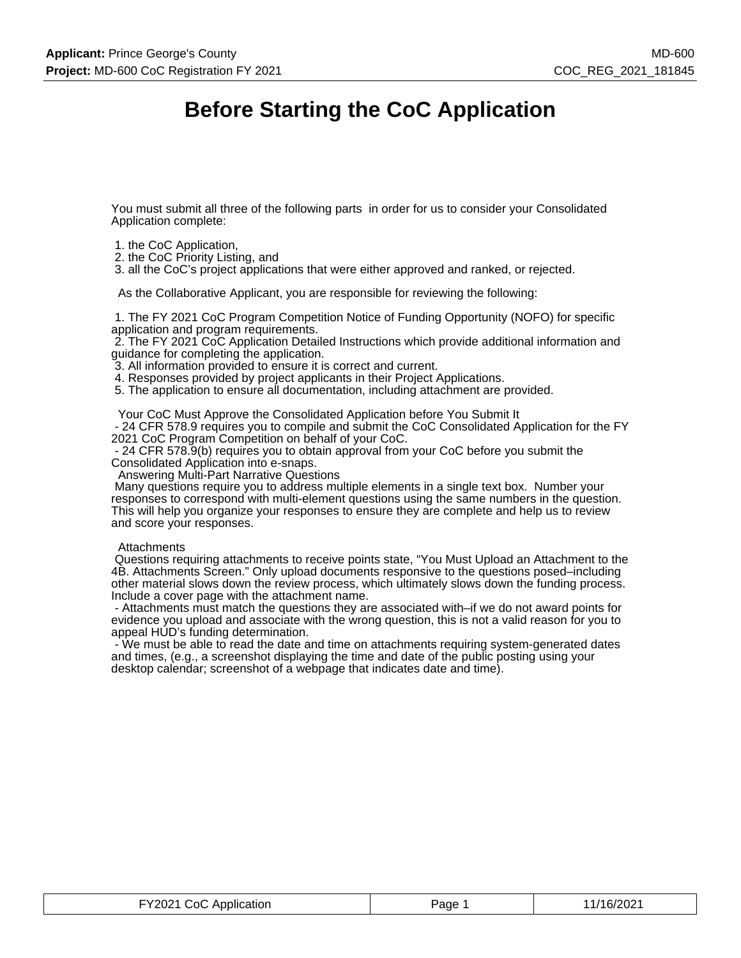# **Before Starting the CoC Application**

You must submit all three of the following parts in order for us to consider your Consolidated Application complete:

- 1. the CoC Application,
- 2. the CoC Priority Listing, and

3. all the CoC's project applications that were either approved and ranked, or rejected.

As the Collaborative Applicant, you are responsible for reviewing the following:

 1. The FY 2021 CoC Program Competition Notice of Funding Opportunity (NOFO) for specific application and program requirements.

 2. The FY 2021 CoC Application Detailed Instructions which provide additional information and guidance for completing the application.

3. All information provided to ensure it is correct and current.

4. Responses provided by project applicants in their Project Applications.

5. The application to ensure all documentation, including attachment are provided.

Your CoC Must Approve the Consolidated Application before You Submit It

 - 24 CFR 578.9 requires you to compile and submit the CoC Consolidated Application for the FY 2021 CoC Program Competition on behalf of your CoC.

 - 24 CFR 578.9(b) requires you to obtain approval from your CoC before you submit the Consolidated Application into e-snaps.

Answering Multi-Part Narrative Questions

 Many questions require you to address multiple elements in a single text box. Number your responses to correspond with multi-element questions using the same numbers in the question. This will help you organize your responses to ensure they are complete and help us to review and score your responses.

#### **Attachments**

 Questions requiring attachments to receive points state, "You Must Upload an Attachment to the 4B. Attachments Screen." Only upload documents responsive to the questions posed–including other material slows down the review process, which ultimately slows down the funding process. Include a cover page with the attachment name.

 - Attachments must match the questions they are associated with–if we do not award points for evidence you upload and associate with the wrong question, this is not a valid reason for you to appeal HUD's funding determination.

 - We must be able to read the date and time on attachments requiring system-generated dates and times, (e.g., a screenshot displaying the time and date of the public posting using your desktop calendar; screenshot of a webpage that indicates date and time).

| FY2021 CoC Application | Page | 11/16/2021 |
|------------------------|------|------------|
|------------------------|------|------------|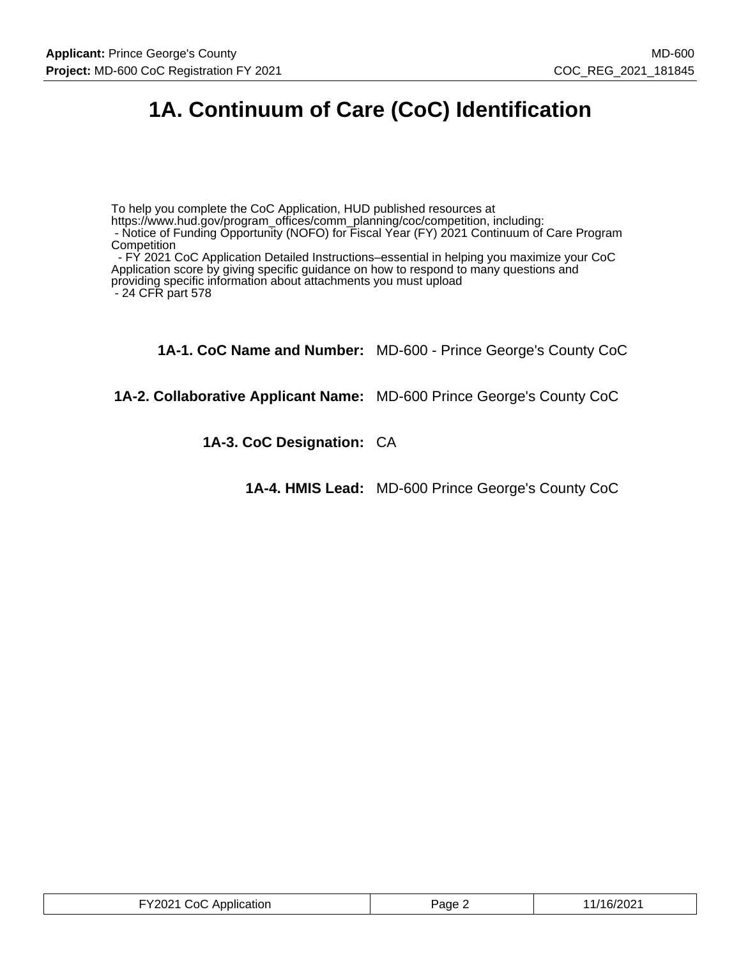# **1A. Continuum of Care (CoC) Identification**

To help you complete the CoC Application, HUD published resources at https://www.hud.gov/program\_offices/comm\_planning/coc/competition, including:

 - Notice of Funding Opportunity (NOFO) for Fiscal Year (FY) 2021 Continuum of Care Program **Competition** 

 - FY 2021 CoC Application Detailed Instructions–essential in helping you maximize your CoC Application score by giving specific guidance on how to respond to many questions and providing specific information about attachments you must upload - 24 CFR part 578

**1A-1. CoC Name and Number:** MD-600 - Prince George's County CoC

**1A-2. Collaborative Applicant Name:** MD-600 Prince George's County CoC

**1A-3. CoC Designation:** CA

**1A-4. HMIS Lead:** MD-600 Prince George's County CoC

| FY2021 CoC Application | Page 2 | 11/16/2021 |
|------------------------|--------|------------|
|------------------------|--------|------------|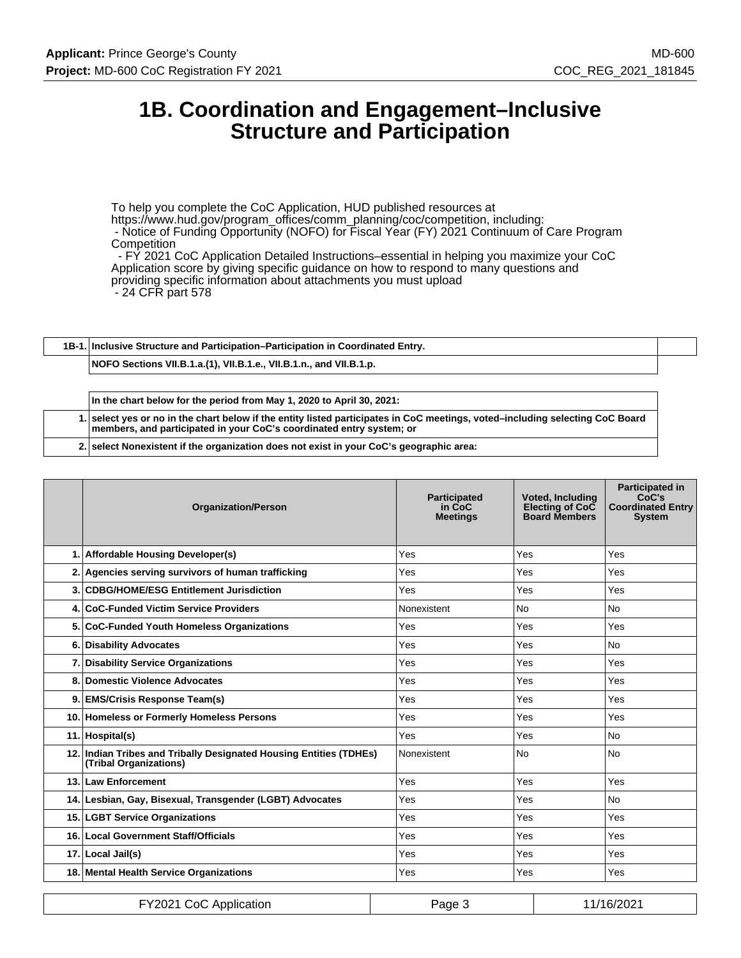## **1B. Coordination and Engagement–Inclusive Structure and Participation**

To help you complete the CoC Application, HUD published resources at https://www.hud.gov/program\_offices/comm\_planning/coc/competition, including: - Notice of Funding Opportunity (NOFO) for Fiscal Year (FY) 2021 Continuum of Care Program **Competition** - FY 2021 CoC Application Detailed Instructions–essential in helping you maximize your CoC

Application score by giving specific guidance on how to respond to many questions and

providing specific information about attachments you must upload

- 24 CFR part 578

**1B-1. Inclusive Structure and Participation–Participation in Coordinated Entry.**

**NOFO Sections VII.B.1.a.(1), VII.B.1.e., VII.B.1.n., and VII.B.1.p.**

**In the chart below for the period from May 1, 2020 to April 30, 2021:**

**1. select yes or no in the chart below if the entity listed participates in CoC meetings, voted–including selecting CoC Board members, and participated in your CoC's coordinated entry system; or**

**2. select Nonexistent if the organization does not exist in your CoC's geographic area:**

| <b>Organization/Person</b>                                                                   | <b>Participated</b><br>in CoC<br><b>Meetings</b> | <b>Voted, Including</b><br>Electing of CoC<br><b>Board Members</b> | <b>Participated in</b><br>CoC's<br><b>Coordinated Entry</b><br><b>System</b> |
|----------------------------------------------------------------------------------------------|--------------------------------------------------|--------------------------------------------------------------------|------------------------------------------------------------------------------|
| 1. Affordable Housing Developer(s)                                                           | Yes                                              | Yes                                                                | Yes                                                                          |
| 2. Agencies serving survivors of human trafficking                                           | Yes                                              | Yes                                                                | Yes                                                                          |
| 3. CDBG/HOME/ESG Entitlement Jurisdiction                                                    | Yes                                              | Yes                                                                | Yes                                                                          |
| 4. CoC-Funded Victim Service Providers                                                       | Nonexistent                                      | <b>No</b>                                                          | <b>No</b>                                                                    |
| 5. CoC-Funded Youth Homeless Organizations                                                   | Yes                                              | Yes                                                                | Yes                                                                          |
| 6. Disability Advocates                                                                      | Yes                                              | Yes                                                                | <b>No</b>                                                                    |
| 7. Disability Service Organizations                                                          | Yes                                              | Yes                                                                | Yes                                                                          |
| 8. Domestic Violence Advocates                                                               | Yes                                              | Yes                                                                | Yes                                                                          |
| 9. EMS/Crisis Response Team(s)                                                               | Yes                                              | Yes                                                                | Yes                                                                          |
| 10. Homeless or Formerly Homeless Persons                                                    | Yes                                              | Yes                                                                | Yes                                                                          |
| 11. Hospital(s)                                                                              | Yes                                              | Yes                                                                | <b>No</b>                                                                    |
| 12. Indian Tribes and Tribally Designated Housing Entities (TDHEs)<br>(Tribal Organizations) | Nonexistent                                      | No                                                                 | <b>No</b>                                                                    |
| 13. Law Enforcement                                                                          | Yes                                              | Yes                                                                | Yes                                                                          |
| 14. Lesbian, Gay, Bisexual, Transgender (LGBT) Advocates                                     | Yes                                              | Yes                                                                | <b>No</b>                                                                    |
| 15. LGBT Service Organizations                                                               | Yes                                              | Yes                                                                | Yes                                                                          |
| 16. Local Government Staff/Officials                                                         | Yes                                              | Yes                                                                | Yes                                                                          |
| 17. Local Jail(s)                                                                            | Yes                                              | Yes                                                                | Yes                                                                          |
| 18. Mental Health Service Organizations                                                      | Yes                                              | Yes                                                                | Yes                                                                          |
|                                                                                              |                                                  |                                                                    |                                                                              |

| FY2021 CoC Application | Page | 11/16/2021 |
|------------------------|------|------------|
|------------------------|------|------------|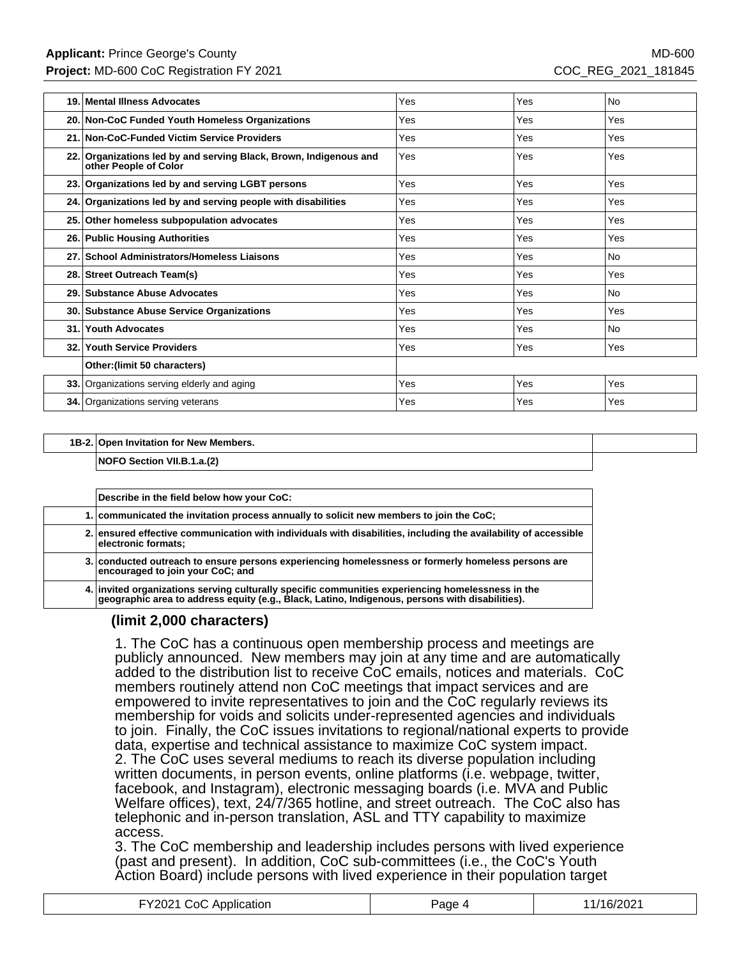| 19. | Mental Illness Advocates                                                                   | Yes | Yes        | <b>No</b> |
|-----|--------------------------------------------------------------------------------------------|-----|------------|-----------|
|     | 20. Non-CoC Funded Youth Homeless Organizations                                            | Yes | Yes        | Yes       |
|     | 21. Non-CoC-Funded Victim Service Providers                                                | Yes | Yes        | Yes       |
|     | 22. Organizations led by and serving Black, Brown, Indigenous and<br>other People of Color | Yes | Yes        | Yes       |
|     | 23. Organizations led by and serving LGBT persons                                          | Yes | Yes        | Yes       |
|     | 24. Organizations led by and serving people with disabilities                              | Yes | Yes        | Yes       |
|     | 25. Other homeless subpopulation advocates                                                 | Yes | Yes        | Yes       |
|     | 26. Public Housing Authorities                                                             | Yes | Yes        | Yes       |
|     | 27. School Administrators/Homeless Liaisons                                                | Yes | Yes        | <b>No</b> |
|     | 28. Street Outreach Team(s)                                                                | Yes | Yes        | Yes       |
|     | 29. Substance Abuse Advocates                                                              | Yes | Yes        | <b>No</b> |
|     | 30. Substance Abuse Service Organizations                                                  | Yes | Yes        | Yes       |
|     | 31. Youth Advocates                                                                        | Yes | Yes        | <b>No</b> |
|     | 32. Youth Service Providers                                                                | Yes | <b>Yes</b> | Yes       |
|     | Other: (limit 50 characters)                                                               |     |            |           |
|     | 33. Organizations serving elderly and aging                                                | Yes | Yes        | Yes       |
|     | <b>34.</b> Organizations serving veterans                                                  | Yes | Yes        | Yes       |

#### **1B-2. Open Invitation for New Members.**

**NOFO Section VII.B.1.a.(2)**

| Describe in the field below how your CoC:                                                                                                                                                         |
|---------------------------------------------------------------------------------------------------------------------------------------------------------------------------------------------------|
| 1. communicated the invitation process annually to solicit new members to join the CoC;                                                                                                           |
| 2. ensured effective communication with individuals with disabilities, including the availability of accessible<br>electronic formats;                                                            |
| 3. conducted outreach to ensure persons experiencing homelessness or formerly homeless persons are<br>encouraged to join your CoC; and                                                            |
| 4. invited organizations serving culturally specific communities experiencing homelessness in the geographic area to address equity (e.g., Black, Latino, Indigenous, persons with disabilities). |

### **(limit 2,000 characters)**

1. The CoC has a continuous open membership process and meetings are publicly announced. New members may join at any time and are automatically added to the distribution list to receive CoC emails, notices and materials. CoC members routinely attend non CoC meetings that impact services and are empowered to invite representatives to join and the CoC regularly reviews its membership for voids and solicits under-represented agencies and individuals to join. Finally, the CoC issues invitations to regional/national experts to provide data, expertise and technical assistance to maximize CoC system impact. 2. The CoC uses several mediums to reach its diverse population including written documents, in person events, online platforms (i.e. webpage, twitter, facebook, and Instagram), electronic messaging boards (i.e. MVA and Public Welfare offices), text, 24/7/365 hotline, and street outreach. The CoC also has telephonic and in-person translation, ASL and TTY capability to maximize access.

3. The CoC membership and leadership includes persons with lived experience (past and present). In addition, CoC sub-committees (i.e., the CoC's Youth Action Board) include persons with lived experience in their population target

| CoC Application<br>r <sup>Y</sup> 2021 CoC Ar | aae | /16/2021 |
|-----------------------------------------------|-----|----------|
|-----------------------------------------------|-----|----------|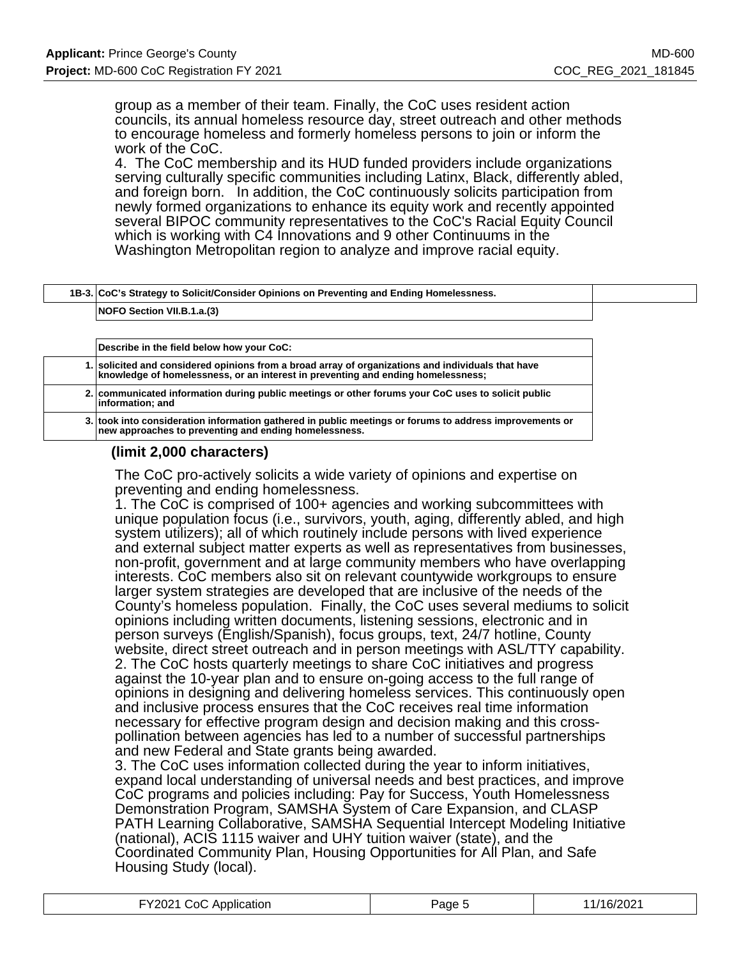group as a member of their team. Finally, the CoC uses resident action councils, its annual homeless resource day, street outreach and other methods to encourage homeless and formerly homeless persons to join or inform the work of the CoC.

4. The CoC membership and its HUD funded providers include organizations serving culturally specific communities including Latinx, Black, differently abled, and foreign born. In addition, the CoC continuously solicits participation from newly formed organizations to enhance its equity work and recently appointed several BIPOC community representatives to the CoC's Racial Equity Council which is working with C4 Innovations and 9 other Continuums in the Washington Metropolitan region to analyze and improve racial equity.

| 1B-3. CoC's Strategy to Solicit/Consider Opinions on Preventing and Ending Homelessness. |  |
|------------------------------------------------------------------------------------------|--|
| NOFO Section VII.B.1.a.(3)                                                               |  |

**Describe in the field below how your CoC: 1. solicited and considered opinions from a broad array of organizations and individuals that have knowledge of homelessness, or an interest in preventing and ending homelessness; 2. communicated information during public meetings or other forums your CoC uses to solicit public information; and 3. took into consideration information gathered in public meetings or forums to address improvements or new approaches to preventing and ending homelessness.**

### **(limit 2,000 characters)**

The CoC pro-actively solicits a wide variety of opinions and expertise on preventing and ending homelessness.

1. The CoC is comprised of 100+ agencies and working subcommittees with unique population focus (i.e., survivors, youth, aging, differently abled, and high system utilizers); all of which routinely include persons with lived experience and external subject matter experts as well as representatives from businesses, non-profit, government and at large community members who have overlapping interests. CoC members also sit on relevant countywide workgroups to ensure larger system strategies are developed that are inclusive of the needs of the County's homeless population. Finally, the CoC uses several mediums to solicit opinions including written documents, listening sessions, electronic and in person surveys (English/Spanish), focus groups, text, 24/7 hotline, County website, direct street outreach and in person meetings with ASL/TTY capability. 2. The CoC hosts quarterly meetings to share CoC initiatives and progress against the 10-year plan and to ensure on-going access to the full range of opinions in designing and delivering homeless services. This continuously open and inclusive process ensures that the CoC receives real time information necessary for effective program design and decision making and this crosspollination between agencies has led to a number of successful partnerships and new Federal and State grants being awarded.

3. The CoC uses information collected during the year to inform initiatives, expand local understanding of universal needs and best practices, and improve CoC programs and policies including: Pay for Success, Youth Homelessness Demonstration Program, SAMSHA System of Care Expansion, and CLASP PATH Learning Collaborative, SAMSHA Sequential Intercept Modeling Initiative (national), ACIS 1115 waiver and UHY tuition waiver (state), and the Coordinated Community Plan, Housing Opportunities for All Plan, and Safe Housing Study (local).

| FY2021 CoC Application | Page 5 | 11/16/2021 |
|------------------------|--------|------------|
|------------------------|--------|------------|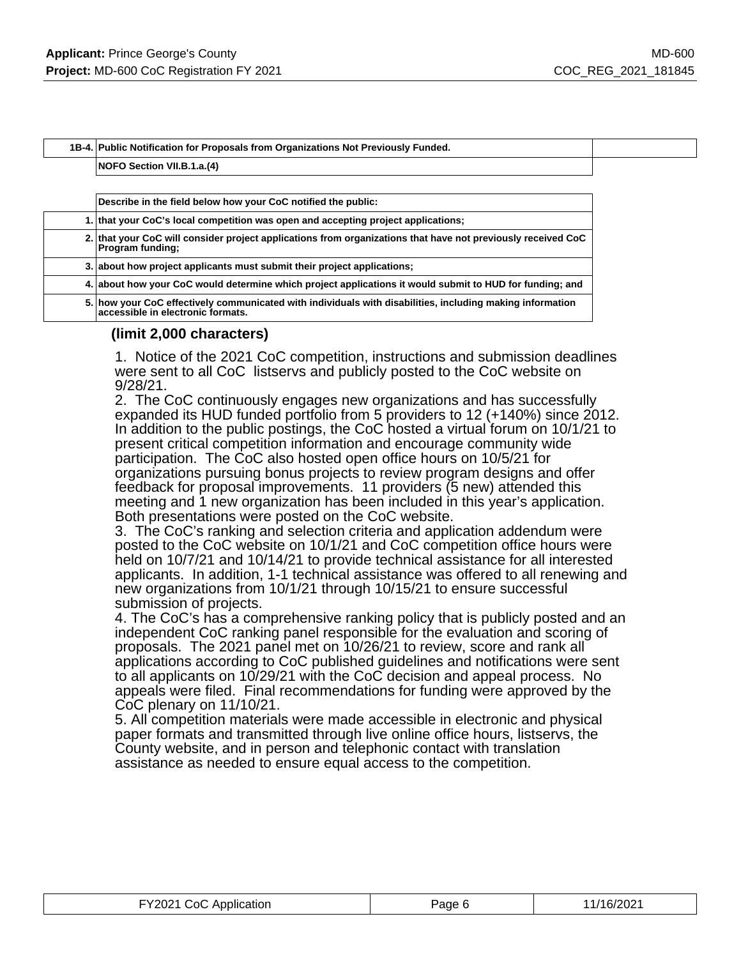**1B-4. Public Notification for Proposals from Organizations Not Previously Funded.**

#### **NOFO Section VII.B.1.a.(4)**

| Describe in the field below how your CoC notified the public:                                                                                  |
|------------------------------------------------------------------------------------------------------------------------------------------------|
| 1. that your CoC's local competition was open and accepting project applications;                                                              |
| 2. that your CoC will consider project applications from organizations that have not previously received CoC<br><b>Program funding:</b>        |
| 3. about how project applicants must submit their project applications;                                                                        |
| 4. about how your CoC would determine which project applications it would submit to HUD for funding; and                                       |
| 5. how your CoC effectively communicated with individuals with disabilities, including making information<br>accessible in electronic formats. |

#### **(limit 2,000 characters)**

1. Notice of the 2021 CoC competition, instructions and submission deadlines were sent to all CoC listservs and publicly posted to the CoC website on 9/28/21.

2. The CoC continuously engages new organizations and has successfully expanded its HUD funded portfolio from 5 providers to 12 (+140%) since 2012. In addition to the public postings, the CoC hosted a virtual forum on 10/1/21 to present critical competition information and encourage community wide participation. The CoC also hosted open office hours on 10/5/21 for organizations pursuing bonus projects to review program designs and offer feedback for proposal improvements. 11 providers (5 new) attended this meeting and 1 new organization has been included in this year's application. Both presentations were posted on the CoC website.

3. The CoC's ranking and selection criteria and application addendum were posted to the CoC website on 10/1/21 and CoC competition office hours were held on 10/7/21 and 10/14/21 to provide technical assistance for all interested applicants. In addition, 1-1 technical assistance was offered to all renewing and new organizations from 10/1/21 through 10/15/21 to ensure successful submission of projects.

4. The CoC's has a comprehensive ranking policy that is publicly posted and an independent CoC ranking panel responsible for the evaluation and scoring of proposals. The 2021 panel met on 10/26/21 to review, score and rank all applications according to CoC published guidelines and notifications were sent to all applicants on 10/29/21 with the CoC decision and appeal process. No appeals were filed. Final recommendations for funding were approved by the CoC plenary on 11/10/21.

5. All competition materials were made accessible in electronic and physical paper formats and transmitted through live online office hours, listservs, the County website, and in person and telephonic contact with translation assistance as needed to ensure equal access to the competition.

| FY2021 CoC Application | Page 6 | 1/16/2021 |
|------------------------|--------|-----------|
|------------------------|--------|-----------|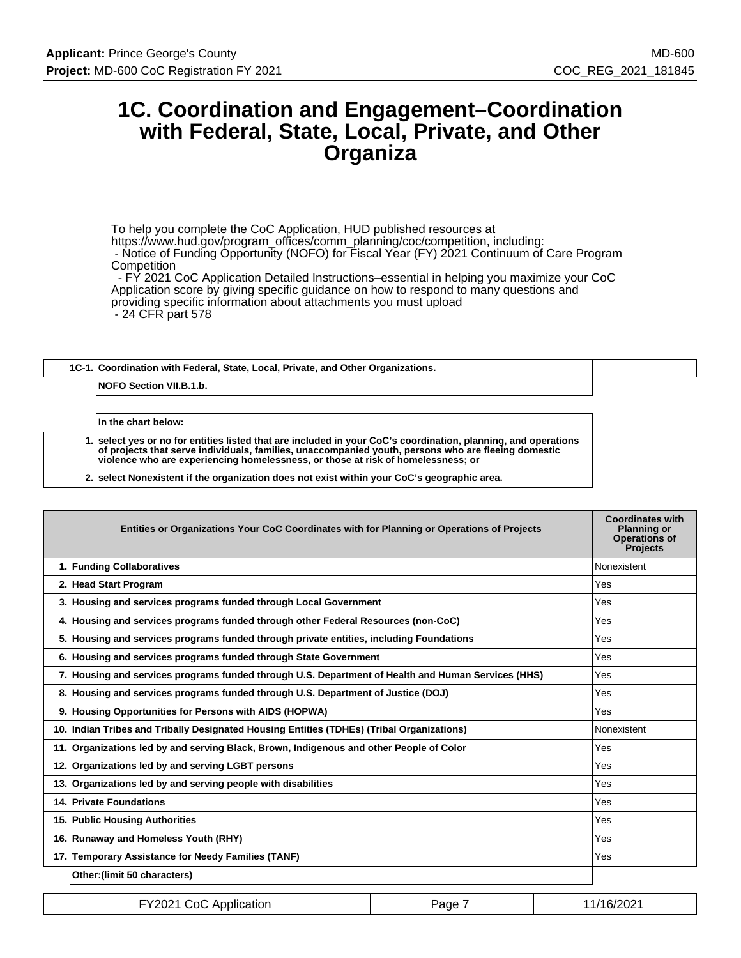# **1C. Coordination and Engagement–Coordination with Federal, State, Local, Private, and Other Organiza**

To help you complete the CoC Application, HUD published resources at https://www.hud.gov/program\_offices/comm\_planning/coc/competition, including: - Notice of Funding Opportunity (NOFO) for Fiscal Year (FY) 2021 Continuum of Care Program **Competition** 

 - FY 2021 CoC Application Detailed Instructions–essential in helping you maximize your CoC Application score by giving specific guidance on how to respond to many questions and providing specific information about attachments you must upload - 24 CFR part 578

# **1C-1. Coordination with Federal, State, Local, Private, and Other Organizations. NOFO Section VII.B.1.b.**

| In the chart below:                                                                                                                                                                                                                                                                                       |
|-----------------------------------------------------------------------------------------------------------------------------------------------------------------------------------------------------------------------------------------------------------------------------------------------------------|
| 1. select ves or no for entities listed that are included in your CoC's coordination, planning, and operations<br>of projects that serve individuals, families, unaccompanied youth, persons who are fleeing domestic<br>violence who are experiencing homelessness, or those at risk of homelessness; or |
| 2. select Nonexistent if the organization does not exist within your CoC's geographic area.                                                                                                                                                                                                               |

|    | Entities or Organizations Your CoC Coordinates with for Planning or Operations of Projects         | <b>Coordinates with</b><br><b>Planning or</b><br><b>Operations of</b><br><b>Projects</b> |
|----|----------------------------------------------------------------------------------------------------|------------------------------------------------------------------------------------------|
|    | 1. Funding Collaboratives                                                                          | Nonexistent                                                                              |
|    | 2. Head Start Program                                                                              | Yes                                                                                      |
|    | 3. Housing and services programs funded through Local Government                                   | Yes                                                                                      |
| 4. | Housing and services programs funded through other Federal Resources (non-CoC)                     | Yes                                                                                      |
|    | 5. Housing and services programs funded through private entities, including Foundations            | Yes                                                                                      |
|    | 6. Housing and services programs funded through State Government                                   | Yes                                                                                      |
|    | 7. Housing and services programs funded through U.S. Department of Health and Human Services (HHS) | Yes                                                                                      |
| 8. | Housing and services programs funded through U.S. Department of Justice (DOJ)                      | Yes                                                                                      |
| 9. | Housing Opportunities for Persons with AIDS (HOPWA)                                                | Yes                                                                                      |
|    | 10. Indian Tribes and Tribally Designated Housing Entities (TDHEs) (Tribal Organizations)          | Nonexistent                                                                              |
|    | 11. Organizations led by and serving Black, Brown, Indigenous and other People of Color            | Yes                                                                                      |
|    | 12. Organizations led by and serving LGBT persons                                                  | Yes                                                                                      |
|    | 13. Organizations led by and serving people with disabilities                                      | Yes                                                                                      |
|    | 14. Private Foundations                                                                            | Yes                                                                                      |
|    | 15. Public Housing Authorities                                                                     | <b>Yes</b>                                                                               |
|    | 16. Runaway and Homeless Youth (RHY)                                                               | Yes                                                                                      |
|    | 17. Temporary Assistance for Needy Families (TANF)                                                 | Yes                                                                                      |
|    | Other: (limit 50 characters)                                                                       |                                                                                          |

| FY2021 CoC Application | Page | 11/16/2021 |
|------------------------|------|------------|
|------------------------|------|------------|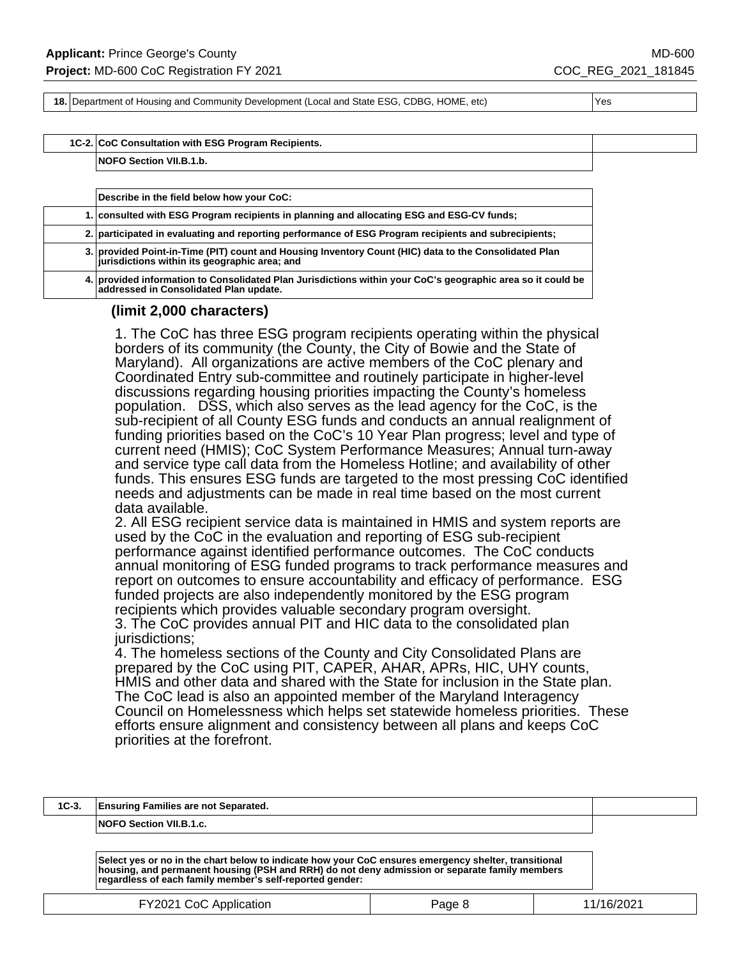**18.** Department of Housing and Community Development (Local and State ESG, CDBG, HOME, etc) Yes

#### **1C-2. CoC Consultation with ESG Program Recipients.**

**NOFO Section VII.B.1.b.**

| Describe in the field below how your CoC:                                                                                                              |
|--------------------------------------------------------------------------------------------------------------------------------------------------------|
| 1. consulted with ESG Program recipients in planning and allocating ESG and ESG-CV funds;                                                              |
| 2. participated in evaluating and reporting performance of ESG Program recipients and subrecipients;                                                   |
| 3. provided Point-in-Time (PIT) count and Housing Inventory Count (HIC) data to the Consolidated Plan<br>jurisdictions within its geographic area; and |
| 4. provided information to Consolidated Plan Jurisdictions within your CoC's geographic area so it could be<br>addressed in Consolidated Plan update.  |

#### **(limit 2,000 characters)**

1. The CoC has three ESG program recipients operating within the physical borders of its community (the County, the City of Bowie and the State of Maryland). All organizations are active members of the CoC plenary and Coordinated Entry sub-committee and routinely participate in higher-level discussions regarding housing priorities impacting the County's homeless population. DSS, which also serves as the lead agency for the CoC, is the sub-recipient of all County ESG funds and conducts an annual realignment of funding priorities based on the CoC's 10 Year Plan progress; level and type of current need (HMIS); CoC System Performance Measures; Annual turn-away and service type call data from the Homeless Hotline; and availability of other funds. This ensures ESG funds are targeted to the most pressing CoC identified needs and adjustments can be made in real time based on the most current data available.

2. All ESG recipient service data is maintained in HMIS and system reports are used by the CoC in the evaluation and reporting of ESG sub-recipient performance against identified performance outcomes. The CoC conducts annual monitoring of ESG funded programs to track performance measures and report on outcomes to ensure accountability and efficacy of performance. ESG funded projects are also independently monitored by the ESG program recipients which provides valuable secondary program oversight. 3. The CoC provides annual PIT and HIC data to the consolidated plan jurisdictions:

4. The homeless sections of the County and City Consolidated Plans are prepared by the CoC using PIT, CAPER, AHAR, APRs, HIC, UHY counts, HMIS and other data and shared with the State for inclusion in the State plan. The CoC lead is also an appointed member of the Maryland Interagency Council on Homelessness which helps set statewide homeless priorities. These efforts ensure alignment and consistency between all plans and keeps CoC priorities at the forefront.

| $1C-3.$ | <b>Ensuring Families are not Separated.</b>                                                                                                                                                                                                                       |        |            |
|---------|-------------------------------------------------------------------------------------------------------------------------------------------------------------------------------------------------------------------------------------------------------------------|--------|------------|
|         | NOFO Section VII.B.1.c.                                                                                                                                                                                                                                           |        |            |
|         | Select yes or no in the chart below to indicate how your CoC ensures emergency shelter, transitional<br>housing, and permanent housing (PSH and RRH) do not deny admission or separate family members<br>regardless of each family member's self-reported gender: |        |            |
|         | FY2021 CoC Application                                                                                                                                                                                                                                            | Page 8 | 11/16/2021 |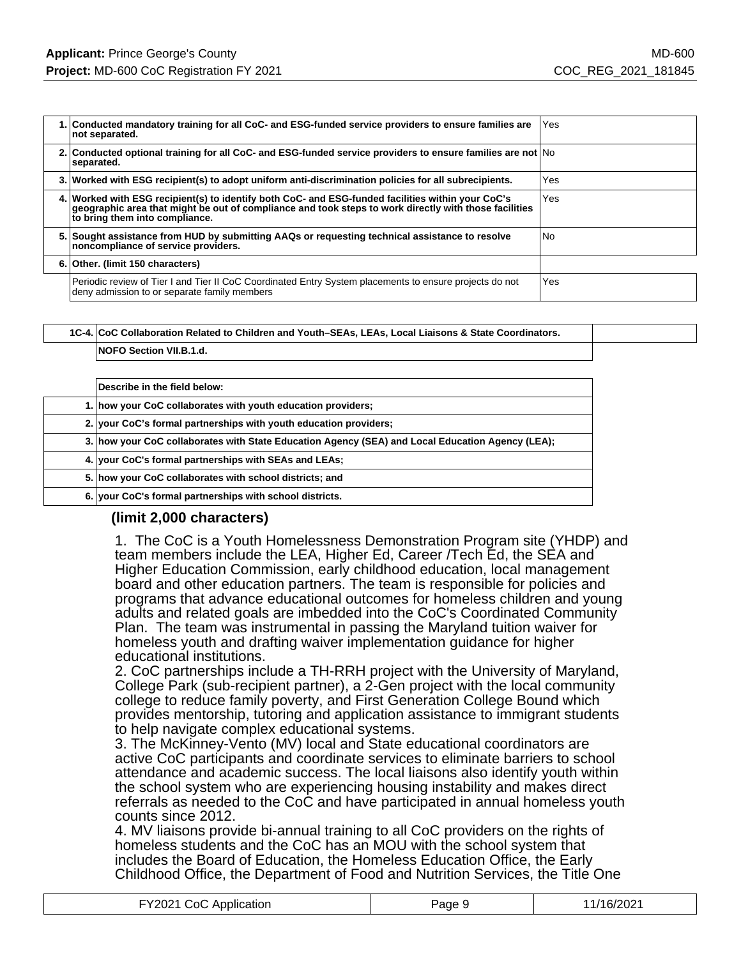|    | 1. Conducted mandatory training for all CoC- and ESG-funded service providers to ensure families are<br>not separated.                                                                                                                       | Yes            |
|----|----------------------------------------------------------------------------------------------------------------------------------------------------------------------------------------------------------------------------------------------|----------------|
|    | 2. Conducted optional training for all CoC- and ESG-funded service providers to ensure families are not No<br>separated.                                                                                                                     |                |
|    | 3. Worked with ESG recipient(s) to adopt uniform anti-discrimination policies for all subrecipients.                                                                                                                                         | Yes            |
|    | 4. Worked with ESG recipient(s) to identify both CoC- and ESG-funded facilities within your CoC's<br>geographic area that might be out of compliance and took steps to work directly with those facilities<br>to bring them into compliance. | Yes            |
| 5. | Sought assistance from HUD by submitting AAQs or requesting technical assistance to resolve<br>noncompliance of service providers.                                                                                                           | N <sub>o</sub> |
|    | 6. Other. (limit 150 characters)                                                                                                                                                                                                             |                |
|    | Periodic review of Tier I and Tier II CoC Coordinated Entry System placements to ensure projects do not<br>deny admission to or separate family members                                                                                      | Yes            |

| 1C-4. CoC Collaboration Related to Children and Youth-SEAs, LEAs, Local Liaisons & State Coordinators. |
|--------------------------------------------------------------------------------------------------------|
| <b>NOFO Section VII.B.1.d.</b>                                                                         |

| Describe in the field below:                                                                     |
|--------------------------------------------------------------------------------------------------|
| 1. how your CoC collaborates with youth education providers;                                     |
| 2. your CoC's formal partnerships with youth education providers;                                |
| 3. how your CoC collaborates with State Education Agency (SEA) and Local Education Agency (LEA); |
| 4. your CoC's formal partnerships with SEAs and LEAs;                                            |
| 5. how your CoC collaborates with school districts; and                                          |
| 6. your CoC's formal partnerships with school districts.                                         |

### **(limit 2,000 characters)**

1. The CoC is a Youth Homelessness Demonstration Program site (YHDP) and team members include the LEA, Higher Ed, Career /Tech Ed, the SEA and Higher Education Commission, early childhood education, local management board and other education partners. The team is responsible for policies and programs that advance educational outcomes for homeless children and young adults and related goals are imbedded into the CoC's Coordinated Community Plan. The team was instrumental in passing the Maryland tuition waiver for homeless youth and drafting waiver implementation guidance for higher educational institutions.

2. CoC partnerships include a TH-RRH project with the University of Maryland, College Park (sub-recipient partner), a 2-Gen project with the local community college to reduce family poverty, and First Generation College Bound which provides mentorship, tutoring and application assistance to immigrant students to help navigate complex educational systems.

3. The McKinney-Vento (MV) local and State educational coordinators are active CoC participants and coordinate services to eliminate barriers to school attendance and academic success. The local liaisons also identify youth within the school system who are experiencing housing instability and makes direct referrals as needed to the CoC and have participated in annual homeless youth counts since 2012.

4. MV liaisons provide bi-annual training to all CoC providers on the rights of homeless students and the CoC has an MOU with the school system that includes the Board of Education, the Homeless Education Office, the Early Childhood Office, the Department of Food and Nutrition Services, the Title One

| FY2021 CoC Application | Page 9 | 11/16/2021 |
|------------------------|--------|------------|
|------------------------|--------|------------|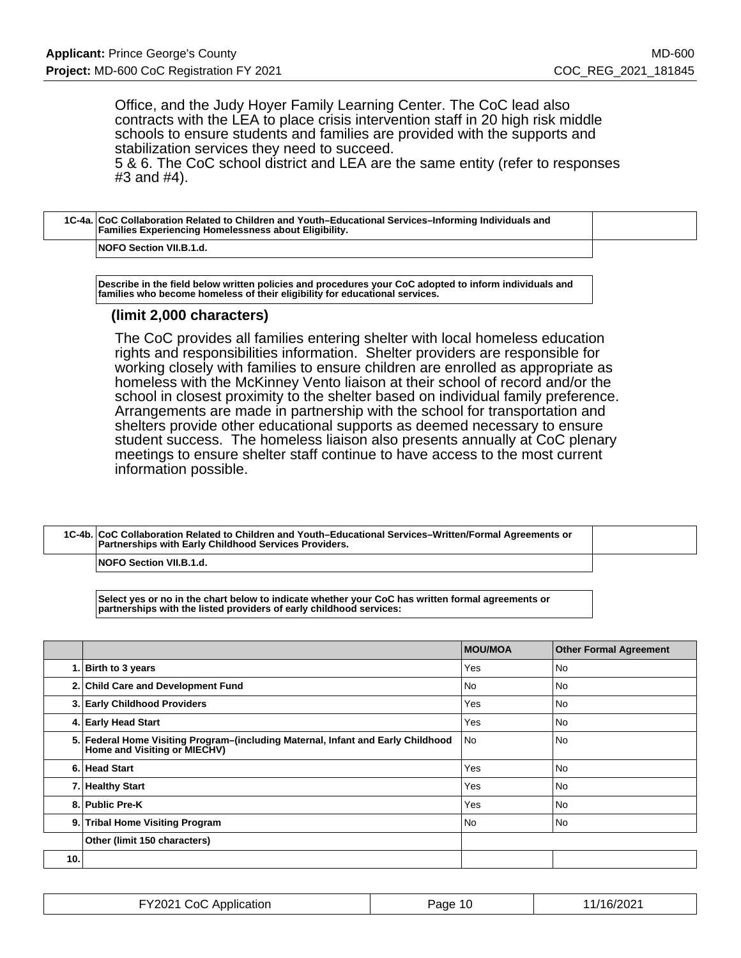Office, and the Judy Hoyer Family Learning Center. The CoC lead also contracts with the LEA to place crisis intervention staff in 20 high risk middle schools to ensure students and families are provided with the supports and stabilization services they need to succeed.

5 & 6. The CoC school district and LEA are the same entity (refer to responses #3 and #4).

| 1C-4a. CoC Collaboration Related to Children and Youth–Educational Services–Informing Individuals and<br><b>Families Experiencing Homelessness about Eligibility.</b> |  |
|-----------------------------------------------------------------------------------------------------------------------------------------------------------------------|--|
| NOFO Section VII.B.1.d.                                                                                                                                               |  |

**Describe in the field below written policies and procedures your CoC adopted to inform individuals and families who become homeless of their eligibility for educational services.**

#### **(limit 2,000 characters)**

The CoC provides all families entering shelter with local homeless education rights and responsibilities information. Shelter providers are responsible for working closely with families to ensure children are enrolled as appropriate as homeless with the McKinney Vento liaison at their school of record and/or the school in closest proximity to the shelter based on individual family preference. Arrangements are made in partnership with the school for transportation and shelters provide other educational supports as deemed necessary to ensure student success. The homeless liaison also presents annually at CoC plenary meetings to ensure shelter staff continue to have access to the most current information possible.

| 1C-4b. CoC Collaboration Related to Children and Youth-Educational Services-Written/Formal Agreements or<br>Partnerships with Early Childhood Services Providers. |  |
|-------------------------------------------------------------------------------------------------------------------------------------------------------------------|--|
| <b>NOFO Section VII.B.1.d.</b>                                                                                                                                    |  |

**Select yes or no in the chart below to indicate whether your CoC has written formal agreements or partnerships with the listed providers of early childhood services:**

|     |                                                                                                                  | <b>MOU/MOA</b> | <b>Other Formal Agreement</b> |
|-----|------------------------------------------------------------------------------------------------------------------|----------------|-------------------------------|
|     | 1. Birth to 3 years                                                                                              | Yes            | <b>No</b>                     |
|     | 2. Child Care and Development Fund                                                                               | No.            | <b>No</b>                     |
|     | 3. Early Childhood Providers                                                                                     | Yes            | <b>No</b>                     |
|     | 4. Early Head Start                                                                                              | Yes            | <b>No</b>                     |
|     | 5. Federal Home Visiting Program-(including Maternal, Infant and Early Childhood<br>Home and Visiting or MIECHV) | l No           | l No                          |
|     | 6. Head Start                                                                                                    | Yes            | <b>No</b>                     |
|     | 7. Healthy Start                                                                                                 | Yes            | <b>No</b>                     |
|     | 8. Public Pre-K                                                                                                  | Yes            | l No                          |
|     | 9. Tribal Home Visiting Program                                                                                  | l No           | l No                          |
|     | Other (limit 150 characters)                                                                                     |                |                               |
| 10. |                                                                                                                  |                |                               |

| .<br>CoC<br>Y2021 <sup>-</sup><br>C Application<br>. | Page<br>-10 | /16/2021 |
|------------------------------------------------------|-------------|----------|
|------------------------------------------------------|-------------|----------|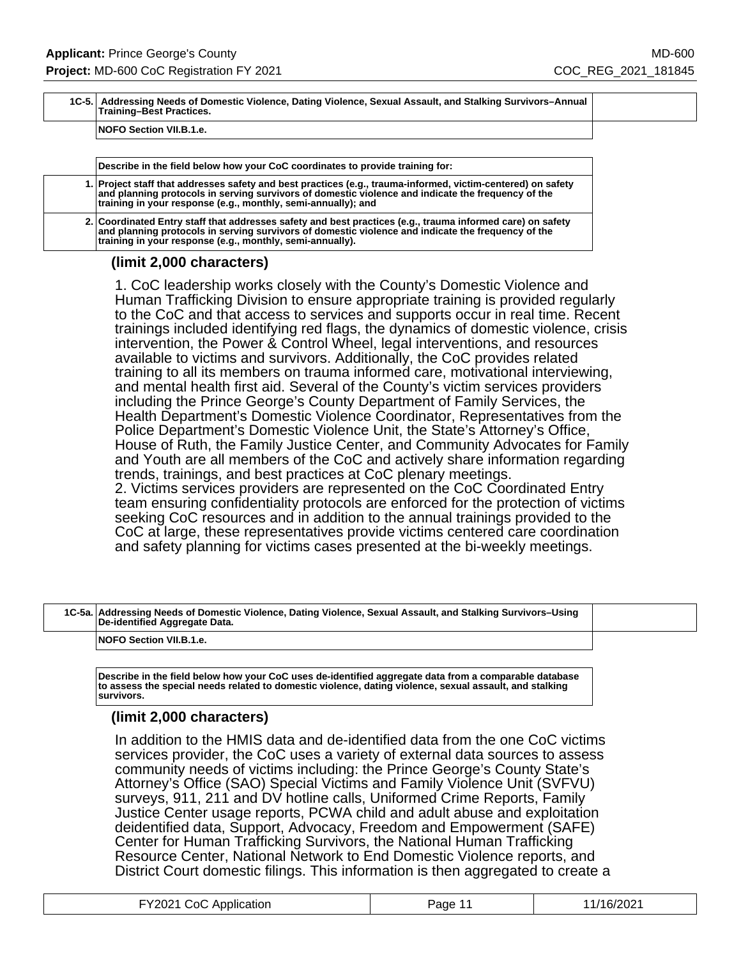| 1C-5. Addressing Needs of Domestic Violence, Dating Violence, Sexual Assault, and Stalking Survivors-Annual<br>Training-Best Practices. |  |
|-----------------------------------------------------------------------------------------------------------------------------------------|--|
| NOFO Section VII.B.1.e.                                                                                                                 |  |

| Describe in the field below how your CoC coordinates to provide training for: |  |
|-------------------------------------------------------------------------------|--|
|-------------------------------------------------------------------------------|--|

**1. Project staff that addresses safety and best practices (e.g., trauma-informed, victim-centered) on safety and planning protocols in serving survivors of domestic violence and indicate the frequency of the training in your response (e.g., monthly, semi-annually); and**

**2. Coordinated Entry staff that addresses safety and best practices (e.g., trauma informed care) on safety and planning protocols in serving survivors of domestic violence and indicate the frequency of the training in your response (e.g., monthly, semi-annually).**

#### **(limit 2,000 characters)**

1. CoC leadership works closely with the County's Domestic Violence and Human Trafficking Division to ensure appropriate training is provided regularly to the CoC and that access to services and supports occur in real time. Recent trainings included identifying red flags, the dynamics of domestic violence, crisis intervention, the Power & Control Wheel, legal interventions, and resources available to victims and survivors. Additionally, the CoC provides related training to all its members on trauma informed care, motivational interviewing, and mental health first aid. Several of the County's victim services providers including the Prince George's County Department of Family Services, the Health Department's Domestic Violence Coordinator, Representatives from the Police Department's Domestic Violence Unit, the State's Attorney's Office, House of Ruth, the Family Justice Center, and Community Advocates for Family and Youth are all members of the CoC and actively share information regarding trends, trainings, and best practices at CoC plenary meetings. 2. Victims services providers are represented on the CoC Coordinated Entry team ensuring confidentiality protocols are enforced for the protection of victims seeking CoC resources and in addition to the annual trainings provided to the CoC at large, these representatives provide victims centered care coordination and safety planning for victims cases presented at the bi-weekly meetings.

| 1C-5a. Addressing Needs of Domestic Violence, Dating Violence, Sexual Assault, and Stalking Survivors–Using<br>De-identified Aggregate Data. |  |
|----------------------------------------------------------------------------------------------------------------------------------------------|--|
| <b>NOFO Section VII.B.1.e.</b>                                                                                                               |  |

**Describe in the field below how your CoC uses de-identified aggregate data from a comparable database to assess the special needs related to domestic violence, dating violence, sexual assault, and stalking survivors.**

### **(limit 2,000 characters)**

In addition to the HMIS data and de-identified data from the one CoC victims services provider, the CoC uses a variety of external data sources to assess community needs of victims including: the Prince George's County State's Attorney's Office (SAO) Special Victims and Family Violence Unit (SVFVU) surveys, 911, 211 and DV hotline calls, Uniformed Crime Reports, Family Justice Center usage reports, PCWA child and adult abuse and exploitation deidentified data, Support, Advocacy, Freedom and Empowerment (SAFE) Center for Human Trafficking Survivors, the National Human Trafficking Resource Center, National Network to End Domestic Violence reports, and District Court domestic filings. This information is then aggregated to create a

| FY2021 CoC Application | Page 11 | 11/16/2021 |
|------------------------|---------|------------|
|------------------------|---------|------------|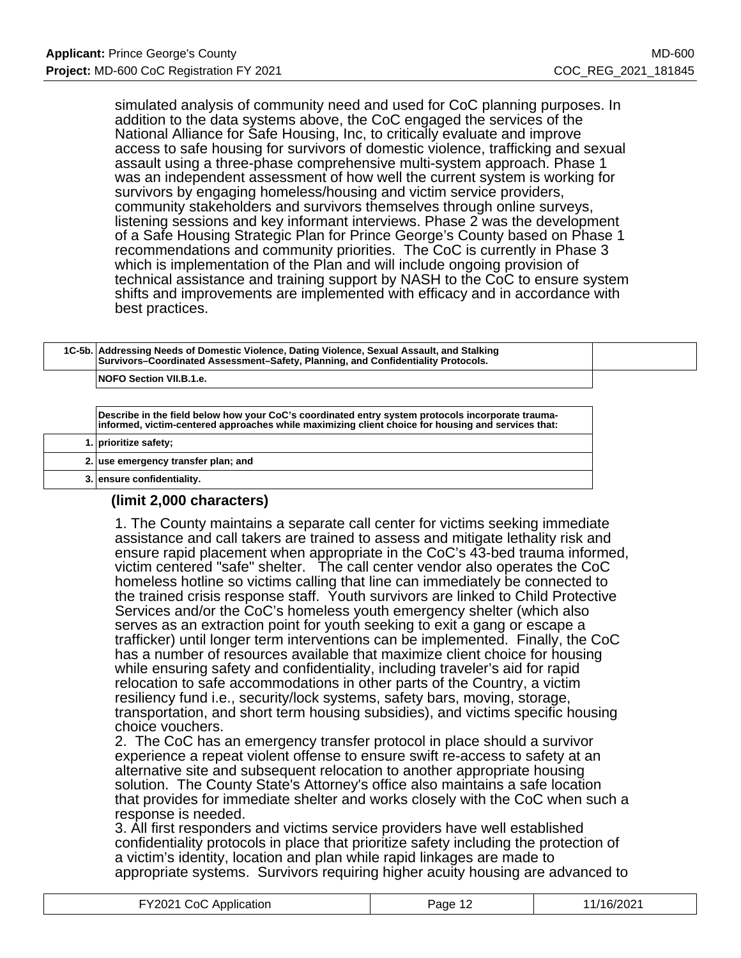simulated analysis of community need and used for CoC planning purposes. In addition to the data systems above, the CoC engaged the services of the National Alliance for Safe Housing, Inc, to critically evaluate and improve access to safe housing for survivors of domestic violence, trafficking and sexual assault using a three-phase comprehensive multi-system approach. Phase 1 was an independent assessment of how well the current system is working for survivors by engaging homeless/housing and victim service providers, community stakeholders and survivors themselves through online surveys, listening sessions and key informant interviews. Phase 2 was the development of a Safe Housing Strategic Plan for Prince George's County based on Phase 1 recommendations and community priorities. The CoC is currently in Phase 3 which is implementation of the Plan and will include ongoing provision of technical assistance and training support by NASH to the CoC to ensure system shifts and improvements are implemented with efficacy and in accordance with best practices.

| 1C-5b. Addressing Needs of Domestic Violence, Dating Violence, Sexual Assault, and Stalking<br>Survivors-Coordinated Assessment-Safety, Planning, and Confidentiality Protocols.                        |  |
|---------------------------------------------------------------------------------------------------------------------------------------------------------------------------------------------------------|--|
| <b>NOFO Section VII.B.1.e.</b>                                                                                                                                                                          |  |
| Describe in the field below how your CoC's coordinated entry system protocols incorporate trauma-<br>informed, victim-centered approaches while maximizing client choice for housing and services that: |  |
| 1. prioritize safety;                                                                                                                                                                                   |  |

## **(limit 2,000 characters)**

**2. use emergency transfer plan; and**

**3. ensure confidentiality.**

1. The County maintains a separate call center for victims seeking immediate assistance and call takers are trained to assess and mitigate lethality risk and ensure rapid placement when appropriate in the CoC's 43-bed trauma informed, victim centered "safe" shelter. The call center vendor also operates the CoC homeless hotline so victims calling that line can immediately be connected to the trained crisis response staff. Youth survivors are linked to Child Protective Services and/or the CoC's homeless youth emergency shelter (which also serves as an extraction point for youth seeking to exit a gang or escape a trafficker) until longer term interventions can be implemented. Finally, the CoC has a number of resources available that maximize client choice for housing while ensuring safety and confidentiality, including traveler's aid for rapid relocation to safe accommodations in other parts of the Country, a victim resiliency fund i.e., security/lock systems, safety bars, moving, storage, transportation, and short term housing subsidies), and victims specific housing choice vouchers.

2. The CoC has an emergency transfer protocol in place should a survivor experience a repeat violent offense to ensure swift re-access to safety at an alternative site and subsequent relocation to another appropriate housing solution. The County State's Attorney's office also maintains a safe location that provides for immediate shelter and works closely with the CoC when such a response is needed.

3. All first responders and victims service providers have well established confidentiality protocols in place that prioritize safety including the protection of a victim's identity, location and plan while rapid linkages are made to appropriate systems. Survivors requiring higher acuity housing are advanced to

| FY2021 CoC Application<br>Page 1 <sup>o</sup> | 11/16/2021 |
|-----------------------------------------------|------------|
|-----------------------------------------------|------------|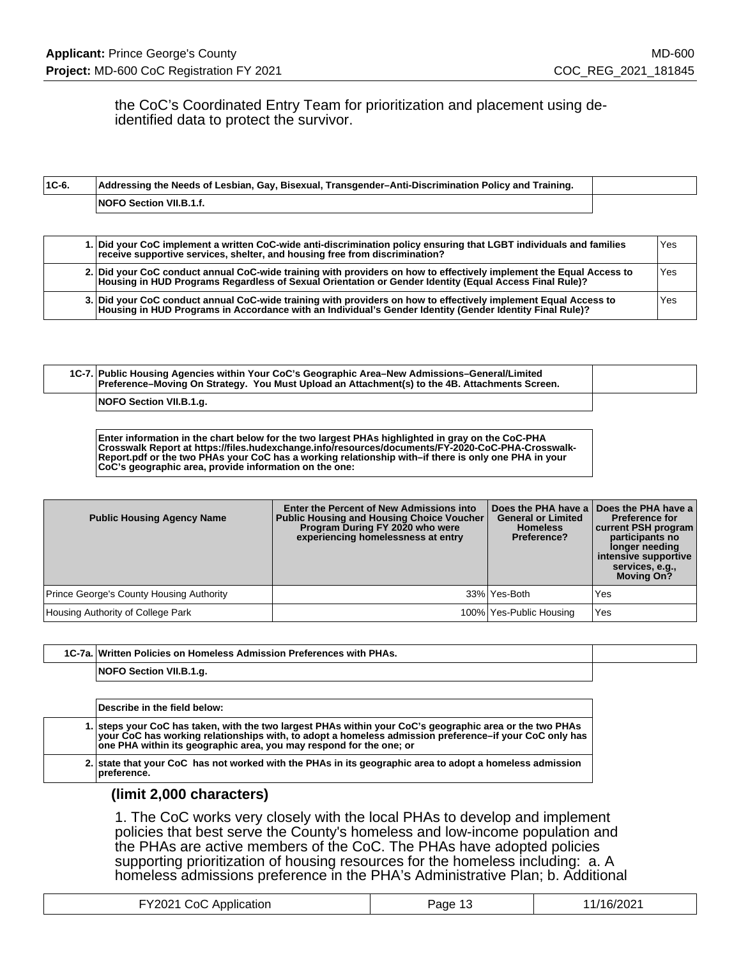the CoC's Coordinated Entry Team for prioritization and placement using deidentified data to protect the survivor.

| $1C-6.$ | Addressing the Needs of Lesbian, Gay, Bisexual, Transgender–Anti-Discrimination Policy and Training. |  |
|---------|------------------------------------------------------------------------------------------------------|--|
|         | <b>NOFO Section VII.B.1.f.</b>                                                                       |  |

| 1. Did your CoC implement a written CoC-wide anti-discrimination policy ensuring that LGBT individuals and families<br>receive supportive services, shelter, and housing free from discrimination?                            | Yes |
|-------------------------------------------------------------------------------------------------------------------------------------------------------------------------------------------------------------------------------|-----|
| 2. Did your CoC conduct annual CoC-wide training with providers on how to effectively implement the Equal Access to<br>Housing in HUD Programs Regardless of Sexual Orientation or Gender Identity (Equal Access Final Rule)? | Yes |
| 3. Did your CoC conduct annual CoC-wide training with providers on how to effectively implement Equal Access to<br>Housing in HUD Programs in Accordance with an Individual's Gender Identity (Gender Identity Final Rule)?   | Yes |

| 1C-7. Public Housing Agencies within Your CoC's Geographic Area–New Admissions–General/Limited<br>Preference-Moving On Strategy. You Must Upload an Attachment(s) to the 4B. Attachments Screen. |  |
|--------------------------------------------------------------------------------------------------------------------------------------------------------------------------------------------------|--|
| NOFO Section VII.B.1.g.                                                                                                                                                                          |  |

**Enter information in the chart below for the two largest PHAs highlighted in gray on the CoC-PHA Crosswalk Report at https://files.hudexchange.info/resources/documents/FY-2020-CoC-PHA-Crosswalk-Report.pdf or the two PHAs your CoC has a working relationship with–if there is only one PHA in your CoC's geographic area, provide information on the one:**

| <b>Public Housing Agency Name</b>               | Enter the Percent of New Admissions into<br><b>Public Housing and Housing Choice Voucher</b><br>Program During FY 2020 who were<br>experiencing homelessness at entry | Does the PHA have a<br><b>General or Limited</b><br><b>Homeless</b><br>Preference? | Does the PHA have a<br><b>Preference for</b><br>current PSH program<br>participants no<br>longer needing<br>intensive supportive<br>services, e.g.,<br><b>Moving On?</b> |
|-------------------------------------------------|-----------------------------------------------------------------------------------------------------------------------------------------------------------------------|------------------------------------------------------------------------------------|--------------------------------------------------------------------------------------------------------------------------------------------------------------------------|
| <b>Prince George's County Housing Authority</b> |                                                                                                                                                                       | 33% Yes-Both                                                                       | Yes                                                                                                                                                                      |
| Housing Authority of College Park               |                                                                                                                                                                       | 100% Yes-Public Housing                                                            | Yes                                                                                                                                                                      |

| $10-72$ | Preferences with PHAs.<br>, Policies on Homeless Admission "<br>. I Written |  |
|---------|-----------------------------------------------------------------------------|--|
|         | l NC                                                                        |  |

| Describe in the field below:                                                                                                                                                                                                                                                              |
|-------------------------------------------------------------------------------------------------------------------------------------------------------------------------------------------------------------------------------------------------------------------------------------------|
| 1. steps your CoC has taken, with the two largest PHAs within your CoC's geographic area or the two PHAs<br>vour CoC has working relationships with, to adopt a homeless admission preference–if your CoC only has<br>one PHA within its geographic area, you may respond for the one; or |
| 2. state that your CoC has not worked with the PHAs in its geographic area to adopt a homeless admission<br>preference.                                                                                                                                                                   |

### **(limit 2,000 characters)**

1. The CoC works very closely with the local PHAs to develop and implement policies that best serve the County's homeless and low-income population and the PHAs are active members of the CoC. The PHAs have adopted policies supporting prioritization of housing resources for the homeless including: a. A homeless admissions preference in the PHA's Administrative Plan; b. Additional

| FY2021 CoC Application | Page<br>ں ا | 1/16/2021 |
|------------------------|-------------|-----------|
|                        |             |           |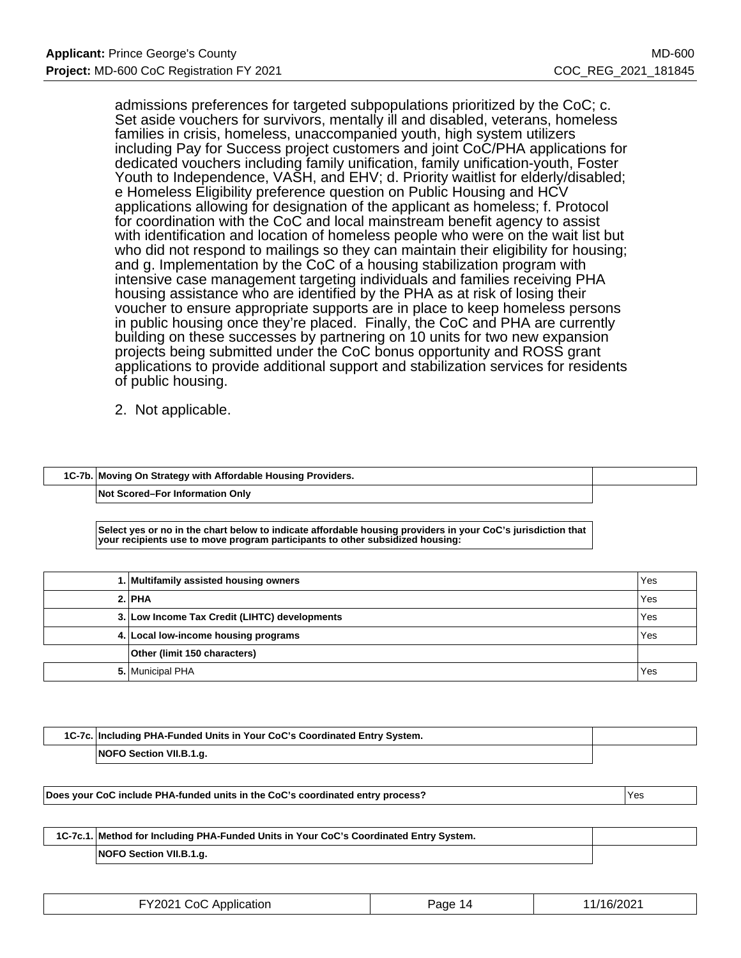admissions preferences for targeted subpopulations prioritized by the CoC; c. Set aside vouchers for survivors, mentally ill and disabled, veterans, homeless families in crisis, homeless, unaccompanied youth, high system utilizers including Pay for Success project customers and joint CoC/PHA applications for dedicated vouchers including family unification, family unification-youth, Foster Youth to Independence, VASH, and EHV; d. Priority waitlist for elderly/disabled; e Homeless Eligibility preference question on Public Housing and HCV applications allowing for designation of the applicant as homeless; f. Protocol for coordination with the CoC and local mainstream benefit agency to assist with identification and location of homeless people who were on the wait list but who did not respond to mailings so they can maintain their eligibility for housing; and g. Implementation by the CoC of a housing stabilization program with intensive case management targeting individuals and families receiving PHA housing assistance who are identified by the PHA as at risk of losing their voucher to ensure appropriate supports are in place to keep homeless persons in public housing once they're placed. Finally, the CoC and PHA are currently building on these successes by partnering on 10 units for two new expansion projects being submitted under the CoC bonus opportunity and ROSS grant applications to provide additional support and stabilization services for residents of public housing.

2. Not applicable.

| 1C-7b. Moving On Strategy with Affordable Housing Providers. |  |
|--------------------------------------------------------------|--|
| Not Scored–For Information Only                              |  |

**Select yes or no in the chart below to indicate affordable housing providers in your CoC's jurisdiction that your recipients use to move program participants to other subsidized housing:**

| 1. Multifamily assisted housing owners        | Yes |
|-----------------------------------------------|-----|
| $2.$ PHA                                      | Yes |
| 3. Low Income Tax Credit (LIHTC) developments | Yes |
| 4. Local low-income housing programs          | Yes |
| Other (limit 150 characters)                  |     |
| 5. Municipal PHA                              | Yes |

| 1C-7c. Including PHA-Funded Units in Your CoC's Coordinated Entry System. |  |
|---------------------------------------------------------------------------|--|
| NOFO Section VII.B.1.g.                                                   |  |

| Does your CoC include PHA-funded units in the CoC's coordinated entry process? |  |
|--------------------------------------------------------------------------------|--|
|                                                                                |  |

| 1C-7c.1. Method for Including PHA-Funded Units in Your CoC's Coordinated Entry System. |  |
|----------------------------------------------------------------------------------------|--|
| NOFO Section VII.B.1.g.                                                                |  |

| FY2021 CoC Application | Page 14 | 11/16/2021 |
|------------------------|---------|------------|
|------------------------|---------|------------|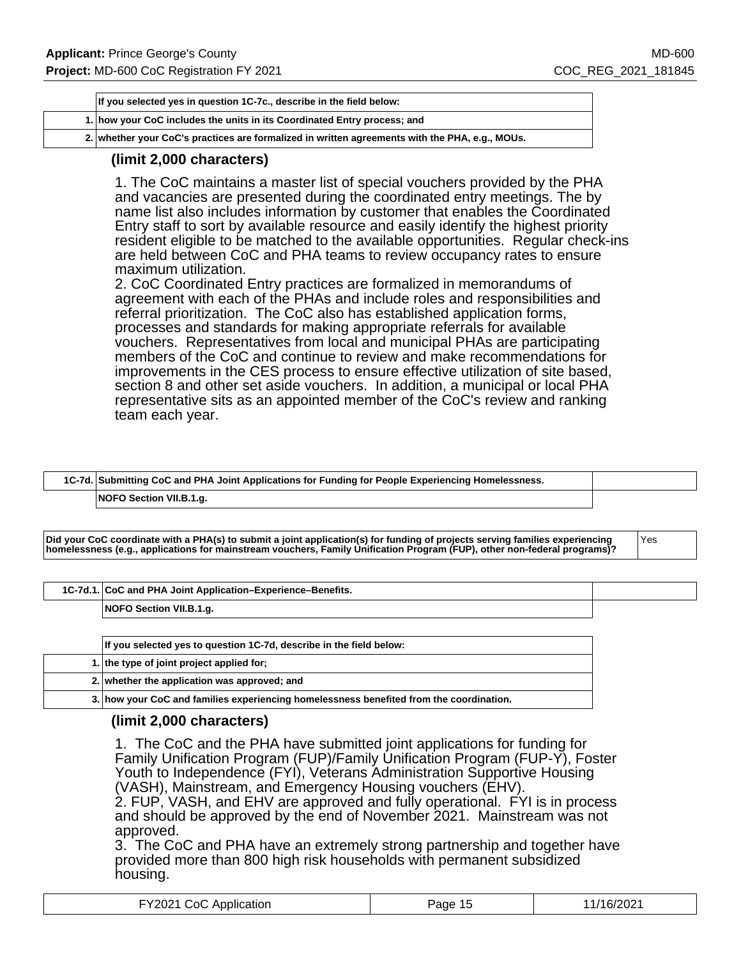| If you selected yes in question 1C-7c., describe in the field below: |                                                                                                |
|----------------------------------------------------------------------|------------------------------------------------------------------------------------------------|
|                                                                      | 1. how your CoC includes the units in its Coordinated Entry process; and                       |
|                                                                      | 2. whether your CoC's practices are formalized in written agreements with the PHA, e.g., MOUs. |

### **(limit 2,000 characters)**

1. The CoC maintains a master list of special vouchers provided by the PHA and vacancies are presented during the coordinated entry meetings. The by name list also includes information by customer that enables the Coordinated Entry staff to sort by available resource and easily identify the highest priority resident eligible to be matched to the available opportunities. Regular check-ins are held between CoC and PHA teams to review occupancy rates to ensure maximum utilization.

2. CoC Coordinated Entry practices are formalized in memorandums of agreement with each of the PHAs and include roles and responsibilities and referral prioritization. The CoC also has established application forms, processes and standards for making appropriate referrals for available vouchers. Representatives from local and municipal PHAs are participating members of the CoC and continue to review and make recommendations for improvements in the CES process to ensure effective utilization of site based, section 8 and other set aside vouchers. In addition, a municipal or local PHA representative sits as an appointed member of the CoC's review and ranking team each year.

| 1C-7d. Submitting CoC and PHA Joint Applications for Funding for People Experiencing Homelessness. |  |
|----------------------------------------------------------------------------------------------------|--|
| NOFO Section VII.B.1.g.                                                                            |  |

**Did your CoC coordinate with a PHA(s) to submit a joint application(s) for funding of projects serving families experiencing homelessness (e.g., applications for mainstream vouchers, Family Unification Program (FUP), other non-federal programs)?**

Yes

| 1C-7d.1. CoC and PHA Joint Application-Experience-Benefits. |
|-------------------------------------------------------------|
|-------------------------------------------------------------|

**NOFO Section VII.B.1.g.**

| If you selected yes to question 1C-7d, describe in the field below:                     |  |
|-----------------------------------------------------------------------------------------|--|
| 1. the type of joint project applied for:                                               |  |
| 2. whether the application was approved; and                                            |  |
| 3. how your CoC and families experiencing homelessness benefited from the coordination. |  |

### **(limit 2,000 characters)**

1. The CoC and the PHA have submitted joint applications for funding for Family Unification Program (FUP)/Family Unification Program (FUP-Y), Foster Youth to Independence (FYI), Veterans Administration Supportive Housing (VASH), Mainstream, and Emergency Housing vouchers (EHV). 2. FUP, VASH, and EHV are approved and fully operational. FYI is in process

and should be approved by the end of November 2021. Mainstream was not approved.

3. The CoC and PHA have an extremely strong partnership and together have provided more than 800 high risk households with permanent subsidized housing.

| FY2021 CoC Application | Page 15 | 11/16/2021 |
|------------------------|---------|------------|
|------------------------|---------|------------|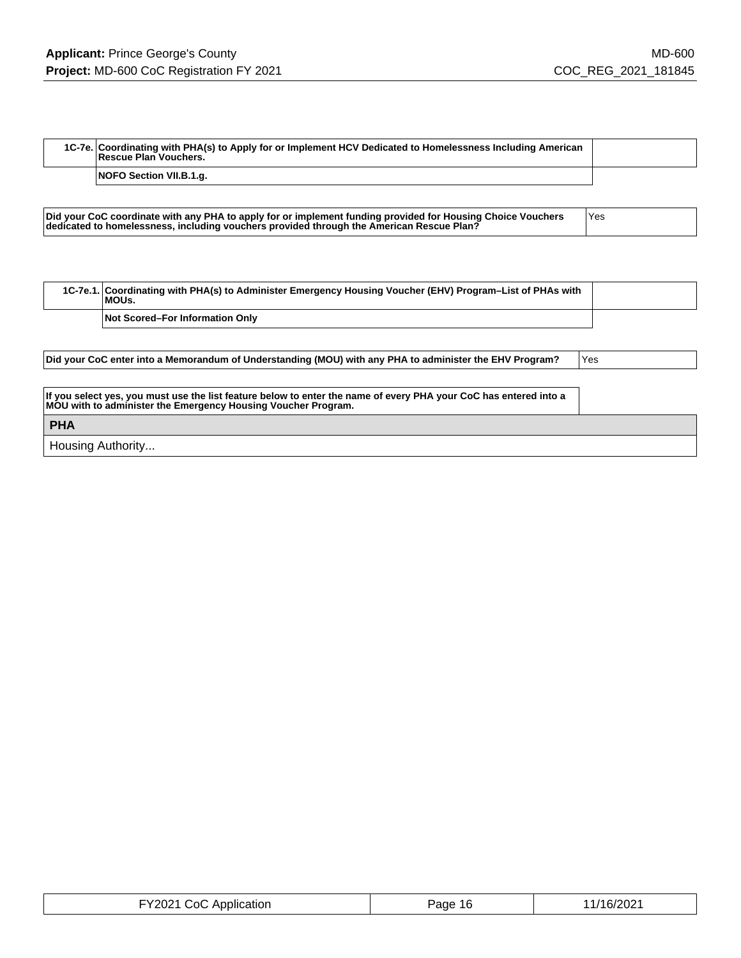Г

| 1C-7e. Coordinating with PHA(s) to Apply for or Implement HCV Dedicated to Homelessness Including American<br>Rescue Plan Vouchers. |  |
|-------------------------------------------------------------------------------------------------------------------------------------|--|
| <b>NOFO Section VII.B.1.g.</b>                                                                                                      |  |

| Did your CoC coordinate with any PHA to apply for or implement funding provided for Housing Choice Vouchers<br>dedicated to homelessness, including vouchers provided through the American Rescue Plan? | <b>Yes</b> |
|---------------------------------------------------------------------------------------------------------------------------------------------------------------------------------------------------------|------------|
|                                                                                                                                                                                                         |            |

| 1C-7e.1. Coordinating with PHA(s) to Administer Emergency Housing Voucher (EHV) Program–List of PHAs with<br>MOUs. |  |
|--------------------------------------------------------------------------------------------------------------------|--|
| <b>Not Scored–For Information Only</b>                                                                             |  |

| Did your CoC enter into a Memorandum of Understanding (MOU) with any PHA to administer the EHV Program?                                                                            | Yes |
|------------------------------------------------------------------------------------------------------------------------------------------------------------------------------------|-----|
|                                                                                                                                                                                    |     |
| If you select yes, you must use the list feature below to enter the name of every PHA your CoC has entered into a<br>MOU with to administer the Emergency Housing Voucher Program. |     |
| <b>PHA</b>                                                                                                                                                                         |     |
| Housing Authority                                                                                                                                                                  |     |

| FY2021 CoC Application | Page 16 | 11/16/2021 |
|------------------------|---------|------------|
|------------------------|---------|------------|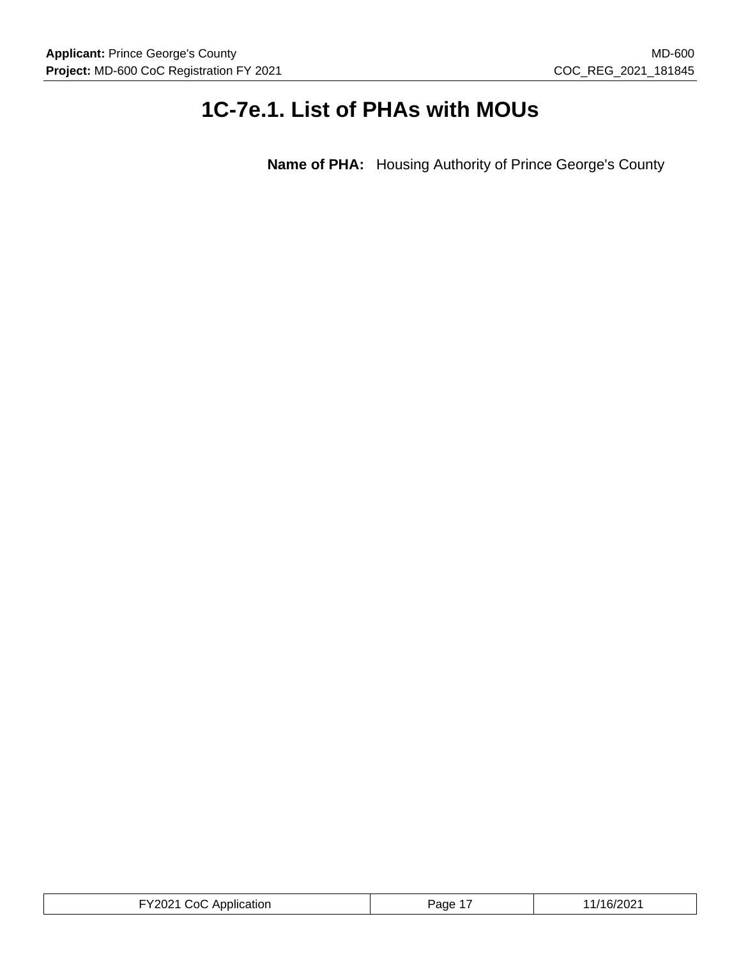# **1C-7e.1. List of PHAs with MOUs**

**Name of PHA:** Housing Authority of Prince George's County

| FY2021 CoC Application<br>$- - - - - - - -$ | Page | /16/2021 |
|---------------------------------------------|------|----------|
|---------------------------------------------|------|----------|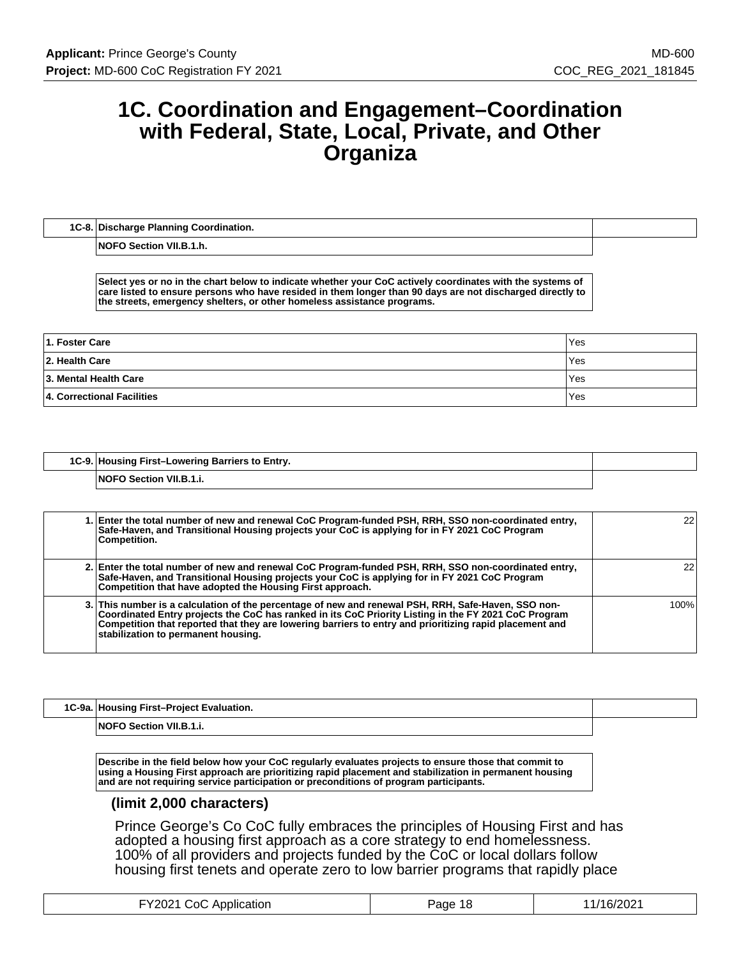# **1C. Coordination and Engagement–Coordination with Federal, State, Local, Private, and Other Organiza**

| 1C-8. Discharge Planning Coordination. |  |
|----------------------------------------|--|
|                                        |  |

**NOFO Section VII.B.1.h.**

**Select yes or no in the chart below to indicate whether your CoC actively coordinates with the systems of care listed to ensure persons who have resided in them longer than 90 days are not discharged directly to the streets, emergency shelters, or other homeless assistance programs.**

| 1. Foster Care             | Yes |
|----------------------------|-----|
| 2. Health Care             | Yes |
| 13. Mental Health Care     | Yes |
| 4. Correctional Facilities | Yes |

| 1C-9. Housing First-Lowering Barriers to Entry. |  |
|-------------------------------------------------|--|
| <b>NOFO Section VII.B.1.i.</b>                  |  |

| 1. Enter the total number of new and renewal CoC Program-funded PSH, RRH, SSO non-coordinated entry,<br>Safe-Haven, and Transitional Housing projects your CoC is applying for in FY 2021 CoC Program<br>Competition.                                                                                                                                         | 22 <sub>1</sub> |
|---------------------------------------------------------------------------------------------------------------------------------------------------------------------------------------------------------------------------------------------------------------------------------------------------------------------------------------------------------------|-----------------|
| 2. Enter the total number of new and renewal CoC Program-funded PSH, RRH, SSO non-coordinated entry,<br>Safe-Haven, and Transitional Housing projects your CoC is applying for in FY 2021 CoC Program<br>Competition that have adopted the Housing First approach.                                                                                            | 22              |
| 3. This number is a calculation of the percentage of new and renewal PSH, RRH, Safe-Haven, SSO non-<br>Coordinated Entry projects the CoC has ranked in its CoC Priority Listing in the FY 2021 CoC Program<br>Competition that reported that they are lowering barriers to entry and prioritizing rapid placement and<br>stabilization to permanent housing. | 100%            |

| 1C-9a. Housing First-Project Evaluation. |  |
|------------------------------------------|--|
| <b>NOFO Section VII.B.1.i.</b>           |  |

**Describe in the field below how your CoC regularly evaluates projects to ensure those that commit to using a Housing First approach are prioritizing rapid placement and stabilization in permanent housing and are not requiring service participation or preconditions of program participants.**

### **(limit 2,000 characters)**

Prince George's Co CoC fully embraces the principles of Housing First and has adopted a housing first approach as a core strategy to end homelessness. 100% of all providers and projects funded by the CoC or local dollars follow housing first tenets and operate zero to low barrier programs that rapidly place

| <b>FY2021 CoC Application</b> | Page 18 | 11/16/2021 |
|-------------------------------|---------|------------|
|-------------------------------|---------|------------|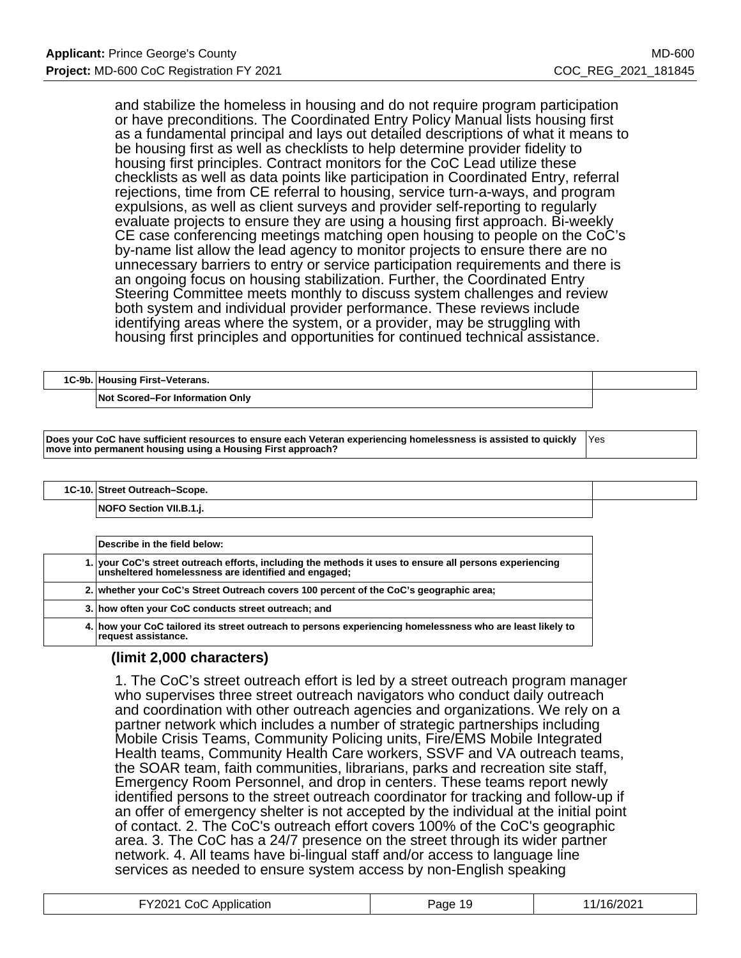and stabilize the homeless in housing and do not require program participation or have preconditions. The Coordinated Entry Policy Manual lists housing first as a fundamental principal and lays out detailed descriptions of what it means to be housing first as well as checklists to help determine provider fidelity to housing first principles. Contract monitors for the CoC Lead utilize these checklists as well as data points like participation in Coordinated Entry, referral rejections, time from CE referral to housing, service turn-a-ways, and program expulsions, as well as client surveys and provider self-reporting to regularly evaluate projects to ensure they are using a housing first approach. Bi-weekly CE case conferencing meetings matching open housing to people on the CoC's by-name list allow the lead agency to monitor projects to ensure there are no unnecessary barriers to entry or service participation requirements and there is an ongoing focus on housing stabilization. Further, the Coordinated Entry Steering Committee meets monthly to discuss system challenges and review both system and individual provider performance. These reviews include identifying areas where the system, or a provider, may be struggling with housing first principles and opportunities for continued technical assistance.

| 1C-9b. Housing First-Veterans.         |  |
|----------------------------------------|--|
| <b>Not Scored–For Information Only</b> |  |

**Does your CoC have sufficient resources to ensure each Veteran experiencing homelessness is assisted to quickly move into permanent housing using a Housing First approach?** Yes

**1C-10. Street Outreach–Scope.**

**NOFO Section VII.B.1.j.**

| Describe in the field below:                                                                                                                                    |
|-----------------------------------------------------------------------------------------------------------------------------------------------------------------|
| 1. your CoC's street outreach efforts, including the methods it uses to ensure all persons experiencing<br>unsheltered homelessness are identified and engaged; |
| 2. whether your CoC's Street Outreach covers 100 percent of the CoC's geographic area;                                                                          |
| 3. how often your CoC conducts street outreach; and                                                                                                             |
| 4. how your CoC tailored its street outreach to persons experiencing homelessness who are least likely to<br>request assistance.                                |

### **(limit 2,000 characters)**

1. The CoC's street outreach effort is led by a street outreach program manager who supervises three street outreach navigators who conduct daily outreach and coordination with other outreach agencies and organizations. We rely on a partner network which includes a number of strategic partnerships including Mobile Crisis Teams, Community Policing units, Fire/EMS Mobile Integrated Health teams, Community Health Care workers, SSVF and VA outreach teams, the SOAR team, faith communities, librarians, parks and recreation site staff, Emergency Room Personnel, and drop in centers. These teams report newly identified persons to the street outreach coordinator for tracking and follow-up if an offer of emergency shelter is not accepted by the individual at the initial point of contact. 2. The CoC's outreach effort covers 100% of the CoC's geographic area. 3. The CoC has a 24/7 presence on the street through its wider partner network. 4. All teams have bi-lingual staff and/or access to language line services as needed to ensure system access by non-English speaking

| FY2021 CoC Application | Page 19 | 11/16/2021 |
|------------------------|---------|------------|
|------------------------|---------|------------|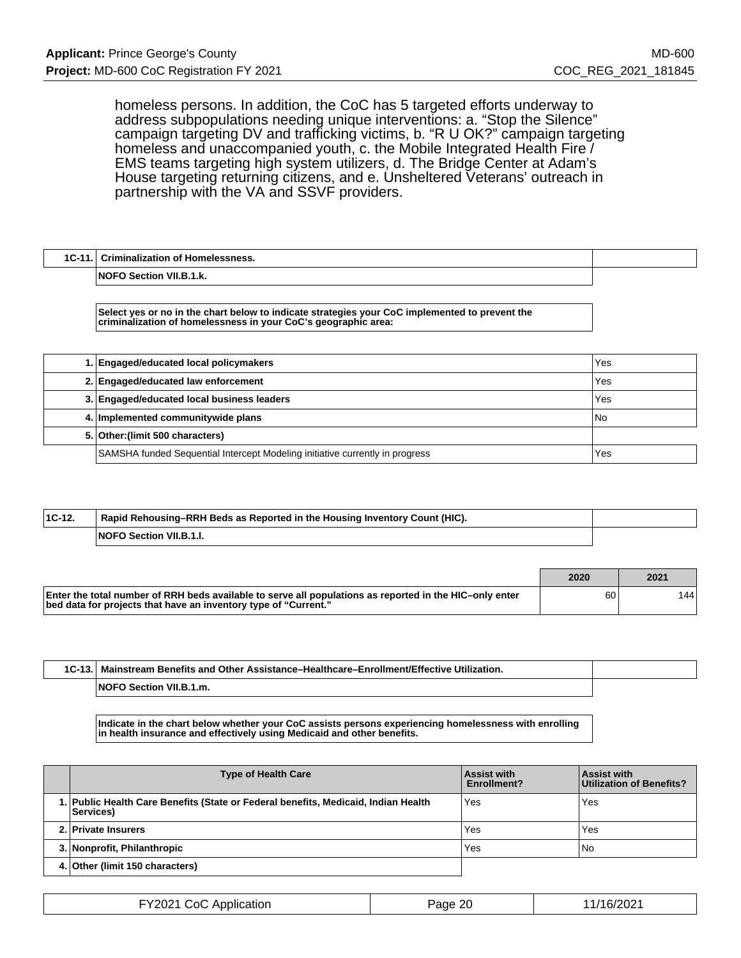homeless persons. In addition, the CoC has 5 targeted efforts underway to address subpopulations needing unique interventions: a. "Stop the Silence" campaign targeting DV and trafficking victims, b. "R U OK?" campaign targeting homeless and unaccompanied youth, c. the Mobile Integrated Health Fire / EMS teams targeting high system utilizers, d. The Bridge Center at Adam's House targeting returning citizens, and e. Unsheltered Veterans' outreach in partnership with the VA and SSVF providers.

| $1C-11.1$ | Criminalization of Homelessness. |  |
|-----------|----------------------------------|--|
|           | <b>NOFO Section VII.B.1.k.</b>   |  |

**Select yes or no in the chart below to indicate strategies your CoC implemented to prevent the criminalization of homelessness in your CoC's geographic area:**

| 1. Engaged/educated local policymakers                                       | Yes  |
|------------------------------------------------------------------------------|------|
| 2. Engaged/educated law enforcement                                          | Yes  |
| 3. Engaged/educated local business leaders                                   | Yes  |
| 4. Implemented communitywide plans                                           | l No |
| 5. Other: (limit 500 characters)                                             |      |
| SAMSHA funded Sequential Intercept Modeling initiative currently in progress | Yes  |

| $ 1C-12 $ | Rapid Rehousing–RRH Beds as Reported in the Housing Inventory Count (HIC). |  |
|-----------|----------------------------------------------------------------------------|--|
|           | NOFO Section VII.B.1.I.                                                    |  |

|                                                                                                                                                                            | 2020 | 2021  |
|----------------------------------------------------------------------------------------------------------------------------------------------------------------------------|------|-------|
| Enter the total number of RRH beds available to serve all populations as reported in the HIC-only enter<br>bed data for projects that have an inventory type of "Current." | 60   | 144 I |

| <b>Enrollment/Effective</b><br>Utilization.<br><b>Mainstream Benefits and Other Assistance–Healthcare–E</b> |  |
|-------------------------------------------------------------------------------------------------------------|--|
| v<br>۱.m<br>:tion                                                                                           |  |

**Indicate in the chart below whether your CoC assists persons experiencing homelessness with enrolling in health insurance and effectively using Medicaid and other benefits.**

| <b>Type of Health Care</b>                                                                              | Assist with<br><b>Enrollment?</b> | Assist with<br>Utilization of Benefits? |
|---------------------------------------------------------------------------------------------------------|-----------------------------------|-----------------------------------------|
| 1. Public Health Care Benefits (State or Federal benefits, Medicaid, Indian Health<br><b>Services</b> ) | Yes                               | Yes                                     |
| 2. Private Insurers                                                                                     | Yes                               | Yes                                     |
| 3. Nonprofit, Philanthropic                                                                             | Yes                               | l No                                    |
| 4. Other (limit 150 characters)                                                                         |                                   |                                         |

| FY2021 CoC A<br><b>C</b> Application | Page 20 | /16/2021 |
|--------------------------------------|---------|----------|
|--------------------------------------|---------|----------|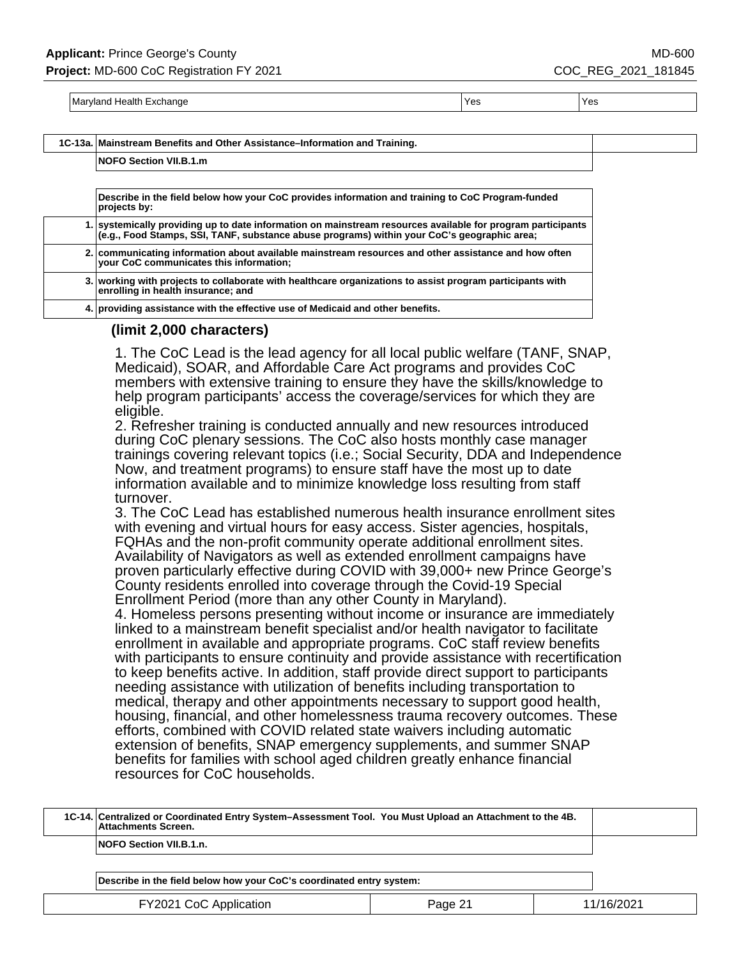Maryland Health Exchange Yes Yes

## **1C-13a. Mainstream Benefits and Other Assistance–Information and Training.**

**NOFO Section VII.B.1.m**

**Describe in the field below how your CoC provides information and training to CoC Program-funded projects by:**

| 1. systemically providing up to date information on mainstream resources available for program participants<br>(e.g., Food Stamps, SSI, TANF, substance abuse programs) within your CoC's geographic area; |
|------------------------------------------------------------------------------------------------------------------------------------------------------------------------------------------------------------|
|                                                                                                                                                                                                            |

**2. communicating information about available mainstream resources and other assistance and how often your CoC communicates this information; 3. working with projects to collaborate with healthcare organizations to assist program participants with enrolling in health insurance; and**

**4. providing assistance with the effective use of Medicaid and other benefits.**

### **(limit 2,000 characters)**

1. The CoC Lead is the lead agency for all local public welfare (TANF, SNAP, Medicaid), SOAR, and Affordable Care Act programs and provides CoC members with extensive training to ensure they have the skills/knowledge to help program participants' access the coverage/services for which they are eligible.

2. Refresher training is conducted annually and new resources introduced during CoC plenary sessions. The CoC also hosts monthly case manager trainings covering relevant topics (i.e.; Social Security, DDA and Independence Now, and treatment programs) to ensure staff have the most up to date information available and to minimize knowledge loss resulting from staff turnover.

3. The CoC Lead has established numerous health insurance enrollment sites with evening and virtual hours for easy access. Sister agencies, hospitals, FQHAs and the non-profit community operate additional enrollment sites. Availability of Navigators as well as extended enrollment campaigns have proven particularly effective during COVID with 39,000+ new Prince George's County residents enrolled into coverage through the Covid-19 Special Enrollment Period (more than any other County in Maryland).

4. Homeless persons presenting without income or insurance are immediately linked to a mainstream benefit specialist and/or health navigator to facilitate enrollment in available and appropriate programs. CoC staff review benefits with participants to ensure continuity and provide assistance with recertification to keep benefits active. In addition, staff provide direct support to participants needing assistance with utilization of benefits including transportation to medical, therapy and other appointments necessary to support good health, housing, financial, and other homelessness trauma recovery outcomes. These efforts, combined with COVID related state waivers including automatic extension of benefits, SNAP emergency supplements, and summer SNAP benefits for families with school aged children greatly enhance financial resources for CoC households.

| 1C-14. Centralized or Coordinated Entry System–Assessment Tool. You Must Upload an Attachment to the 4B.<br>Attachments Screen. |         |            |
|---------------------------------------------------------------------------------------------------------------------------------|---------|------------|
| NOFO Section VII.B.1.n.                                                                                                         |         |            |
|                                                                                                                                 |         |            |
| Describe in the field below how your CoC's coordinated entry system:                                                            |         |            |
| FY2021 CoC Application                                                                                                          | Page 21 | 11/16/2021 |
|                                                                                                                                 |         |            |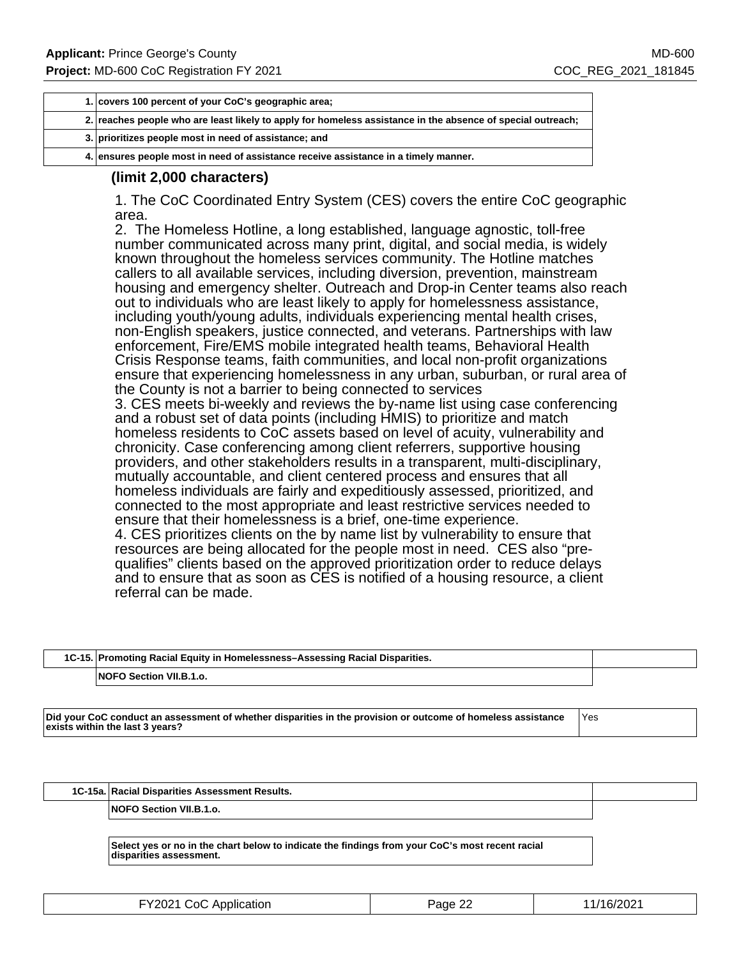| 1. covers 100 percent of your CoC's geographic area;                                                        |  |
|-------------------------------------------------------------------------------------------------------------|--|
| 2. reaches people who are least likely to apply for homeless assistance in the absence of special outreach; |  |
| 3. prioritizes people most in need of assistance; and                                                       |  |
| 4. ensures people most in need of assistance receive assistance in a timely manner.                         |  |

### **(limit 2,000 characters)**

1. The CoC Coordinated Entry System (CES) covers the entire CoC geographic area.

2. The Homeless Hotline, a long established, language agnostic, toll-free number communicated across many print, digital, and social media, is widely known throughout the homeless services community. The Hotline matches callers to all available services, including diversion, prevention, mainstream housing and emergency shelter. Outreach and Drop-in Center teams also reach out to individuals who are least likely to apply for homelessness assistance, including youth/young adults, individuals experiencing mental health crises, non-English speakers, justice connected, and veterans. Partnerships with law enforcement, Fire/EMS mobile integrated health teams, Behavioral Health Crisis Response teams, faith communities, and local non-profit organizations ensure that experiencing homelessness in any urban, suburban, or rural area of the County is not a barrier to being connected to services 3. CES meets bi-weekly and reviews the by-name list using case conferencing and a robust set of data points (including HMIS) to prioritize and match homeless residents to CoC assets based on level of acuity, vulnerability and chronicity. Case conferencing among client referrers, supportive housing providers, and other stakeholders results in a transparent, multi-disciplinary, mutually accountable, and client centered process and ensures that all homeless individuals are fairly and expeditiously assessed, prioritized, and connected to the most appropriate and least restrictive services needed to ensure that their homelessness is a brief, one-time experience. 4. CES prioritizes clients on the by name list by vulnerability to ensure that resources are being allocated for the people most in need. CES also "prequalifies" clients based on the approved prioritization order to reduce delays and to ensure that as soon as CES is notified of a housing resource, a client referral can be made.

| 1C-15. Promoting Racial Equity in Homelessness-Assessing Racial Disparities. |  |
|------------------------------------------------------------------------------|--|
| <b>NOFO Section VII.B.1.o.</b>                                               |  |

**Did your CoC conduct an assessment of whether disparities in the provision or outcome of homeless assistance exists within the last 3 years?**

Yes

**1C-15a. Racial Disparities Assessment Results.**

**NOFO Section VII.B.1.o.**

**Select yes or no in the chart below to indicate the findings from your CoC's most recent racial disparities assessment.**

| FY2021 CoC Application | Page 22 | 11/16/2021 |
|------------------------|---------|------------|
|------------------------|---------|------------|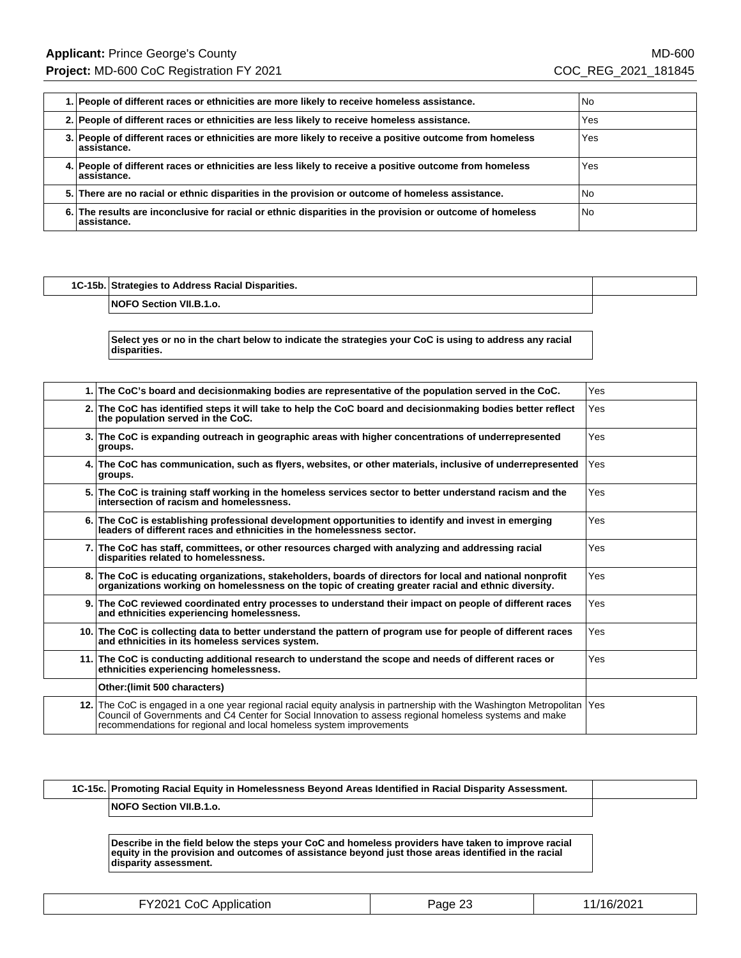| 1. People of different races or ethnicities are more likely to receive homeless assistance.                              | No.  |
|--------------------------------------------------------------------------------------------------------------------------|------|
| 2. People of different races or ethnicities are less likely to receive homeless assistance.                              | Yes  |
| 3. People of different races or ethnicities are more likely to receive a positive outcome from homeless<br>lassistance.  | Yes  |
| 4. People of different races or ethnicities are less likely to receive a positive outcome from homeless<br>lassistance.  | Yes  |
| 5. There are no racial or ethnic disparities in the provision or outcome of homeless assistance.                         | l No |
| 6. The results are inconclusive for racial or ethnic disparities in the provision or outcome of homeless<br>lassistance. | l No |

## **1C-15b. Strategies to Address Racial Disparities. NOFO Section VII.B.1.o.**

**Select yes or no in the chart below to indicate the strategies your CoC is using to address any racial disparities.**

| 1.1  | The CoC's board and decisionmaking bodies are representative of the population served in the CoC.                                                                                                                                                                                                  | Yes |
|------|----------------------------------------------------------------------------------------------------------------------------------------------------------------------------------------------------------------------------------------------------------------------------------------------------|-----|
|      | 2. The CoC has identified steps it will take to help the CoC board and decisionmaking bodies better reflect<br>the population served in the CoC.                                                                                                                                                   | Yes |
|      | 3. The CoC is expanding outreach in geographic areas with higher concentrations of underrepresented<br>groups.                                                                                                                                                                                     | Yes |
|      | 4. The CoC has communication, such as flyers, websites, or other materials, inclusive of underrepresented<br>groups.                                                                                                                                                                               | Yes |
| 5.1  | The CoC is training staff working in the homeless services sector to better understand racism and the<br>intersection of racism and homelessness.                                                                                                                                                  | Yes |
|      | 6. The CoC is establishing professional development opportunities to identify and invest in emerging<br>leaders of different races and ethnicities in the homelessness sector.                                                                                                                     | Yes |
|      | 7. The CoC has staff, committees, or other resources charged with analyzing and addressing racial<br>disparities related to homelessness.                                                                                                                                                          | Yes |
| 8.I  | The CoC is educating organizations, stakeholders, boards of directors for local and national nonprofit<br>organizations working on homelessness on the topic of creating greater racial and ethnic diversity.                                                                                      | Yes |
| 9.1  | The CoC reviewed coordinated entry processes to understand their impact on people of different races<br>and ethnicities experiencing homelessness.                                                                                                                                                 | Yes |
| 10.1 | The CoC is collecting data to better understand the pattern of program use for people of different races<br>and ethnicities in its homeless services system.                                                                                                                                       | Yes |
| 11.1 | The CoC is conducting additional research to understand the scope and needs of different races or<br>ethnicities experiencing homelessness.                                                                                                                                                        | Yes |
|      | Other: (limit 500 characters)                                                                                                                                                                                                                                                                      |     |
| 12.1 | The CoC is engaged in a one year regional racial equity analysis in partnership with the Washington Metropolitan<br>Council of Governments and C4 Center for Social Innovation to assess regional homeless systems and make<br>recommendations for regional and local homeless system improvements | Yes |

| 1C-15c. Promoting Racial Equity in Homelessness Beyond Areas Identified in Racial Disparity Assessment. |  |
|---------------------------------------------------------------------------------------------------------|--|
| <b>NOFO Section VII.B.1.o.</b>                                                                          |  |

**Describe in the field below the steps your CoC and homeless providers have taken to improve racial equity in the provision and outcomes of assistance beyond just those areas identified in the racial disparity assessment.**

| FY2021 CoC Application | Page 23 | 11/16/2021 |
|------------------------|---------|------------|
|------------------------|---------|------------|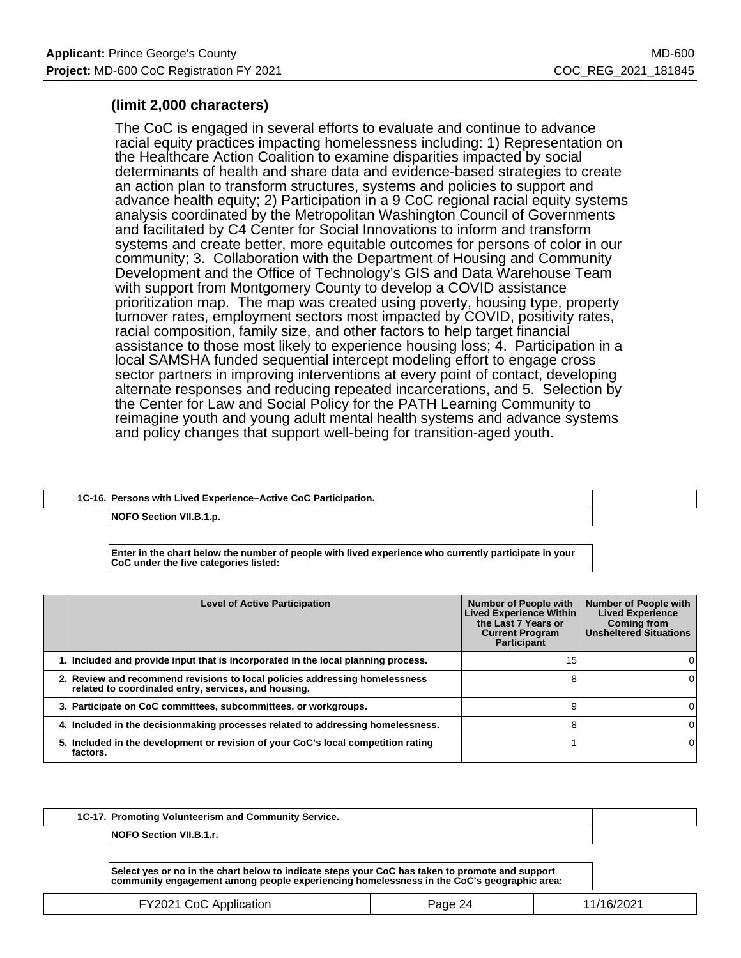### **(limit 2,000 characters)**

The CoC is engaged in several efforts to evaluate and continue to advance racial equity practices impacting homelessness including: 1) Representation on the Healthcare Action Coalition to examine disparities impacted by social determinants of health and share data and evidence-based strategies to create an action plan to transform structures, systems and policies to support and advance health equity; 2) Participation in a 9 CoC regional racial equity systems analysis coordinated by the Metropolitan Washington Council of Governments and facilitated by C4 Center for Social Innovations to inform and transform systems and create better, more equitable outcomes for persons of color in our community; 3. Collaboration with the Department of Housing and Community Development and the Office of Technology's GIS and Data Warehouse Team with support from Montgomery County to develop a COVID assistance prioritization map. The map was created using poverty, housing type, property turnover rates, employment sectors most impacted by COVID, positivity rates, racial composition, family size, and other factors to help target financial assistance to those most likely to experience housing loss; 4. Participation in a local SAMSHA funded sequential intercept modeling effort to engage cross sector partners in improving interventions at every point of contact, developing alternate responses and reducing repeated incarcerations, and 5. Selection by the Center for Law and Social Policy for the PATH Learning Community to reimagine youth and young adult mental health systems and advance systems and policy changes that support well-being for transition-aged youth.

| 1C-16. Persons with Lived Experience–Active CoC Participation. |  |
|----------------------------------------------------------------|--|
| NOFO Section VII.B.1.p.                                        |  |

**Enter in the chart below the number of people with lived experience who currently participate in your CoC under the five categories listed:**

| <b>Level of Active Participation</b>                                                                                                | <b>Number of People with</b><br><b>Lived Experience Within</b><br>the Last 7 Years or<br><b>Current Program</b><br>Participant | <b>Number of People with</b><br><b>Lived Experience</b><br><b>Coming from</b><br><b>Unsheltered Situations</b> |
|-------------------------------------------------------------------------------------------------------------------------------------|--------------------------------------------------------------------------------------------------------------------------------|----------------------------------------------------------------------------------------------------------------|
| 1. Included and provide input that is incorporated in the local planning process.                                                   | 15                                                                                                                             |                                                                                                                |
| 2. Review and recommend revisions to local policies addressing homelessness<br>related to coordinated entry, services, and housing. |                                                                                                                                |                                                                                                                |
| 3. Participate on CoC committees, subcommittees, or workgroups.                                                                     | a                                                                                                                              |                                                                                                                |
| 4. Included in the decisionmaking processes related to addressing homelessness.                                                     |                                                                                                                                |                                                                                                                |
| 5. Included in the development or revision of your CoC's local competition rating<br>⊺factors.                                      |                                                                                                                                |                                                                                                                |

| 1C-17. Promoting Volunteerism and Community Service. |  |
|------------------------------------------------------|--|
| <b>NOFO Section VII.B.1.r.</b>                       |  |

**Select yes or no in the chart below to indicate steps your CoC has taken to promote and support community engagement among people experiencing homelessness in the CoC's geographic area:**

| FY2021 CoC Application | Page 24 | 11/16/2021 |
|------------------------|---------|------------|
|                        |         |            |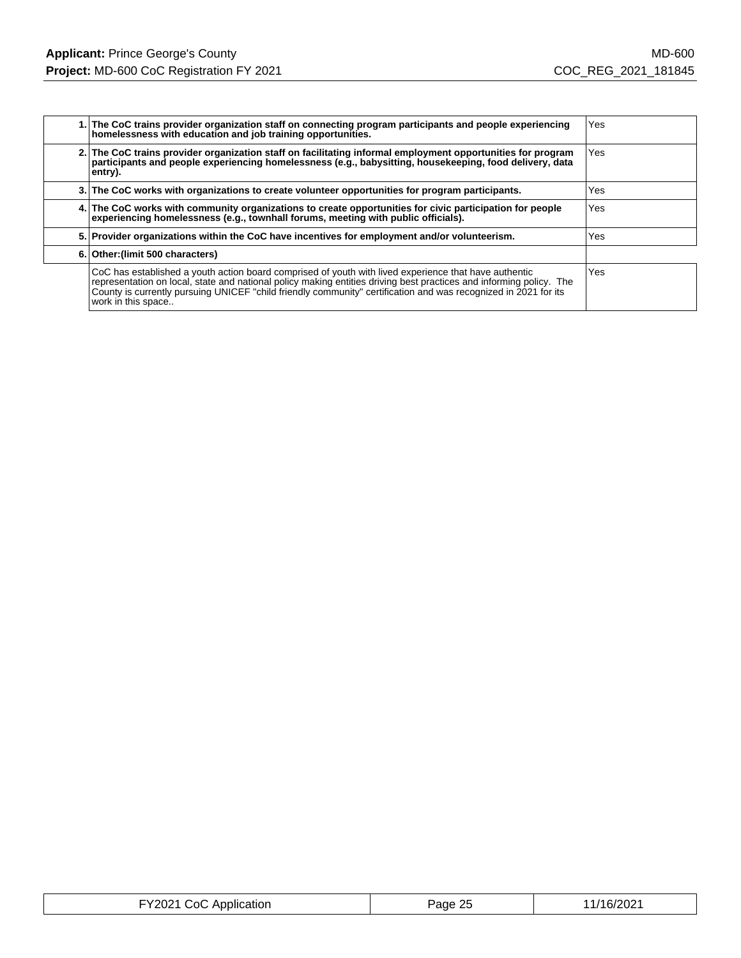| 1. The CoC trains provider organization staff on connecting program participants and people experiencing<br>homelessness with education and job training opportunities.                                                                                                                                                                                               | Yes |
|-----------------------------------------------------------------------------------------------------------------------------------------------------------------------------------------------------------------------------------------------------------------------------------------------------------------------------------------------------------------------|-----|
| 2. The CoC trains provider organization staff on facilitating informal employment opportunities for program<br>participants and people experiencing homelessness (e.g., babysitting, housekeeping, food delivery, data<br>entry).                                                                                                                                     | Yes |
| 3. The CoC works with organizations to create volunteer opportunities for program participants.                                                                                                                                                                                                                                                                       | Yes |
| 4. The CoC works with community organizations to create opportunities for civic participation for people<br>experiencing homelessness (e.g., townhall forums, meeting with public officials).                                                                                                                                                                         | Yes |
| 5. Provider organizations within the CoC have incentives for employment and/or volunteerism.                                                                                                                                                                                                                                                                          | Yes |
| 6. Other: (limit 500 characters)                                                                                                                                                                                                                                                                                                                                      |     |
| CoC has established a youth action board comprised of youth with lived experience that have authentic<br>representation on local, state and national policy making entities driving best practices and informing policy. The<br>County is currently pursuing UNICEF "child friendly community" certification and was recognized in 2021 for its<br>work in this space | Yes |

| FY2021 CoC Application | Page 25 | 11/16/2021 |
|------------------------|---------|------------|
|------------------------|---------|------------|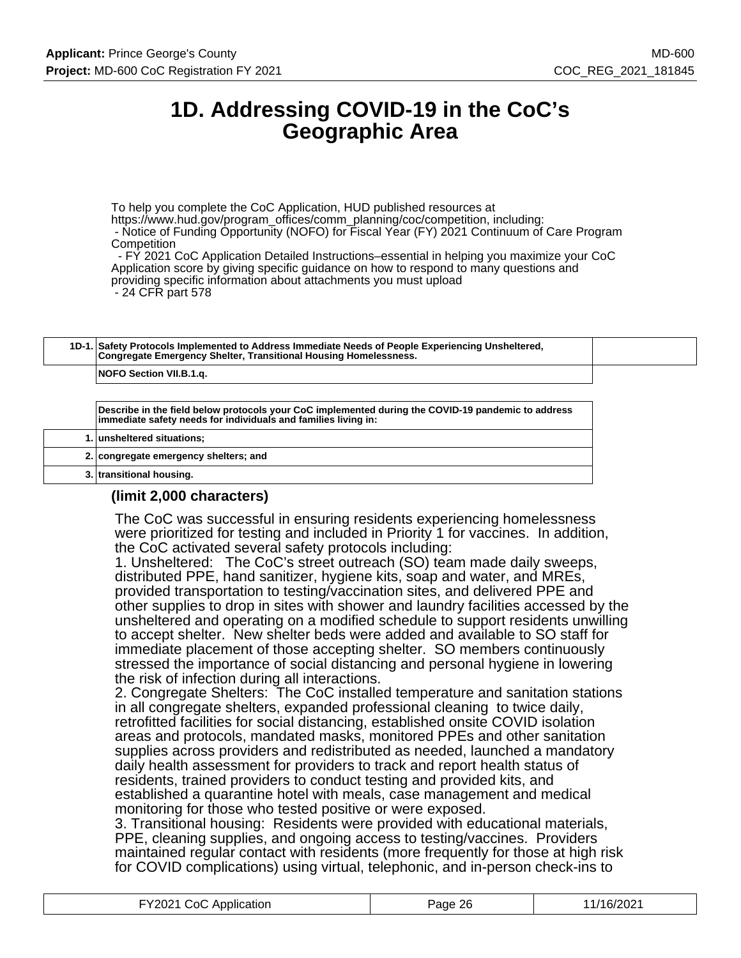# **1D. Addressing COVID-19 in the CoC's Geographic Area**

To help you complete the CoC Application, HUD published resources at https://www.hud.gov/program\_offices/comm\_planning/coc/competition, including: - Notice of Funding Opportunity (NOFO) for Fiscal Year (FY) 2021 Continuum of Care Program **Competition** 

 - FY 2021 CoC Application Detailed Instructions–essential in helping you maximize your CoC Application score by giving specific guidance on how to respond to many questions and providing specific information about attachments you must upload - 24 CFR part 578

|  | 1D-1. Safety Protocols Implemented to Address Immediate Needs of People Experiencing Unsheltered,<br>Congregate Emergency Shelter, Transitional Housing Homelessness. |  |
|--|-----------------------------------------------------------------------------------------------------------------------------------------------------------------------|--|
|  | NOFO Section VII.B.1.g.                                                                                                                                               |  |

**Describe in the field below protocols your CoC implemented during the COVID-19 pandemic to address immediate safety needs for individuals and families living in:**

| 1. unsheltered situations;            |
|---------------------------------------|
| 2. congregate emergency shelters; and |
| 3. transitional housing.              |

## **(limit 2,000 characters)**

The CoC was successful in ensuring residents experiencing homelessness were prioritized for testing and included in Priority 1 for vaccines. In addition, the CoC activated several safety protocols including:

1. Unsheltered: The CoC's street outreach (SO) team made daily sweeps, distributed PPE, hand sanitizer, hygiene kits, soap and water, and MREs, provided transportation to testing/vaccination sites, and delivered PPE and other supplies to drop in sites with shower and laundry facilities accessed by the unsheltered and operating on a modified schedule to support residents unwilling to accept shelter. New shelter beds were added and available to SO staff for immediate placement of those accepting shelter. SO members continuously stressed the importance of social distancing and personal hygiene in lowering the risk of infection during all interactions.

2. Congregate Shelters: The CoC installed temperature and sanitation stations in all congregate shelters, expanded professional cleaning to twice daily, retrofitted facilities for social distancing, established onsite COVID isolation areas and protocols, mandated masks, monitored PPEs and other sanitation supplies across providers and redistributed as needed, launched a mandatory daily health assessment for providers to track and report health status of residents, trained providers to conduct testing and provided kits, and established a quarantine hotel with meals, case management and medical monitoring for those who tested positive or were exposed.

3. Transitional housing: Residents were provided with educational materials, PPE, cleaning supplies, and ongoing access to testing/vaccines. Providers maintained regular contact with residents (more frequently for those at high risk for COVID complications) using virtual, telephonic, and in-person check-ins to

| FY2021 CoC Application | Page 26 | 11/16/2021 |
|------------------------|---------|------------|
|------------------------|---------|------------|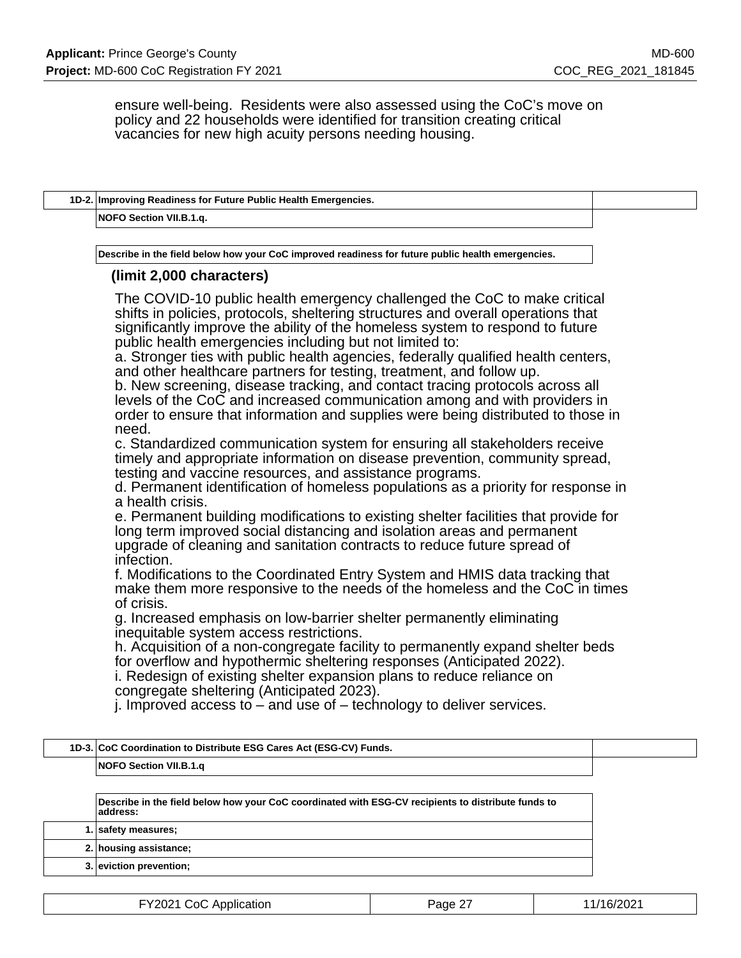ensure well-being. Residents were also assessed using the CoC's move on policy and 22 households were identified for transition creating critical vacancies for new high acuity persons needing housing.

| NOFO Section VII.B.1.q.                                                                                                                                     |                                                                                                                                                                                                                                                                                                                                                                                                                                                                                                                                                                                                                                                                                                                                                                                                                                                                                                                                                                                                                                                                                                                                                                                                                                                                                                                                                                                                                                                                                                                                                                                                                                                                                                 |  |
|-------------------------------------------------------------------------------------------------------------------------------------------------------------|-------------------------------------------------------------------------------------------------------------------------------------------------------------------------------------------------------------------------------------------------------------------------------------------------------------------------------------------------------------------------------------------------------------------------------------------------------------------------------------------------------------------------------------------------------------------------------------------------------------------------------------------------------------------------------------------------------------------------------------------------------------------------------------------------------------------------------------------------------------------------------------------------------------------------------------------------------------------------------------------------------------------------------------------------------------------------------------------------------------------------------------------------------------------------------------------------------------------------------------------------------------------------------------------------------------------------------------------------------------------------------------------------------------------------------------------------------------------------------------------------------------------------------------------------------------------------------------------------------------------------------------------------------------------------------------------------|--|
|                                                                                                                                                             |                                                                                                                                                                                                                                                                                                                                                                                                                                                                                                                                                                                                                                                                                                                                                                                                                                                                                                                                                                                                                                                                                                                                                                                                                                                                                                                                                                                                                                                                                                                                                                                                                                                                                                 |  |
|                                                                                                                                                             | Describe in the field below how your CoC improved readiness for future public health emergencies.                                                                                                                                                                                                                                                                                                                                                                                                                                                                                                                                                                                                                                                                                                                                                                                                                                                                                                                                                                                                                                                                                                                                                                                                                                                                                                                                                                                                                                                                                                                                                                                               |  |
| (limit 2,000 characters)                                                                                                                                    |                                                                                                                                                                                                                                                                                                                                                                                                                                                                                                                                                                                                                                                                                                                                                                                                                                                                                                                                                                                                                                                                                                                                                                                                                                                                                                                                                                                                                                                                                                                                                                                                                                                                                                 |  |
| public health emergencies including but not limited to:<br>need.<br>a health crisis.<br>infection.<br>of crisis.<br>inequitable system access restrictions. | The COVID-10 public health emergency challenged the CoC to make critical<br>shifts in policies, protocols, sheltering structures and overall operations that<br>significantly improve the ability of the homeless system to respond to future<br>a. Stronger ties with public health agencies, federally qualified health centers,<br>and other healthcare partners for testing, treatment, and follow up.<br>b. New screening, disease tracking, and contact tracing protocols across all<br>levels of the CoC and increased communication among and with providers in<br>order to ensure that information and supplies were being distributed to those in<br>c. Standardized communication system for ensuring all stakeholders receive<br>timely and appropriate information on disease prevention, community spread,<br>testing and vaccine resources, and assistance programs.<br>d. Permanent identification of homeless populations as a priority for response in<br>e. Permanent building modifications to existing shelter facilities that provide for<br>long term improved social distancing and isolation areas and permanent<br>upgrade of cleaning and sanitation contracts to reduce future spread of<br>f. Modifications to the Coordinated Entry System and HMIS data tracking that<br>make them more responsive to the needs of the homeless and the CoC in times<br>g. Increased emphasis on low-barrier shelter permanently eliminating<br>h. Acquisition of a non-congregate facility to permanently expand shelter beds<br>for overflow and hypothermic sheltering responses (Anticipated 2022).<br>i. Redesign of existing shelter expansion plans to reduce reliance on |  |
| congregate sheltering (Anticipated 2023).                                                                                                                   |                                                                                                                                                                                                                                                                                                                                                                                                                                                                                                                                                                                                                                                                                                                                                                                                                                                                                                                                                                                                                                                                                                                                                                                                                                                                                                                                                                                                                                                                                                                                                                                                                                                                                                 |  |
| $1D-3.$                                                                                                                                                     | j. Improved access to $-$ and use of $-$ technology to deliver services.                                                                                                                                                                                                                                                                                                                                                                                                                                                                                                                                                                                                                                                                                                                                                                                                                                                                                                                                                                                                                                                                                                                                                                                                                                                                                                                                                                                                                                                                                                                                                                                                                        |  |
| CoC Coordination to Distribute ESG Cares Act (ESG-CV) Funds.<br><b>NOFO Section VII.B.1.q</b>                                                               |                                                                                                                                                                                                                                                                                                                                                                                                                                                                                                                                                                                                                                                                                                                                                                                                                                                                                                                                                                                                                                                                                                                                                                                                                                                                                                                                                                                                                                                                                                                                                                                                                                                                                                 |  |

**Describe in the field below how your CoC coordinated with ESG-CV recipients to distribute funds to address:**

**1. safety measures; 2. housing assistance;**

**3. eviction prevention;**

| FY2021 CoC Application | Page 27 | 11/16/2021 |
|------------------------|---------|------------|
|------------------------|---------|------------|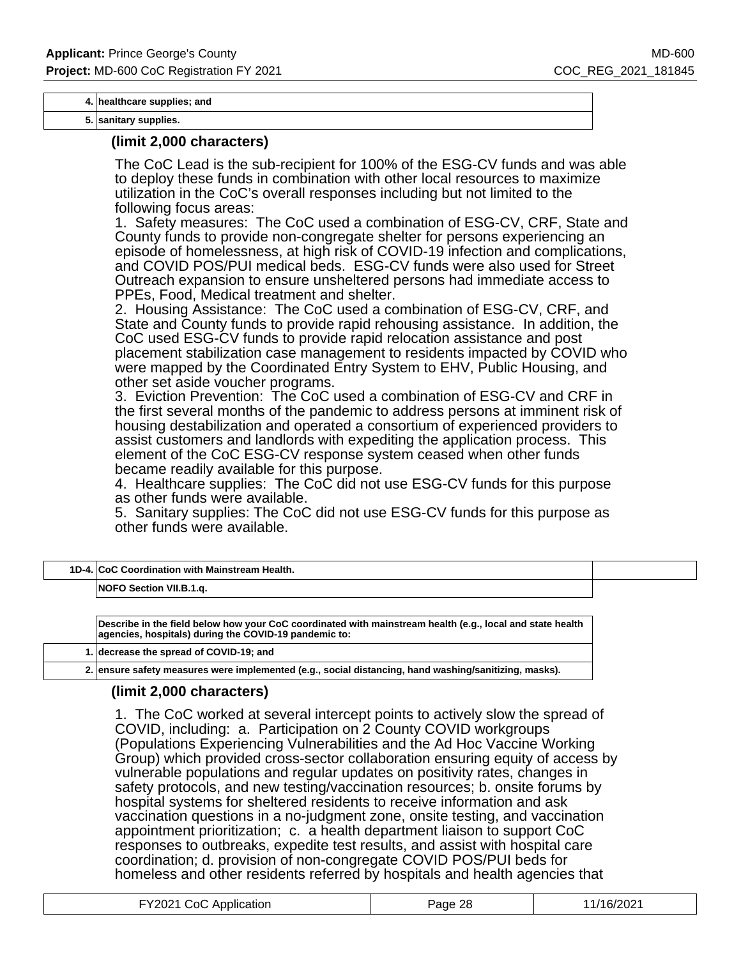**4. healthcare supplies; and**

**5. sanitary supplies.**

#### **(limit 2,000 characters)**

The CoC Lead is the sub-recipient for 100% of the ESG-CV funds and was able to deploy these funds in combination with other local resources to maximize utilization in the CoC's overall responses including but not limited to the following focus areas:

1. Safety measures: The CoC used a combination of ESG-CV, CRF, State and County funds to provide non-congregate shelter for persons experiencing an episode of homelessness, at high risk of COVID-19 infection and complications, and COVID POS/PUI medical beds. ESG-CV funds were also used for Street Outreach expansion to ensure unsheltered persons had immediate access to PPEs, Food, Medical treatment and shelter.

2. Housing Assistance: The CoC used a combination of ESG-CV, CRF, and State and County funds to provide rapid rehousing assistance. In addition, the CoC used ESG-CV funds to provide rapid relocation assistance and post placement stabilization case management to residents impacted by COVID who were mapped by the Coordinated Entry System to EHV, Public Housing, and other set aside voucher programs.

3. Eviction Prevention: The CoC used a combination of ESG-CV and CRF in the first several months of the pandemic to address persons at imminent risk of housing destabilization and operated a consortium of experienced providers to assist customers and landlords with expediting the application process. This element of the CoC ESG-CV response system ceased when other funds became readily available for this purpose.

4. Healthcare supplies: The CoC did not use ESG-CV funds for this purpose as other funds were available.

5. Sanitary supplies: The CoC did not use ESG-CV funds for this purpose as other funds were available.

| 1D-4. CoC Coordination with Mainstream Health. |  |
|------------------------------------------------|--|
| NOFO Section VII.B.1.g.                        |  |
|                                                |  |

**Describe in the field below how your CoC coordinated with mainstream health (e.g., local and state health agencies, hospitals) during the COVID-19 pandemic to:**

**1. decrease the spread of COVID-19; and**

**2. ensure safety measures were implemented (e.g., social distancing, hand washing/sanitizing, masks).**

### **(limit 2,000 characters)**

1. The CoC worked at several intercept points to actively slow the spread of COVID, including: a. Participation on 2 County COVID workgroups (Populations Experiencing Vulnerabilities and the Ad Hoc Vaccine Working Group) which provided cross-sector collaboration ensuring equity of access by vulnerable populations and regular updates on positivity rates, changes in safety protocols, and new testing/vaccination resources; b. onsite forums by hospital systems for sheltered residents to receive information and ask vaccination questions in a no-judgment zone, onsite testing, and vaccination appointment prioritization; c. a health department liaison to support CoC responses to outbreaks, expedite test results, and assist with hospital care coordination; d. provision of non-congregate COVID POS/PUI beds for homeless and other residents referred by hospitals and health agencies that

| FY2021 CoC Application | Page 28 | 11/16/2021 |
|------------------------|---------|------------|
|------------------------|---------|------------|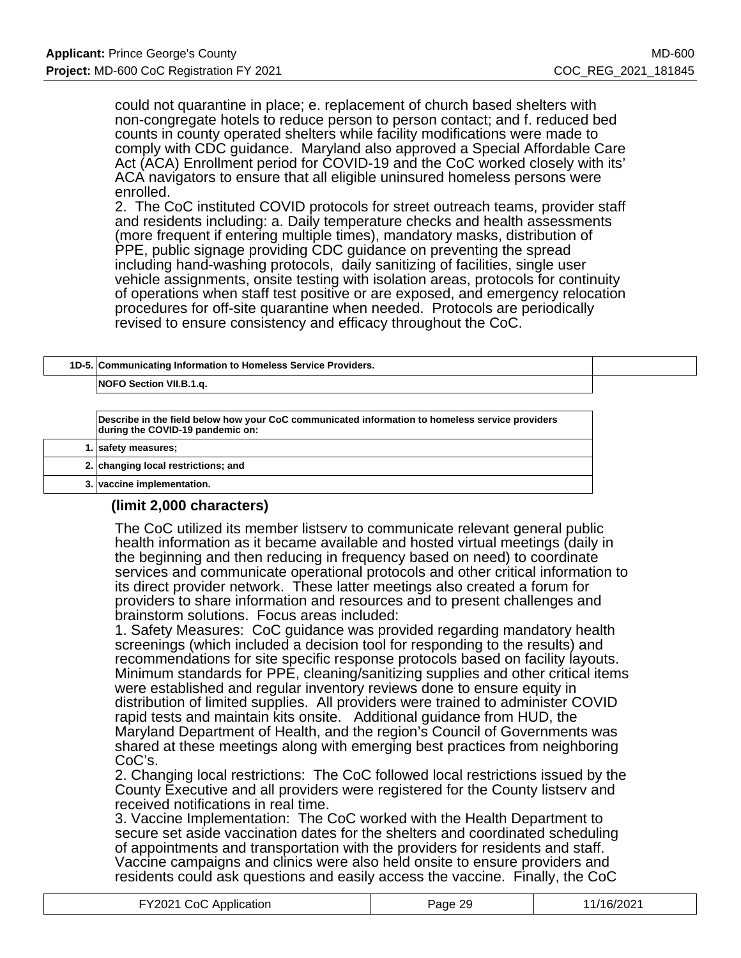could not quarantine in place; e. replacement of church based shelters with non-congregate hotels to reduce person to person contact; and f. reduced bed counts in county operated shelters while facility modifications were made to comply with CDC guidance. Maryland also approved a Special Affordable Care Act (ACA) Enrollment period for COVID-19 and the CoC worked closely with its' ACA navigators to ensure that all eligible uninsured homeless persons were enrolled.

2. The CoC instituted COVID protocols for street outreach teams, provider staff and residents including: a. Daily temperature checks and health assessments (more frequent if entering multiple times), mandatory masks, distribution of PPE, public signage providing CDC guidance on preventing the spread including hand-washing protocols, daily sanitizing of facilities, single user vehicle assignments, onsite testing with isolation areas, protocols for continuity of operations when staff test positive or are exposed, and emergency relocation procedures for off-site quarantine when needed. Protocols are periodically revised to ensure consistency and efficacy throughout the CoC.

| 1D-5. Communicating Information to Homeless Service Providers.                                                                      |
|-------------------------------------------------------------------------------------------------------------------------------------|
| NOFO Section VII.B.1.g.                                                                                                             |
|                                                                                                                                     |
| Describe in the field below how your CoC communicated information to homeless service providers<br>during the COVID-19 pandemic on: |
| 1. safety measures;                                                                                                                 |
| 2. changing local restrictions; and                                                                                                 |
|                                                                                                                                     |

**3. vaccine implementation.**

### **(limit 2,000 characters)**

The CoC utilized its member listserv to communicate relevant general public health information as it became available and hosted virtual meetings (daily in the beginning and then reducing in frequency based on need) to coordinate services and communicate operational protocols and other critical information to its direct provider network. These latter meetings also created a forum for providers to share information and resources and to present challenges and brainstorm solutions. Focus areas included:

1. Safety Measures: CoC guidance was provided regarding mandatory health screenings (which included a decision tool for responding to the results) and recommendations for site specific response protocols based on facility layouts. Minimum standards for PPE, cleaning/sanitizing supplies and other critical items were established and regular inventory reviews done to ensure equity in distribution of limited supplies. All providers were trained to administer COVID rapid tests and maintain kits onsite. Additional guidance from HUD, the Maryland Department of Health, and the region's Council of Governments was shared at these meetings along with emerging best practices from neighboring CoC's.

2. Changing local restrictions: The CoC followed local restrictions issued by the County Executive and all providers were registered for the County listserv and received notifications in real time.

3. Vaccine Implementation: The CoC worked with the Health Department to secure set aside vaccination dates for the shelters and coordinated scheduling of appointments and transportation with the providers for residents and staff. Vaccine campaigns and clinics were also held onsite to ensure providers and residents could ask questions and easily access the vaccine. Finally, the CoC

| FY2021 CoC Application | Page 29 | 11/16/2021 |
|------------------------|---------|------------|
|------------------------|---------|------------|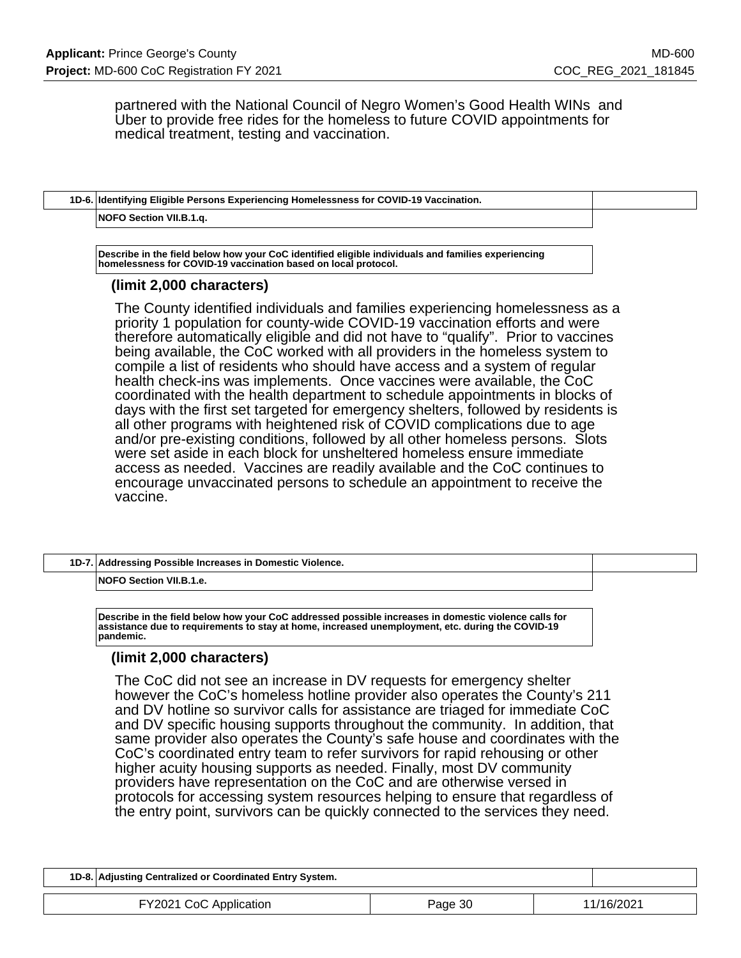partnered with the National Council of Negro Women's Good Health WINs and Uber to provide free rides for the homeless to future COVID appointments for medical treatment, testing and vaccination.

## **1D-6. Identifying Eligible Persons Experiencing Homelessness for COVID-19 Vaccination. NOFO Section VII.B.1.q.**

**Describe in the field below how your CoC identified eligible individuals and families experiencing homelessness for COVID-19 vaccination based on local protocol.**

### **(limit 2,000 characters)**

The County identified individuals and families experiencing homelessness as a priority 1 population for county-wide COVID-19 vaccination efforts and were therefore automatically eligible and did not have to "qualify". Prior to vaccines being available, the CoC worked with all providers in the homeless system to compile a list of residents who should have access and a system of regular health check-ins was implements. Once vaccines were available, the CoC coordinated with the health department to schedule appointments in blocks of days with the first set targeted for emergency shelters, followed by residents is all other programs with heightened risk of COVID complications due to age and/or pre-existing conditions, followed by all other homeless persons. Slots were set aside in each block for unsheltered homeless ensure immediate access as needed. Vaccines are readily available and the CoC continues to encourage unvaccinated persons to schedule an appointment to receive the vaccine.

| 1D-7. Addressing Possible Increases in Domestic Violence. |  |
|-----------------------------------------------------------|--|
| NOFO Section VII.B.1.e.                                   |  |

**Describe in the field below how your CoC addressed possible increases in domestic violence calls for assistance due to requirements to stay at home, increased unemployment, etc. during the COVID-19 pandemic.**

### **(limit 2,000 characters)**

The CoC did not see an increase in DV requests for emergency shelter however the CoC's homeless hotline provider also operates the County's 211 and DV hotline so survivor calls for assistance are triaged for immediate CoC and DV specific housing supports throughout the community. In addition, that same provider also operates the County's safe house and coordinates with the CoC's coordinated entry team to refer survivors for rapid rehousing or other higher acuity housing supports as needed. Finally, most DV community providers have representation on the CoC and are otherwise versed in protocols for accessing system resources helping to ensure that regardless of the entry point, survivors can be quickly connected to the services they need.

| 1D-8. Adjusting Centralized or Coordinated Entry System. |         |            |
|----------------------------------------------------------|---------|------------|
| FY2021 CoC Application                                   | Page 30 | 11/16/2021 |
|                                                          |         |            |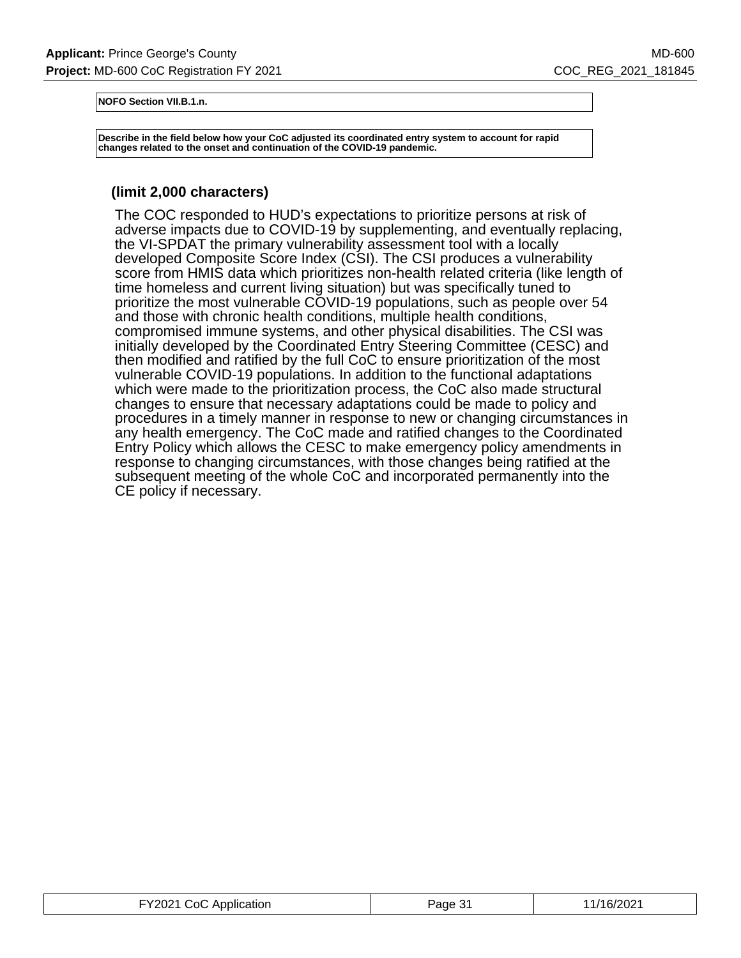**NOFO Section VII.B.1.n.**

**Describe in the field below how your CoC adjusted its coordinated entry system to account for rapid changes related to the onset and continuation of the COVID-19 pandemic.**

## **(limit 2,000 characters)**

The COC responded to HUD's expectations to prioritize persons at risk of adverse impacts due to COVID-19 by supplementing, and eventually replacing, the VI-SPDAT the primary vulnerability assessment tool with a locally developed Composite Score Index (CSI). The CSI produces a vulnerability score from HMIS data which prioritizes non-health related criteria (like length of time homeless and current living situation) but was specifically tuned to prioritize the most vulnerable COVID-19 populations, such as people over 54 and those with chronic health conditions, multiple health conditions, compromised immune systems, and other physical disabilities. The CSI was initially developed by the Coordinated Entry Steering Committee (CESC) and then modified and ratified by the full CoC to ensure prioritization of the most vulnerable COVID-19 populations. In addition to the functional adaptations which were made to the prioritization process, the CoC also made structural changes to ensure that necessary adaptations could be made to policy and procedures in a timely manner in response to new or changing circumstances in any health emergency. The CoC made and ratified changes to the Coordinated Entry Policy which allows the CESC to make emergency policy amendments in response to changing circumstances, with those changes being ratified at the subsequent meeting of the whole CoC and incorporated permanently into the CE policy if necessary.

| FY2021 CoC Application | Page 31 | 11/16/2021 |
|------------------------|---------|------------|
|------------------------|---------|------------|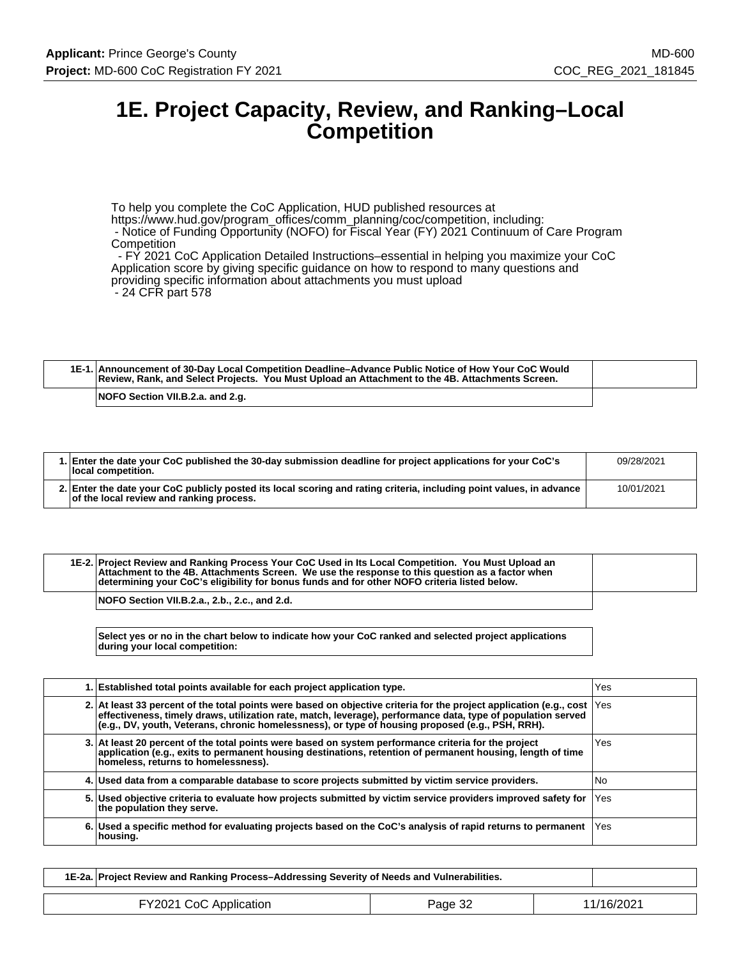# **1E. Project Capacity, Review, and Ranking–Local Competition**

To help you complete the CoC Application, HUD published resources at https://www.hud.gov/program\_offices/comm\_planning/coc/competition, including: - Notice of Funding Opportunity (NOFO) for Fiscal Year (FY) 2021 Continuum of Care Program **Competition** 

 - FY 2021 CoC Application Detailed Instructions–essential in helping you maximize your CoC Application score by giving specific guidance on how to respond to many questions and providing specific information about attachments you must upload - 24 CFR part 578

| 1E-1. Announcement of 30-Day Local Competition Deadline–Advance Public Notice of How Your CoC Would<br>Review, Rank, and Select Projects. You Must Upload an Attachment to the 4B. Attachments Screen. |  |
|--------------------------------------------------------------------------------------------------------------------------------------------------------------------------------------------------------|--|
| NOFO Section VII.B.2.a. and 2.g.                                                                                                                                                                       |  |

| 1. Enter the date your CoC published the 30-day submission deadline for project applications for your CoC's<br>local competition.                                | 09/28/2021 |
|------------------------------------------------------------------------------------------------------------------------------------------------------------------|------------|
| 2. Enter the date your CoC publicly posted its local scoring and rating criteria, including point values, in advance<br>of the local review and ranking process. | 10/01/2021 |

| 1E-2. Project Review and Ranking Process Your CoC Used in Its Local Competition. You Must Upload an<br>Attachment to the 4B. Attachments Screen. We use the response to this question as a factor when<br>determining your CoC's eligibility for bonus funds and for other NOFO criteria listed below. |  |
|--------------------------------------------------------------------------------------------------------------------------------------------------------------------------------------------------------------------------------------------------------------------------------------------------------|--|
| NOFO Section VII.B.2.a., 2.b., 2.c., and 2.d.                                                                                                                                                                                                                                                          |  |

**Select yes or no in the chart below to indicate how your CoC ranked and selected project applications during your local competition:**

| 1. Established total points available for each project application type.                                                                                                                                                                                                                                                                     | Yes  |
|----------------------------------------------------------------------------------------------------------------------------------------------------------------------------------------------------------------------------------------------------------------------------------------------------------------------------------------------|------|
| 2. At least 33 percent of the total points were based on objective criteria for the project application (e.g., cost  Yes<br>effectiveness, timely draws, utilization rate, match, leverage), performance data, type of population served<br>(e.g., DV, youth, Veterans, chronic homelessness), or type of housing proposed (e.g., PSH, RRH). |      |
| 3. At least 20 percent of the total points were based on system performance criteria for the project<br>application (e.g., exits to permanent housing destinations, retention of permanent housing, length of time<br>homeless, returns to homelessness).                                                                                    | Yes  |
| 4. Used data from a comparable database to score projects submitted by victim service providers.                                                                                                                                                                                                                                             | l No |
| 5. Used objective criteria to evaluate how projects submitted by victim service providers improved safety for<br>the population they serve.                                                                                                                                                                                                  | lYes |
| 6. Used a specific method for evaluating projects based on the CoC's analysis of rapid returns to permanent  Yes<br>housing.                                                                                                                                                                                                                 |      |

| 1E-2a. Project Review and Ranking Process–Addressing Severity of Needs and Vulnerabilities. |         |            |
|---------------------------------------------------------------------------------------------|---------|------------|
| FY2021 CoC Application                                                                      | Page 32 | 11/16/2021 |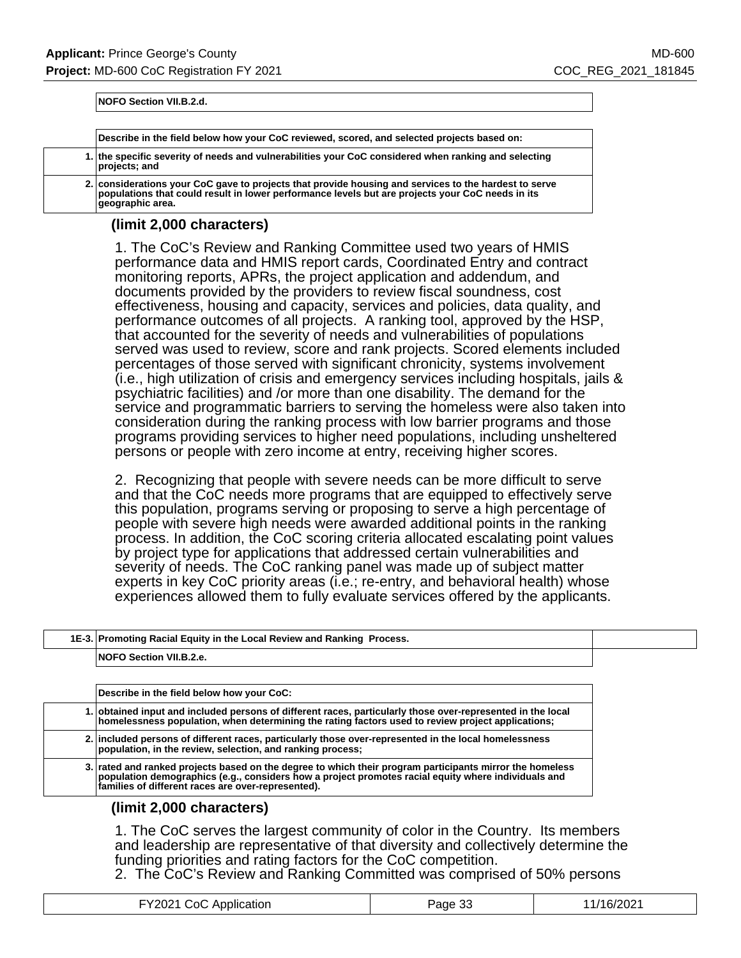**NOFO Section VII.B.2.d.**

| Describe in the field below how your CoC reviewed, scored, and selected projects based on:                                                                                                                                    |
|-------------------------------------------------------------------------------------------------------------------------------------------------------------------------------------------------------------------------------|
| 1. the specific severity of needs and vulnerabilities your CoC considered when ranking and selecting<br>projects; and                                                                                                         |
| 2. considerations your CoC gave to projects that provide housing and services to the hardest to serve<br>populations that could result in lower performance levels but are projects your CoC needs in its<br>qeographic area. |

### **(limit 2,000 characters)**

1. The CoC's Review and Ranking Committee used two years of HMIS performance data and HMIS report cards, Coordinated Entry and contract monitoring reports, APRs, the project application and addendum, and documents provided by the providers to review fiscal soundness, cost effectiveness, housing and capacity, services and policies, data quality, and performance outcomes of all projects. A ranking tool, approved by the HSP, that accounted for the severity of needs and vulnerabilities of populations served was used to review, score and rank projects. Scored elements included percentages of those served with significant chronicity, systems involvement (i.e., high utilization of crisis and emergency services including hospitals, jails & psychiatric facilities) and /or more than one disability. The demand for the service and programmatic barriers to serving the homeless were also taken into consideration during the ranking process with low barrier programs and those programs providing services to higher need populations, including unsheltered persons or people with zero income at entry, receiving higher scores.

2. Recognizing that people with severe needs can be more difficult to serve and that the CoC needs more programs that are equipped to effectively serve this population, programs serving or proposing to serve a high percentage of people with severe high needs were awarded additional points in the ranking process. In addition, the CoC scoring criteria allocated escalating point values by project type for applications that addressed certain vulnerabilities and severity of needs. The CoC ranking panel was made up of subject matter experts in key CoC priority areas (i.e.; re-entry, and behavioral health) whose experiences allowed them to fully evaluate services offered by the applicants.

| 1E-3. Promoting Racial Equity in the Local Review and Ranking Process. |  |
|------------------------------------------------------------------------|--|
| NOFO Section VII.B.2.e.                                                |  |

| Describe in the field below how your CoC:                                                                                                                                                                                                                             |
|-----------------------------------------------------------------------------------------------------------------------------------------------------------------------------------------------------------------------------------------------------------------------|
| 1. obtained input and included persons of different races, particularly those over-represented in the local<br>homelessness population, when determining the rating factors used to review project applications;                                                      |
| 2. included persons of different races, particularly those over-represented in the local homelessness<br>population, in the review, selection, and ranking process;                                                                                                   |
| 3. rated and ranked projects based on the degree to which their program participants mirror the homeless<br>population demographics (e.g., considers how a project promotes racial equity where individuals and<br>families of different races are over-represented). |

### **(limit 2,000 characters)**

1. The CoC serves the largest community of color in the Country. Its members and leadership are representative of that diversity and collectively determine the funding priorities and rating factors for the CoC competition.

2. The CoC's Review and Ranking Committed was comprised of 50% persons

| FY2021 CoC Application | Page 33 | 11/16/2021 |
|------------------------|---------|------------|
|------------------------|---------|------------|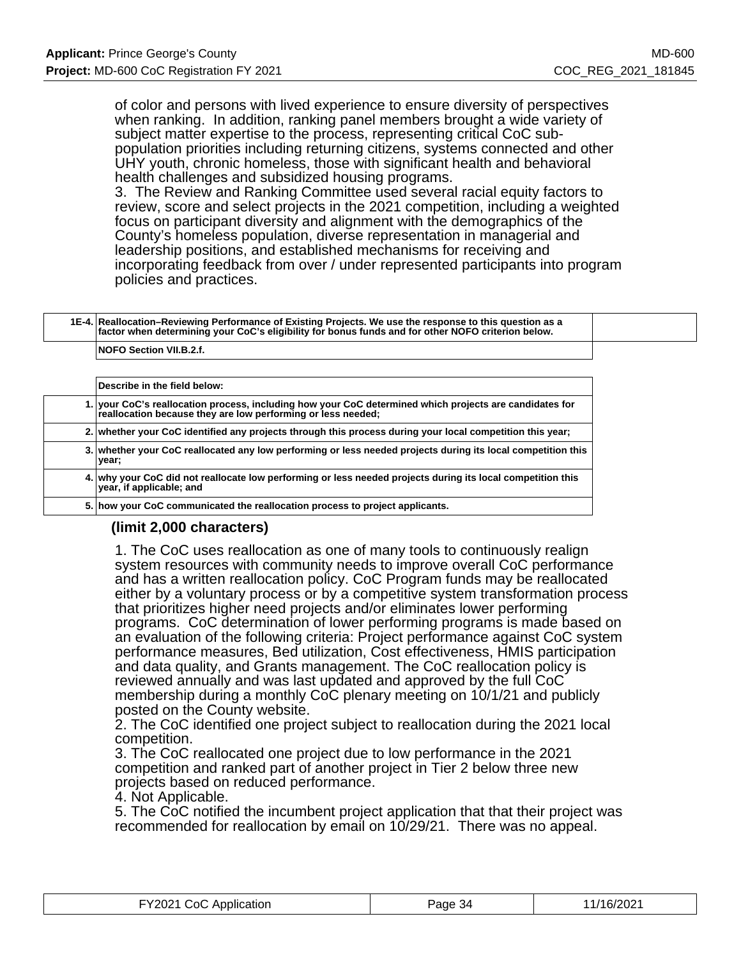of color and persons with lived experience to ensure diversity of perspectives when ranking. In addition, ranking panel members brought a wide variety of subject matter expertise to the process, representing critical CoC subpopulation priorities including returning citizens, systems connected and other UHY youth, chronic homeless, those with significant health and behavioral health challenges and subsidized housing programs.

3. The Review and Ranking Committee used several racial equity factors to review, score and select projects in the 2021 competition, including a weighted focus on participant diversity and alignment with the demographics of the County's homeless population, diverse representation in managerial and leadership positions, and established mechanisms for receiving and incorporating feedback from over / under represented participants into program policies and practices.

### **1E-4. Reallocation–Reviewing Performance of Existing Projects. We use the response to this question as a factor when determining your CoC's eligibility for bonus funds and for other NOFO criterion below.**

**NOFO Section VII.B.2.f.**

| Describe in the field below:                                                                                                                                            |
|-------------------------------------------------------------------------------------------------------------------------------------------------------------------------|
| 1. your CoC's reallocation process, including how your CoC determined which projects are candidates for<br>reallocation because they are low performing or less needed; |
| 2. whether your CoC identified any projects through this process during your local competition this year;                                                               |
| 3. Whether your CoC reallocated any low performing or less needed projects during its local competition this<br>vear;                                                   |
| 4. why your CoC did not reallocate low performing or less needed projects during its local competition this<br>year, if applicable; and                                 |
| 5. how your CoC communicated the reallocation process to project applicants.                                                                                            |

## **(limit 2,000 characters)**

1. The CoC uses reallocation as one of many tools to continuously realign system resources with community needs to improve overall CoC performance and has a written reallocation policy. CoC Program funds may be reallocated either by a voluntary process or by a competitive system transformation process that prioritizes higher need projects and/or eliminates lower performing programs. CoC determination of lower performing programs is made based on an evaluation of the following criteria: Project performance against CoC system performance measures, Bed utilization, Cost effectiveness, HMIS participation and data quality, and Grants management. The CoC reallocation policy is reviewed annually and was last updated and approved by the full CoC membership during a monthly CoC plenary meeting on 10/1/21 and publicly posted on the County website.

2. The CoC identified one project subject to reallocation during the 2021 local competition.

3. The CoC reallocated one project due to low performance in the 2021 competition and ranked part of another project in Tier 2 below three new projects based on reduced performance.

4. Not Applicable.

5. The CoC notified the incumbent project application that that their project was recommended for reallocation by email on 10/29/21. There was no appeal.

| FY2021 CoC Application | Page 34 | 11/16/2021 |
|------------------------|---------|------------|
|------------------------|---------|------------|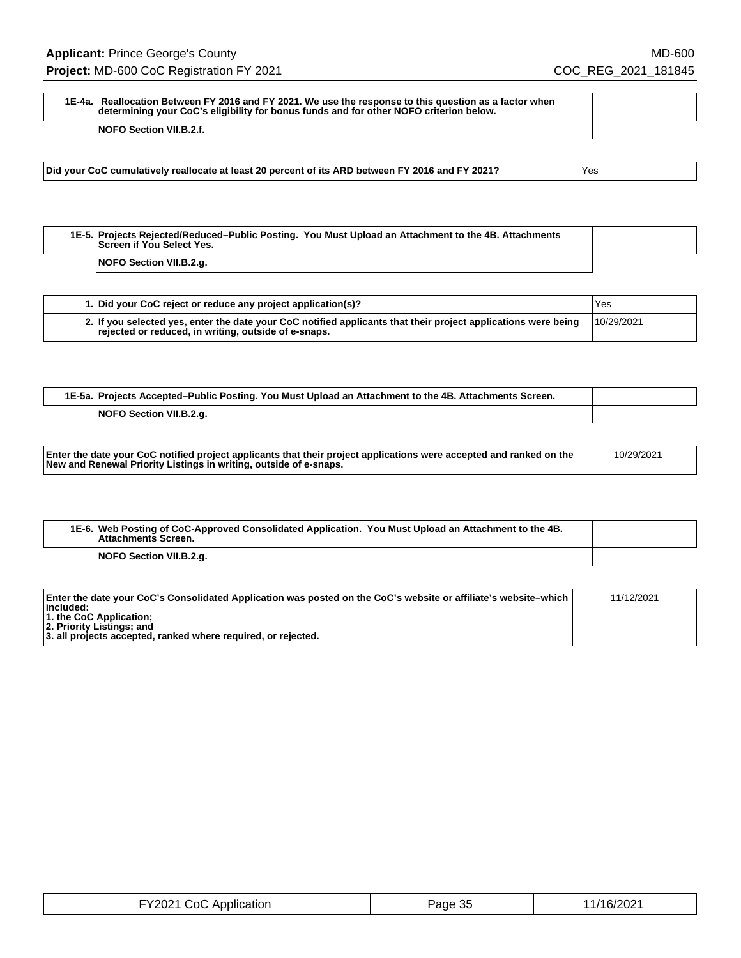| 1E-4a. Reallocation Between FY 2016 and FY 2021. We use the response to this question as a factor when<br>determining your CoC's eligibility for bonus funds and for other NOFO criterion below. |  |
|--------------------------------------------------------------------------------------------------------------------------------------------------------------------------------------------------|--|
| <b>NOFO Section VII.B.2.f.</b>                                                                                                                                                                   |  |

**Did your CoC cumulatively reallocate at least 20 percent of its ARD between FY 2016 and FY 2021?** Yes

**1E-5. Projects Rejected/Reduced–Public Posting. You Must Upload an Attachment to the 4B. Attachments Screen if You Select Yes. NOFO Section VII.B.2.g.**

| 1. Did your CoC reject or reduce any project application(s)?                                                                                                           | Yes        |
|------------------------------------------------------------------------------------------------------------------------------------------------------------------------|------------|
| 2. If you selected yes, enter the date your CoC notified applicants that their project applications were being<br>rejected or reduced, in writing, outside of e-snaps. | 10/29/2021 |

| 1E-5a. Projects Accepted–Public Posting. You Must Upload an Attachment to the 4B. Attachments Screen. |  |
|-------------------------------------------------------------------------------------------------------|--|
| NOFO Section VII.B.2.g.                                                                               |  |

| New and Renewal Priority Listings in writing, outside of e-snaps. | Enter the date your CoC notified project applicants that their project applications were accepted and ranked on the | 10/29/2021 |
|-------------------------------------------------------------------|---------------------------------------------------------------------------------------------------------------------|------------|
|-------------------------------------------------------------------|---------------------------------------------------------------------------------------------------------------------|------------|

| 1E-6. Web Posting of CoC-Approved Consolidated Application. You Must Upload an Attachment to the 4B.<br>Attachments Screen. |  |
|-----------------------------------------------------------------------------------------------------------------------------|--|
| NOFO Section VII.B.2.g.                                                                                                     |  |

| Enter the date your CoC's Consolidated Application was posted on the CoC's website or affiliate's website–which | 11/12/2021 |
|-----------------------------------------------------------------------------------------------------------------|------------|
| $ $ included:<br>1. the CoC Application;                                                                        |            |
| 2. Priority Listings; and                                                                                       |            |
| 3. all projects accepted, ranked where required, or rejected.                                                   |            |

| FY2021 CoC Application | Page 35 | 11/16/2021 |
|------------------------|---------|------------|
|------------------------|---------|------------|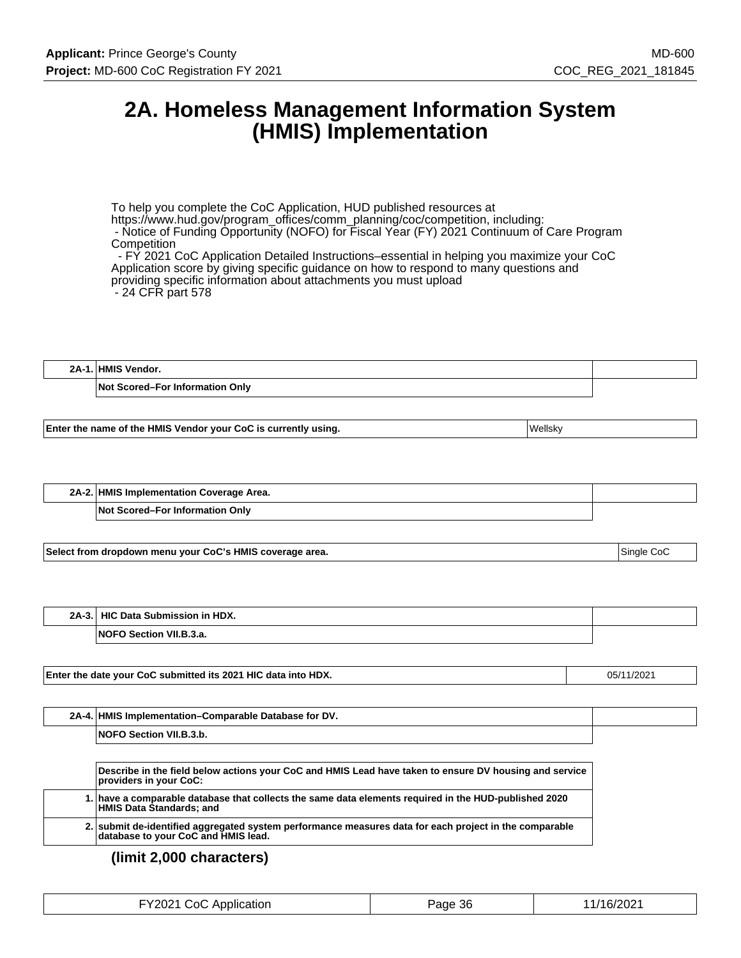# **2A. Homeless Management Information System (HMIS) Implementation**

To help you complete the CoC Application, HUD published resources at https://www.hud.gov/program\_offices/comm\_planning/coc/competition, including: - Notice of Funding Opportunity (NOFO) for Fiscal Year (FY) 2021 Continuum of Care Program **Competition**  - FY 2021 CoC Application Detailed Instructions–essential in helping you maximize your CoC Application score by giving specific guidance on how to respond to many questions and providing specific information about attachments you must upload

- 24 CFR part 578

| 2A | <b>HMIS</b><br>Vendor.                                |  |
|----|-------------------------------------------------------|--|
|    | <b>Not</b><br>. Onlv<br><b>Scored–For Information</b> |  |

**Enter the name of the HMIS Vendor your CoC is currently using.** The matter of the UNESKy

| 2A-2. HMIS Implementation Coverage Area. |  |
|------------------------------------------|--|
| <b>Not Scored–For Information Only</b>   |  |

**Select from dropdown menu your CoC's HMIS coverage area.** Single CoC states and the state of single CoC states and single CoC

| $2A-3.$ | Data Submission in HDX.<br><b>HIC</b>     |  |
|---------|-------------------------------------------|--|
|         | <b>INOFC</b><br>Section VII.<br>ີ ໃລ<br>a |  |

**Enter the date your CoC submitted its 2021 HIC data into HDX. Canadian Cock 2021 HIC data into HDX. 15/11/2021** 

| 2A-4 | . HMIS Implementation–Comparable Database for DV. |  |
|------|---------------------------------------------------|--|
|      | <b>NOFO Section VII.B.3.b.</b>                    |  |

| Describe in the field below actions your CoC and HMIS Lead have taken to ensure DV housing and service<br>providers in your CoC:              |
|-----------------------------------------------------------------------------------------------------------------------------------------------|
| 1. have a comparable database that collects the same data elements required in the HUD-published 2020<br><b>HMIS Data Standards; and</b>      |
| 2. submit de-identified aggregated system performance measures data for each project in the comparable<br>database to your CoC and HMIS lead. |

**(limit 2,000 characters)**

|  | FY2021 CoC Application | Page 36 | 11/16/2021 |
|--|------------------------|---------|------------|
|--|------------------------|---------|------------|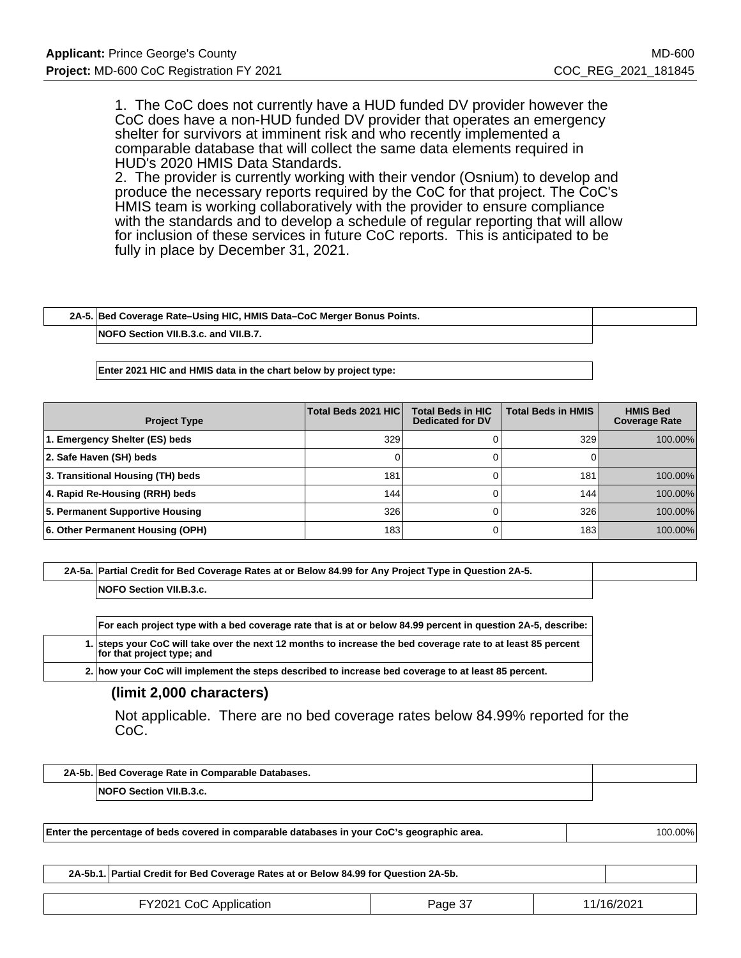1. The CoC does not currently have a HUD funded DV provider however the CoC does have a non-HUD funded DV provider that operates an emergency shelter for survivors at imminent risk and who recently implemented a comparable database that will collect the same data elements required in HUD's 2020 HMIS Data Standards.

2. The provider is currently working with their vendor (Osnium) to develop and produce the necessary reports required by the CoC for that project. The CoC's HMIS team is working collaboratively with the provider to ensure compliance with the standards and to develop a schedule of regular reporting that will allow for inclusion of these services in future CoC reports. This is anticipated to be fully in place by December 31, 2021.

| 2A-5. Bed Coverage Rate-Using HIC, HMIS Data-CoC Merger Bonus Points. |  |
|-----------------------------------------------------------------------|--|
| NOFO Section VII.B.3.c. and VII.B.7.                                  |  |

**Enter 2021 HIC and HMIS data in the chart below by project type:**

| <b>Project Type</b>               | Total Beds 2021 HIC | <b>Total Beds in HIC</b><br><b>Dedicated for DV</b> | <b>Total Beds in HMIS</b> | <b>HMIS Bed</b><br><b>Coverage Rate</b> |
|-----------------------------------|---------------------|-----------------------------------------------------|---------------------------|-----------------------------------------|
| 1. Emergency Shelter (ES) beds    | 329                 |                                                     | 329                       | 100.00%                                 |
| 2. Safe Haven (SH) beds           |                     |                                                     |                           |                                         |
| 3. Transitional Housing (TH) beds | 181                 |                                                     | 181                       | 100.00%                                 |
| 4. Rapid Re-Housing (RRH) beds    | 144                 |                                                     | 144                       | 100.00%                                 |
| 5. Permanent Supportive Housing   | 326                 |                                                     | 326                       | 100.00%                                 |
| 6. Other Permanent Housing (OPH)  | 183                 |                                                     | 183                       | 100.00%                                 |

**2A-5a. Partial Credit for Bed Coverage Rates at or Below 84.99 for Any Project Type in Question 2A-5. NOFO Section VII.B.3.c.**

| For each project type with a bed coverage rate that is at or below 84.99 percent in question 2A-5, describe:                               |  |  |
|--------------------------------------------------------------------------------------------------------------------------------------------|--|--|
| 1. steps your CoC will take over the next 12 months to increase the bed coverage rate to at least 85 percent<br>for that project type; and |  |  |
| 2. how your CoC will implement the steps described to increase bed coverage to at least 85 percent.                                        |  |  |

#### **(limit 2,000 characters)**

Not applicable. There are no bed coverage rates below 84.99% reported for the CoC.

| 2A-5b. Bed Coverage Rate in Comparable Databases. |                                |  |
|---------------------------------------------------|--------------------------------|--|
|                                                   | <b>NOFO Section VII.B.3.c.</b> |  |

**Enter the percentage of beds covered in comparable databases in your CoC's geographic area.** 100.000 100.00%

**2A-5b.1. Partial Credit for Bed Coverage Rates at or Below 84.99 for Question 2A-5b.** FY2021 CoC Application **Page 37** 11/16/2021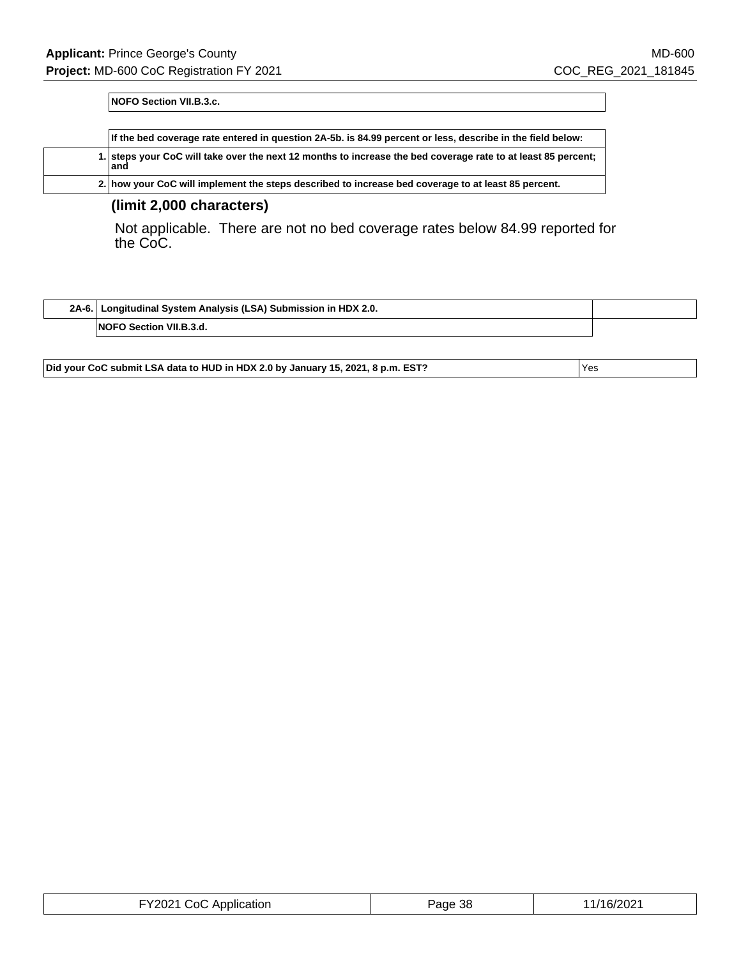**NOFO Section VII.B.3.c.**

|      |  | If the bed coverage rate entered in question 2A-5b. is 84.99 percent or less, describe in the field below:    |
|------|--|---------------------------------------------------------------------------------------------------------------|
| land |  | 1. steps your CoC will take over the next 12 months to increase the bed coverage rate to at least 85 percent; |
|      |  | 2. how your CoC will implement the steps described to increase bed coverage to at least 85 percent.           |

### **(limit 2,000 characters)**

Not applicable. There are not no bed coverage rates below 84.99 reported for the CoC.

| 2A-6. | I Longitudinal System Analysis (LSA) Submission in HDX 2.0. |  |
|-------|-------------------------------------------------------------|--|
|       | <b>NOFO Section VII.B.3.d.</b>                              |  |

**Did your CoC submit LSA data to HUD in HDX 2.0 by January 15, 2021, 8 p.m. EST?** Yes

| FY2021 CoC Application | Page 38 | 11/16/2021 |
|------------------------|---------|------------|
|------------------------|---------|------------|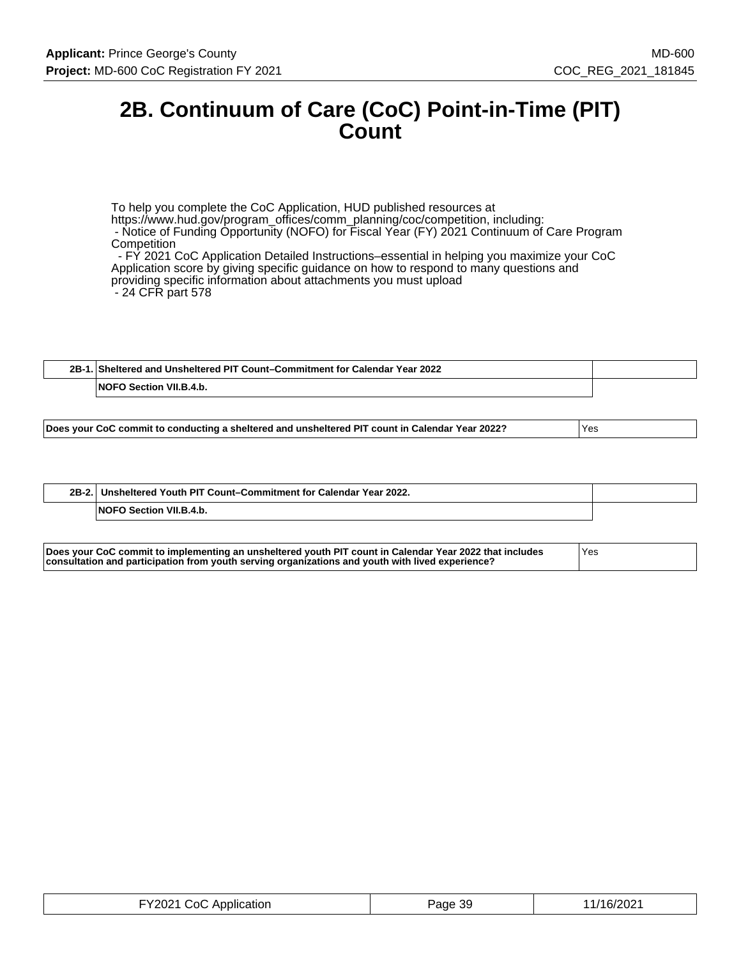# **2B. Continuum of Care (CoC) Point-in-Time (PIT) Count**

To help you complete the CoC Application, HUD published resources at https://www.hud.gov/program\_offices/comm\_planning/coc/competition, including: - Notice of Funding Opportunity (NOFO) for Fiscal Year (FY) 2021 Continuum of Care Program **Competition**  - FY 2021 CoC Application Detailed Instructions–essential in helping you maximize your CoC Application score by giving specific guidance on how to respond to many questions and providing specific information about attachments you must upload - 24 CFR part 578

| Sheltered and Unsheltered PIT Count–Commitment for Calendar Year 2022.<br>$2B-1$ |                                   |  |
|----------------------------------------------------------------------------------|-----------------------------------|--|
|                                                                                  | Section VII.B.4.b.<br><b>NOFO</b> |  |

| $2B-2.$ | Unsheltered Youth PIT Count-Commitment for Calendar Year 2022. |  |
|---------|----------------------------------------------------------------|--|
|         | <b>NOFO Section VII.B.4.b.</b>                                 |  |

| Does your CoC commit to implementing an unsheltered youth PIT count in Calendar Year 2022 that includes | 'Yes |
|---------------------------------------------------------------------------------------------------------|------|
| consultation and participation from youth serving organizations and youth with lived experience?        |      |

| FY2021 CoC Application<br>Page 39 | 11/16/2021 |
|-----------------------------------|------------|
|-----------------------------------|------------|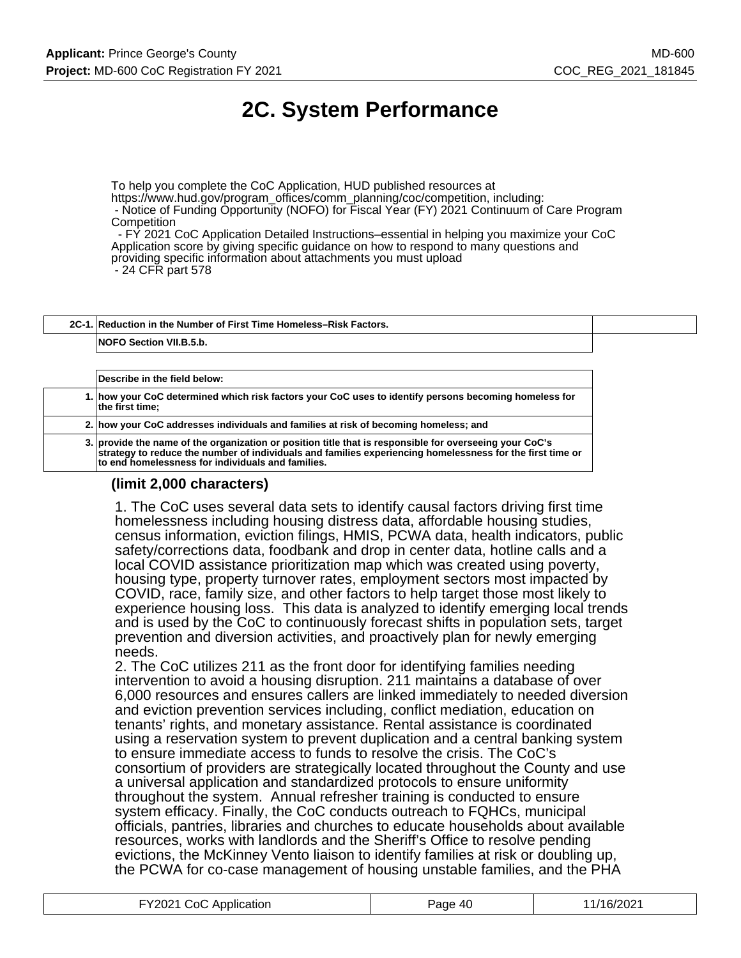# **2C. System Performance**

To help you complete the CoC Application, HUD published resources at https://www.hud.gov/program\_offices/comm\_planning/coc/competition, including: - Notice of Funding Opportunity (NOFO) for Fiscal Year (FY) 2021 Continuum of Care Program **Competition** 

 - FY 2021 CoC Application Detailed Instructions–essential in helping you maximize your CoC Application score by giving specific guidance on how to respond to many questions and providing specific information about attachments you must upload - 24 CFR part 578

**2C-1. Reduction in the Number of First Time Homeless–Risk Factors. NOFO Section VII.B.5.b.**

**Describe in the field below: 1. how your CoC determined which risk factors your CoC uses to identify persons becoming homeless for the first time; 2. how your CoC addresses individuals and families at risk of becoming homeless; and 3. provide the name of the organization or position title that is responsible for overseeing your CoC's strategy to reduce the number of individuals and families experiencing homelessness for the first time or to end homelessness for individuals and families.**

### **(limit 2,000 characters)**

1. The CoC uses several data sets to identify causal factors driving first time homelessness including housing distress data, affordable housing studies, census information, eviction filings, HMIS, PCWA data, health indicators, public safety/corrections data, foodbank and drop in center data, hotline calls and a local COVID assistance prioritization map which was created using poverty, housing type, property turnover rates, employment sectors most impacted by COVID, race, family size, and other factors to help target those most likely to experience housing loss. This data is analyzed to identify emerging local trends and is used by the CoC to continuously forecast shifts in population sets, target prevention and diversion activities, and proactively plan for newly emerging needs.

2. The CoC utilizes 211 as the front door for identifying families needing intervention to avoid a housing disruption. 211 maintains a database of over 6,000 resources and ensures callers are linked immediately to needed diversion and eviction prevention services including, conflict mediation, education on tenants' rights, and monetary assistance. Rental assistance is coordinated using a reservation system to prevent duplication and a central banking system to ensure immediate access to funds to resolve the crisis. The CoC's consortium of providers are strategically located throughout the County and use a universal application and standardized protocols to ensure uniformity throughout the system. Annual refresher training is conducted to ensure system efficacy. Finally, the CoC conducts outreach to FQHCs, municipal officials, pantries, libraries and churches to educate households about available resources, works with landlords and the Sheriff's Office to resolve pending evictions, the McKinney Vento liaison to identify families at risk or doubling up, the PCWA for co-case management of housing unstable families, and the PHA

| FY2021 CoC Application | Page 40 | 11/16/2021 |
|------------------------|---------|------------|
|                        |         |            |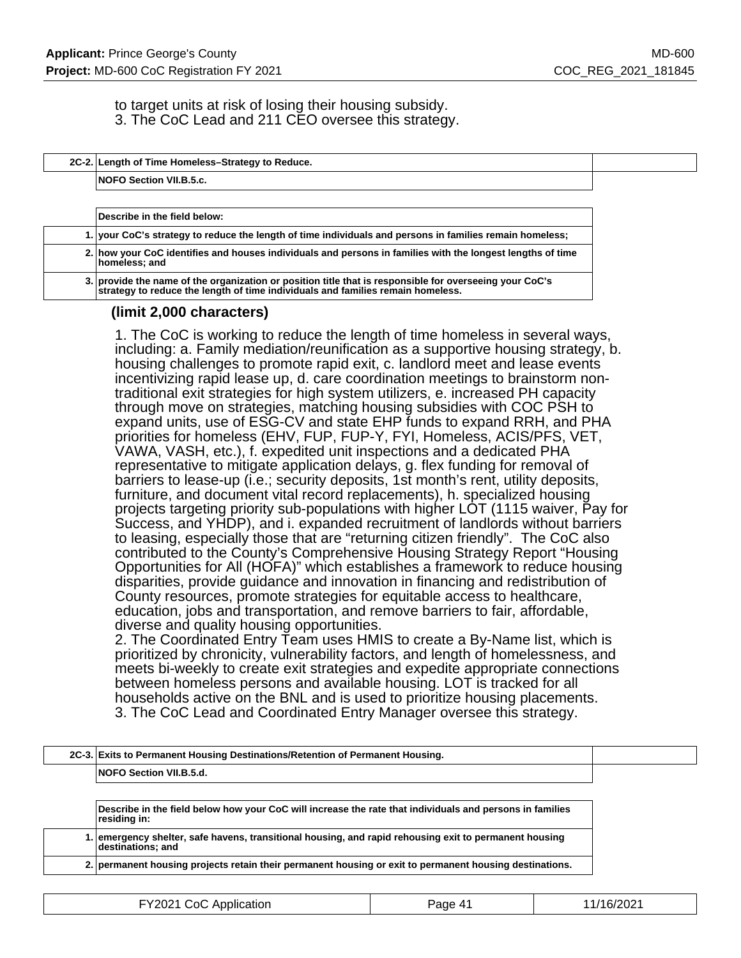to target units at risk of losing their housing subsidy. 3. The CoC Lead and 211 CEO oversee this strategy.

|  | 2C-2. Length of Time Homeless-Strategy to Reduce. |
|--|---------------------------------------------------|
|  |                                                   |

**NOFO Section VII.B.5.c.**

| Describe in the field below:                                                                                                                                                               |  |
|--------------------------------------------------------------------------------------------------------------------------------------------------------------------------------------------|--|
| 1. your CoC's strategy to reduce the length of time individuals and persons in families remain homeless;                                                                                   |  |
| 2. how your CoC identifies and houses individuals and persons in families with the longest lengths of time<br>homeless; and                                                                |  |
| 3. provide the name of the organization or position title that is responsible for overseeing your CoC's<br>strategy to reduce the length of time individuals and families remain homeless. |  |

### **(limit 2,000 characters)**

1. The CoC is working to reduce the length of time homeless in several ways, including: a. Family mediation/reunification as a supportive housing strategy, b. housing challenges to promote rapid exit, c. landlord meet and lease events incentivizing rapid lease up, d. care coordination meetings to brainstorm nontraditional exit strategies for high system utilizers, e. increased PH capacity through move on strategies, matching housing subsidies with COC PSH to expand units, use of ESG-CV and state EHP funds to expand RRH, and PHA priorities for homeless (EHV, FUP, FUP-Y, FYI, Homeless, ACIS/PFS, VET, VAWA, VASH, etc.), f. expedited unit inspections and a dedicated PHA representative to mitigate application delays, g. flex funding for removal of barriers to lease-up (i.e.; security deposits, 1st month's rent, utility deposits, furniture, and document vital record replacements), h. specialized housing projects targeting priority sub-populations with higher LOT (1115 waiver, Pay for Success, and YHDP), and i. expanded recruitment of landlords without barriers to leasing, especially those that are "returning citizen friendly". The CoC also contributed to the County's Comprehensive Housing Strategy Report "Housing Opportunities for All (HOFA)" which establishes a framework to reduce housing disparities, provide guidance and innovation in financing and redistribution of County resources, promote strategies for equitable access to healthcare, education, jobs and transportation, and remove barriers to fair, affordable, diverse and quality housing opportunities.

2. The Coordinated Entry Team uses HMIS to create a By-Name list, which is prioritized by chronicity, vulnerability factors, and length of homelessness, and meets bi-weekly to create exit strategies and expedite appropriate connections between homeless persons and available housing. LOT is tracked for all households active on the BNL and is used to prioritize housing placements. 3. The CoC Lead and Coordinated Entry Manager oversee this strategy.

|  | 2C-3. Exits to Permanent Housing Destinations/Retention of Permanent Housing. |  |
|--|-------------------------------------------------------------------------------|--|
|  | <b>NOFO Section VII.B.5.d.</b>                                                |  |
|  |                                                                               |  |

**Describe in the field below how your CoC will increase the rate that individuals and persons in families residing in:**

**1. emergency shelter, safe havens, transitional housing, and rapid rehousing exit to permanent housing destinations; and**

**2. permanent housing projects retain their permanent housing or exit to permanent housing destinations.**

| FY2021 CoC Application<br>Page 41 | 1/16/2021 |
|-----------------------------------|-----------|
|-----------------------------------|-----------|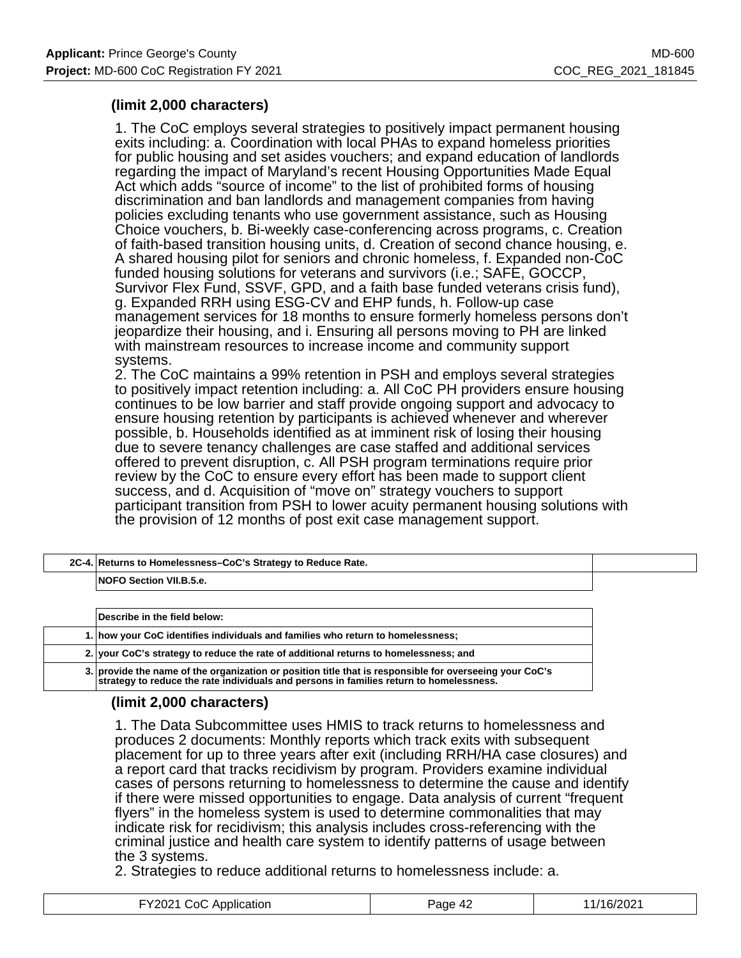## **(limit 2,000 characters)**

1. The CoC employs several strategies to positively impact permanent housing exits including: a. Coordination with local PHAs to expand homeless priorities for public housing and set asides vouchers; and expand education of landlords regarding the impact of Maryland's recent Housing Opportunities Made Equal Act which adds "source of income" to the list of prohibited forms of housing discrimination and ban landlords and management companies from having policies excluding tenants who use government assistance, such as Housing Choice vouchers, b. Bi-weekly case-conferencing across programs, c. Creation of faith-based transition housing units, d. Creation of second chance housing, e. A shared housing pilot for seniors and chronic homeless, f. Expanded non-CoC funded housing solutions for veterans and survivors (i.e.; SAFE, GOCCP, Survivor Flex Fund, SSVF, GPD, and a faith base funded veterans crisis fund), g. Expanded RRH using ESG-CV and EHP funds, h. Follow-up case management services for 18 months to ensure formerly homeless persons don't jeopardize their housing, and i. Ensuring all persons moving to PH are linked with mainstream resources to increase income and community support systems.

2. The CoC maintains a 99% retention in PSH and employs several strategies to positively impact retention including: a. All CoC PH providers ensure housing continues to be low barrier and staff provide ongoing support and advocacy to ensure housing retention by participants is achieved whenever and wherever possible, b. Households identified as at imminent risk of losing their housing due to severe tenancy challenges are case staffed and additional services offered to prevent disruption, c. All PSH program terminations require prior review by the CoC to ensure every effort has been made to support client success, and d. Acquisition of "move on" strategy vouchers to support participant transition from PSH to lower acuity permanent housing solutions with the provision of 12 months of post exit case management support.

| 2C-4. Returns to Homelessness-CoC's Strategy to Reduce Rate.                         |
|--------------------------------------------------------------------------------------|
| <b>NOFO Section VII.B.5.e.</b>                                                       |
|                                                                                      |
| Describe in the field below:                                                         |
| 1. how your CoC identifies individuals and families who return to homelessness;      |
| 2. your CoC's strategy to reduce the rate of additional returns to homelessness; and |

## **(limit 2,000 characters)**

1. The Data Subcommittee uses HMIS to track returns to homelessness and produces 2 documents: Monthly reports which track exits with subsequent placement for up to three years after exit (including RRH/HA case closures) and a report card that tracks recidivism by program. Providers examine individual cases of persons returning to homelessness to determine the cause and identify if there were missed opportunities to engage. Data analysis of current "frequent flyers" in the homeless system is used to determine commonalities that may indicate risk for recidivism; this analysis includes cross-referencing with the criminal justice and health care system to identify patterns of usage between the 3 systems.

2. Strategies to reduce additional returns to homelessness include: a.

**3. provide the name of the organization or position title that is responsible for overseeing your CoC's strategy to reduce the rate individuals and persons in families return to homelessness.**

| FY2021 CoC App<br>Application | $\overline{A}$<br>'age<br><i>.</i> | ≙ו^∩רי<br>11L<br>. |
|-------------------------------|------------------------------------|--------------------|
|-------------------------------|------------------------------------|--------------------|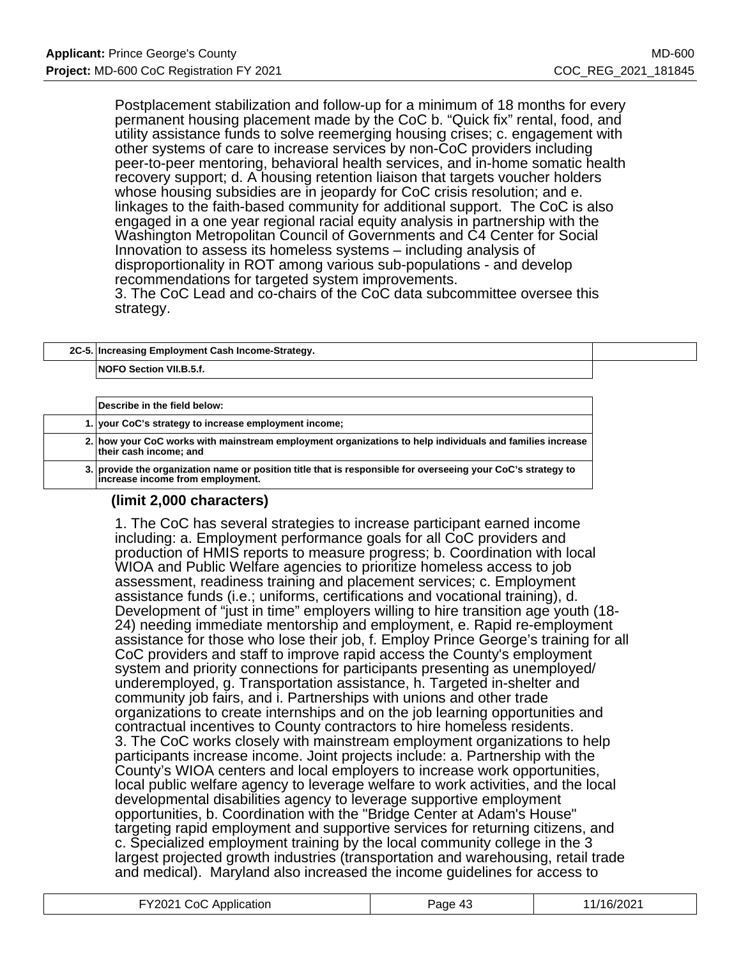Postplacement stabilization and follow-up for a minimum of 18 months for every permanent housing placement made by the CoC b. "Quick fix" rental, food, and utility assistance funds to solve reemerging housing crises; c. engagement with other systems of care to increase services by non-CoC providers including peer-to-peer mentoring, behavioral health services, and in-home somatic health recovery support; d. A housing retention liaison that targets voucher holders whose housing subsidies are in jeopardy for CoC crisis resolution; and e. linkages to the faith-based community for additional support. The CoC is also engaged in a one year regional racial equity analysis in partnership with the Washington Metropolitan Council of Governments and C4 Center for Social Innovation to assess its homeless systems – including analysis of disproportionality in ROT among various sub-populations - and develop recommendations for targeted system improvements.

3. The CoC Lead and co-chairs of the CoC data subcommittee oversee this strategy.

|  | 2C-5. Increasing Employment Cash Income-Strategy. |  |
|--|---------------------------------------------------|--|
|  | <b>NOFO Section VII.B.5.f.</b>                    |  |
|  |                                                   |  |

| Describe in the field below:                                                                                                                     |
|--------------------------------------------------------------------------------------------------------------------------------------------------|
| 1. your CoC's strategy to increase employment income;                                                                                            |
| 2. how your CoC works with mainstream employment organizations to help individuals and families increase<br>their cash income; and               |
| 3. provide the organization name or position title that is responsible for overseeing your CoC's strategy to<br>increase income from employment. |

### **(limit 2,000 characters)**

1. The CoC has several strategies to increase participant earned income including: a. Employment performance goals for all CoC providers and production of HMIS reports to measure progress; b. Coordination with local WIOA and Public Welfare agencies to prioritize homeless access to job assessment, readiness training and placement services; c. Employment assistance funds (i.e.; uniforms, certifications and vocational training), d. Development of "just in time" employers willing to hire transition age youth (18- 24) needing immediate mentorship and employment, e. Rapid re-employment assistance for those who lose their job, f. Employ Prince George's training for all CoC providers and staff to improve rapid access the County's employment system and priority connections for participants presenting as unemployed/ underemployed, g. Transportation assistance, h. Targeted in-shelter and community job fairs, and i. Partnerships with unions and other trade organizations to create internships and on the job learning opportunities and contractual incentives to County contractors to hire homeless residents. 3. The CoC works closely with mainstream employment organizations to help participants increase income. Joint projects include: a. Partnership with the County's WIOA centers and local employers to increase work opportunities, local public welfare agency to leverage welfare to work activities, and the local developmental disabilities agency to leverage supportive employment opportunities, b. Coordination with the "Bridge Center at Adam's House" targeting rapid employment and supportive services for returning citizens, and c. Specialized employment training by the local community college in the 3 largest projected growth industries (transportation and warehousing, retail trade and medical). Maryland also increased the income guidelines for access to

| FY2021 CoC Application | Page 43 | 11/16/2021 |
|------------------------|---------|------------|
|------------------------|---------|------------|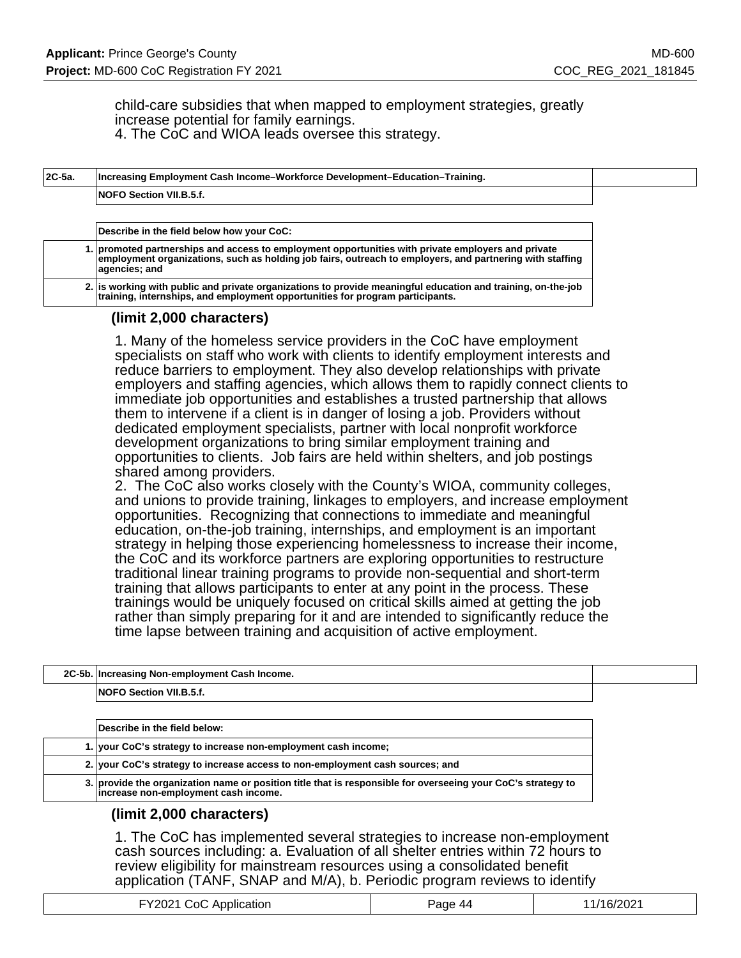child-care subsidies that when mapped to employment strategies, greatly increase potential for family earnings. 4. The CoC and WIOA leads oversee this strategy.

| 2C-5a. | Increasing Employment Cash Income–Workforce Development–Education–Training.                                                                                                                                                     |
|--------|---------------------------------------------------------------------------------------------------------------------------------------------------------------------------------------------------------------------------------|
|        | <b>NOFO Section VII.B.5.f.</b>                                                                                                                                                                                                  |
|        |                                                                                                                                                                                                                                 |
|        | Describe in the field below how your CoC:                                                                                                                                                                                       |
|        | 1. promoted partnerships and access to employment opportunities with private employers and private<br>employment organizations, such as holding job fairs, outreach to employers, and partnering with staffing<br>agencies; and |
|        | 2. is working with public and private organizations to provide meaningful education and training, on-the-job<br>training, internships, and employment opportunities for program participants.                                   |

### **(limit 2,000 characters)**

1. Many of the homeless service providers in the CoC have employment specialists on staff who work with clients to identify employment interests and reduce barriers to employment. They also develop relationships with private employers and staffing agencies, which allows them to rapidly connect clients to immediate job opportunities and establishes a trusted partnership that allows them to intervene if a client is in danger of losing a job. Providers without dedicated employment specialists, partner with local nonprofit workforce development organizations to bring similar employment training and opportunities to clients. Job fairs are held within shelters, and job postings shared among providers.

2. The CoC also works closely with the County's WIOA, community colleges, and unions to provide training, linkages to employers, and increase employment opportunities. Recognizing that connections to immediate and meaningful education, on-the-job training, internships, and employment is an important strategy in helping those experiencing homelessness to increase their income, the CoC and its workforce partners are exploring opportunities to restructure traditional linear training programs to provide non-sequential and short-term training that allows participants to enter at any point in the process. These trainings would be uniquely focused on critical skills aimed at getting the job rather than simply preparing for it and are intended to significantly reduce the time lapse between training and acquisition of active employment.

| 2C-5b. Increasing Non-employment Cash Income. |  |
|-----------------------------------------------|--|
| <b>NOFO Section VII.B.5.f.</b>                |  |
|                                               |  |
| Describe in the field below:                  |  |

|  | Describe in the field below:                                                                                                                         |
|--|------------------------------------------------------------------------------------------------------------------------------------------------------|
|  | 1. your CoC's strategy to increase non-employment cash income;                                                                                       |
|  | 2. your CoC's strategy to increase access to non-employment cash sources; and                                                                        |
|  | 3. provide the organization name or position title that is responsible for overseeing your CoC's strategy to<br>increase non-employment cash income. |

### **(limit 2,000 characters)**

1. The CoC has implemented several strategies to increase non-employment cash sources including: a. Evaluation of all shelter entries within 72 hours to review eligibility for mainstream resources using a consolidated benefit application (TANF, SNAP and M/A), b. Periodic program reviews to identify

| FY2021 CoC Application | Page 44 | 11/16/2021 |
|------------------------|---------|------------|
|------------------------|---------|------------|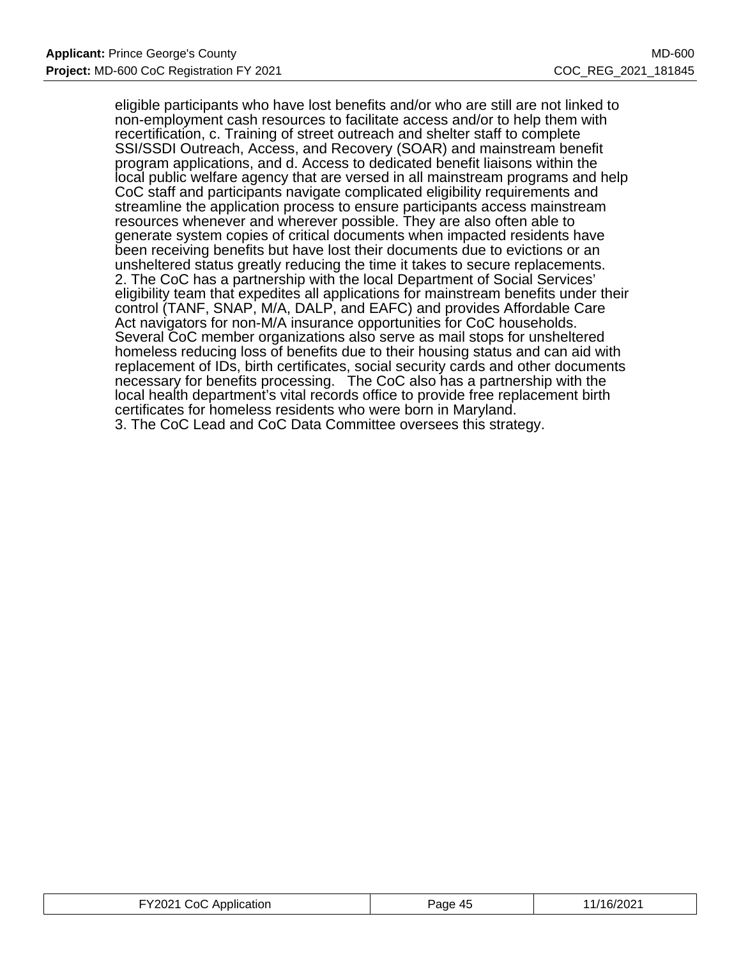eligible participants who have lost benefits and/or who are still are not linked to non-employment cash resources to facilitate access and/or to help them with recertification, c. Training of street outreach and shelter staff to complete SSI/SSDI Outreach, Access, and Recovery (SOAR) and mainstream benefit program applications, and d. Access to dedicated benefit liaisons within the local public welfare agency that are versed in all mainstream programs and help CoC staff and participants navigate complicated eligibility requirements and streamline the application process to ensure participants access mainstream resources whenever and wherever possible. They are also often able to generate system copies of critical documents when impacted residents have been receiving benefits but have lost their documents due to evictions or an unsheltered status greatly reducing the time it takes to secure replacements. 2. The CoC has a partnership with the local Department of Social Services' eligibility team that expedites all applications for mainstream benefits under their control (TANF, SNAP, M/A, DALP, and EAFC) and provides Affordable Care Act navigators for non-M/A insurance opportunities for CoC households. Several CoC member organizations also serve as mail stops for unsheltered homeless reducing loss of benefits due to their housing status and can aid with replacement of IDs, birth certificates, social security cards and other documents necessary for benefits processing. The CoC also has a partnership with the local health department's vital records office to provide free replacement birth certificates for homeless residents who were born in Maryland. 3. The CoC Lead and CoC Data Committee oversees this strategy.

| FY2021 CoC Appli<br>Application<br>. | Paαe<br>$\mathbf{A}^{\mu}$ | /16/2021 |
|--------------------------------------|----------------------------|----------|
|--------------------------------------|----------------------------|----------|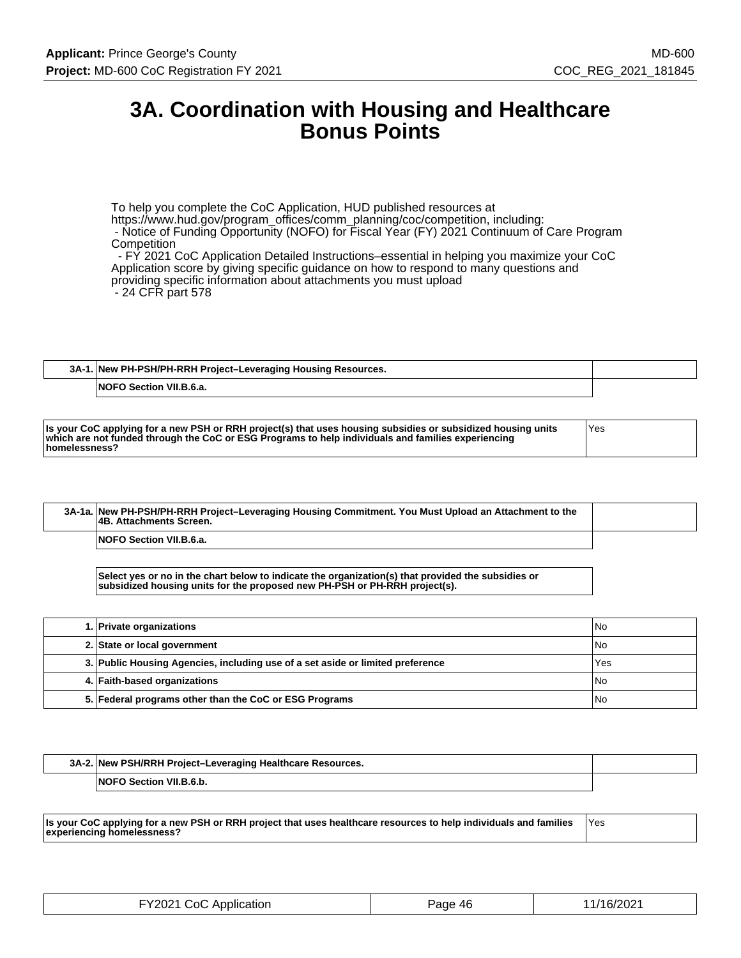# **3A. Coordination with Housing and Healthcare Bonus Points**

To help you complete the CoC Application, HUD published resources at https://www.hud.gov/program\_offices/comm\_planning/coc/competition, including: - Notice of Funding Opportunity (NOFO) for Fiscal Year (FY) 2021 Continuum of Care Program **Competition** - FY 2021 CoC Application Detailed Instructions–essential in helping you maximize your CoC

Application score by giving specific guidance on how to respond to many questions and

providing specific information about attachments you must upload - 24 CFR part 578

**3A-1. New PH-PSH/PH-RRH Project–Leveraging Housing Resources. NOFO Section VII.B.6.a.**

| Is your CoC applying for a new PSH or RRH project(s) that uses housing subsidies or subsidized housing units<br>which are not funded through the CoC or ESG Programs to help individuals and families experiencing | 'Yes |
|--------------------------------------------------------------------------------------------------------------------------------------------------------------------------------------------------------------------|------|
| homelessness?                                                                                                                                                                                                      |      |

| 3A-1a. New PH-PSH/PH-RRH Project-Leveraging Housing Commitment. You Must Upload an Attachment to the<br><b>4B. Attachments Screen.</b> |  |
|----------------------------------------------------------------------------------------------------------------------------------------|--|
| <b>NOFO Section VII.B.6.a.</b>                                                                                                         |  |

**Select yes or no in the chart below to indicate the organization(s) that provided the subsidies or subsidized housing units for the proposed new PH-PSH or PH-RRH project(s).**

| 1. Private organizations                                                       | l No |
|--------------------------------------------------------------------------------|------|
| 2. State or local government                                                   | l No |
| 3. Public Housing Agencies, including use of a set aside or limited preference | Yes  |
| 4. Faith-based organizations                                                   | l No |
| 5. Federal programs other than the CoC or ESG Programs                         | l No |

| 3A-2. New PSH/RRH Project-Leveraging Healthcare Resources. |  |
|------------------------------------------------------------|--|
| <b>NOFO Section VII.B.6.b.</b>                             |  |

**Is your CoC applying for a new PSH or RRH project that uses healthcare resources to help individuals and families experiencing homelessness?** Yes

| TY2021 CoC Application | Page 46 | 11/16/2021 |
|------------------------|---------|------------|
|------------------------|---------|------------|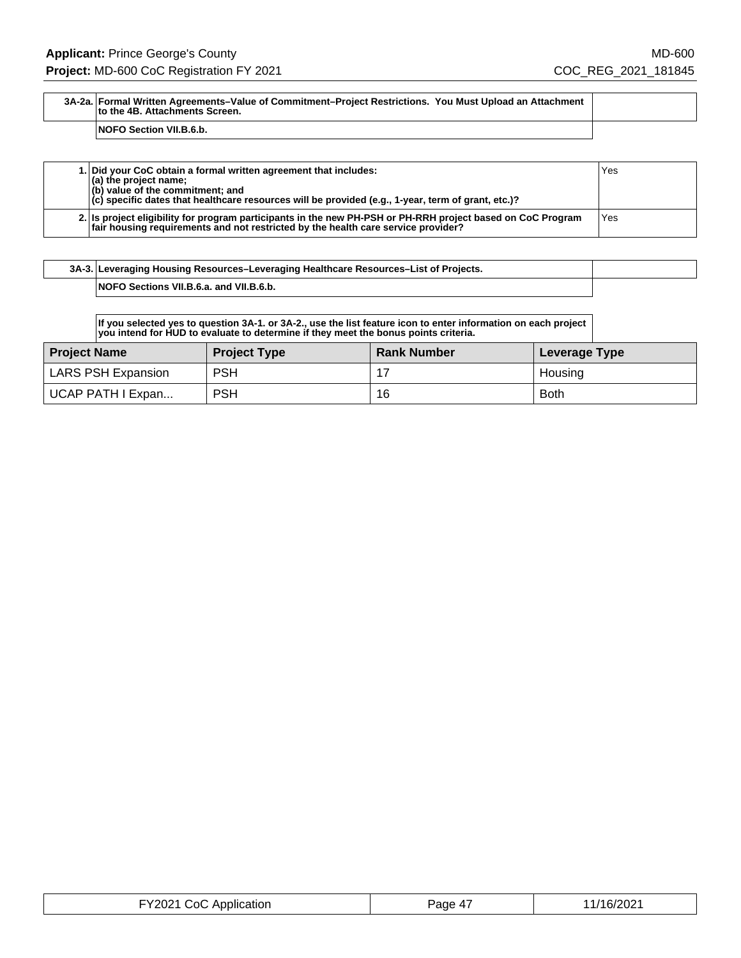#### **3A-2a. Formal Written Agreements–Value of Commitment–Project Restrictions. You Must Upload an Attachment to the 4B. Attachments Screen.**

**NOFO Section VII.B.6.b.**

| 1. Did your CoC obtain a formal written agreement that includes:<br>$(a)$ the project name;<br>(b) value of the commitment; and<br>$\vert$ (c) specific dates that healthcare resources will be provided (e.g., 1-year, term of grant, etc.)? | Yes  |
|-----------------------------------------------------------------------------------------------------------------------------------------------------------------------------------------------------------------------------------------------|------|
| 2. Is project eligibility for program participants in the new PH-PSH or PH-RRH project based on CoC Program<br>fair housing requirements and not restricted by the health care service provider?                                              | 'Yes |

|  | 3A-3. Leveraging Housing Resources-Leveraging Healthcare Resources-List of Projects. |  |
|--|--------------------------------------------------------------------------------------|--|
|  | NOFO Sections VII.B.6.a. and VII.B.6.b.                                              |  |

**If you selected yes to question 3A-1. or 3A-2., use the list feature icon to enter information on each project you intend for HUD to evaluate to determine if they meet the bonus points criteria.**

| Project Name       | <b>Project Type</b> | <b>Rank Number</b> | Leverage Type |
|--------------------|---------------------|--------------------|---------------|
| LARS PSH Expansion | <b>PSH</b>          |                    | Housing       |
| UCAP PATH I Expan  | <b>PSH</b>          | 16                 | <b>Both</b>   |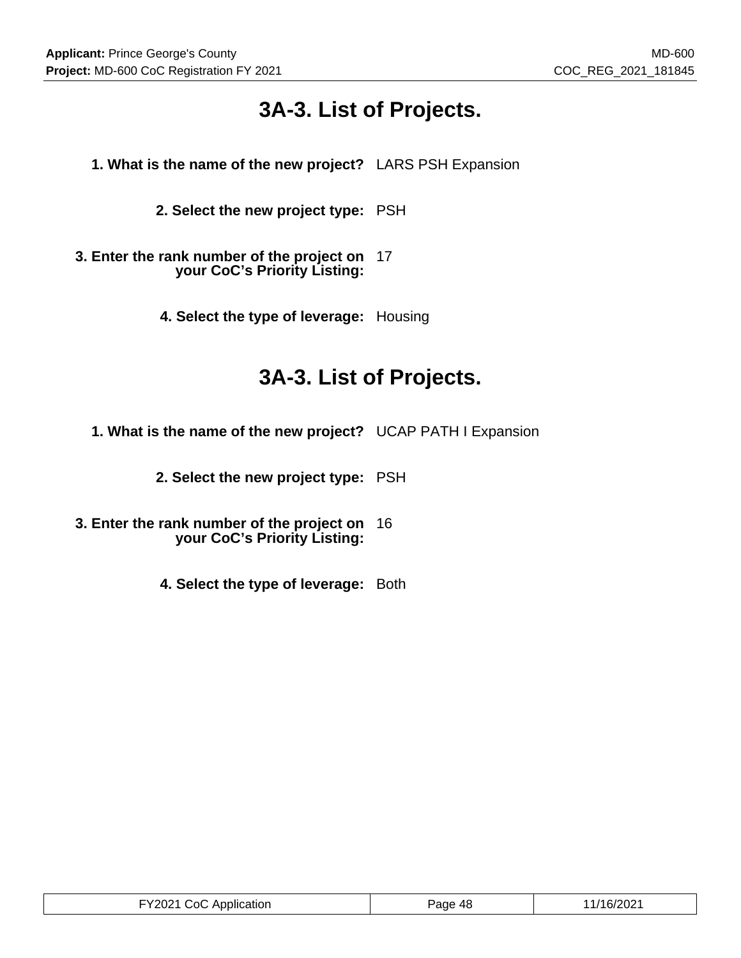# **3A-3. List of Projects.**

- **1. What is the name of the new project?** LARS PSH Expansion
	- **2. Select the new project type:** PSH
- **3. Enter the rank number of the project on** 17 **your CoC's Priority Listing:**
	- **4. Select the type of leverage:** Housing

# **3A-3. List of Projects.**

- **1. What is the name of the new project?** UCAP PATH I Expansion
	- **2. Select the new project type:** PSH
- **3. Enter the rank number of the project on** 16 **your CoC's Priority Listing:**
	- **4. Select the type of leverage:** Both

| ™2∩21∶<br>ാ∩<br>Application<br>12021000 | Page 48 | /16/2021 |
|-----------------------------------------|---------|----------|
|-----------------------------------------|---------|----------|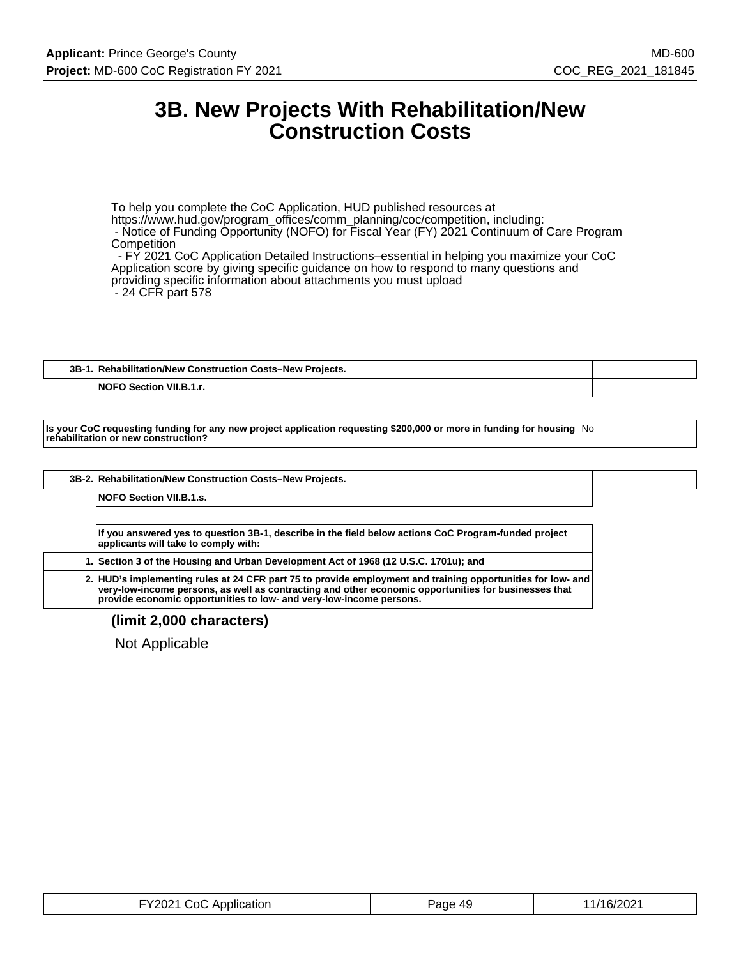## **3B. New Projects With Rehabilitation/New Construction Costs**

To help you complete the CoC Application, HUD published resources at https://www.hud.gov/program\_offices/comm\_planning/coc/competition, including: - Notice of Funding Opportunity (NOFO) for Fiscal Year (FY) 2021 Continuum of Care Program **Competition**  - FY 2021 CoC Application Detailed Instructions–essential in helping you maximize your CoC Application score by giving specific guidance on how to respond to many questions and providing specific information about attachments you must upload

- 24 CFR part 578

### **3B-1. Rehabilitation/New Construction Costs–New Projects.**

**NOFO Section VII.B.1.r.**

**Is your CoC requesting funding for any new project application requesting \$200,000 or more in funding for housing** No **rehabilitation or new construction?**

| 3B-2. Rehabilitation/New Construction Costs-New Projects. |  |
|-----------------------------------------------------------|--|
| <b>NOFO Section VII.B.1.s.</b>                            |  |

**If you answered yes to question 3B-1, describe in the field below actions CoC Program-funded project applicants will take to comply with: 1. Section 3 of the Housing and Urban Development Act of 1968 (12 U.S.C. 1701u); and 2. HUD's implementing rules at 24 CFR part 75 to provide employment and training opportunities for low- and**

**very-low-income persons, as well as contracting and other economic opportunities for businesses that provide economic opportunities to low- and very-low-income persons.**

**(limit 2,000 characters)**

Not Applicable

| FY2021 CoC Application | Page 49 | 11/16/2021 |
|------------------------|---------|------------|
|------------------------|---------|------------|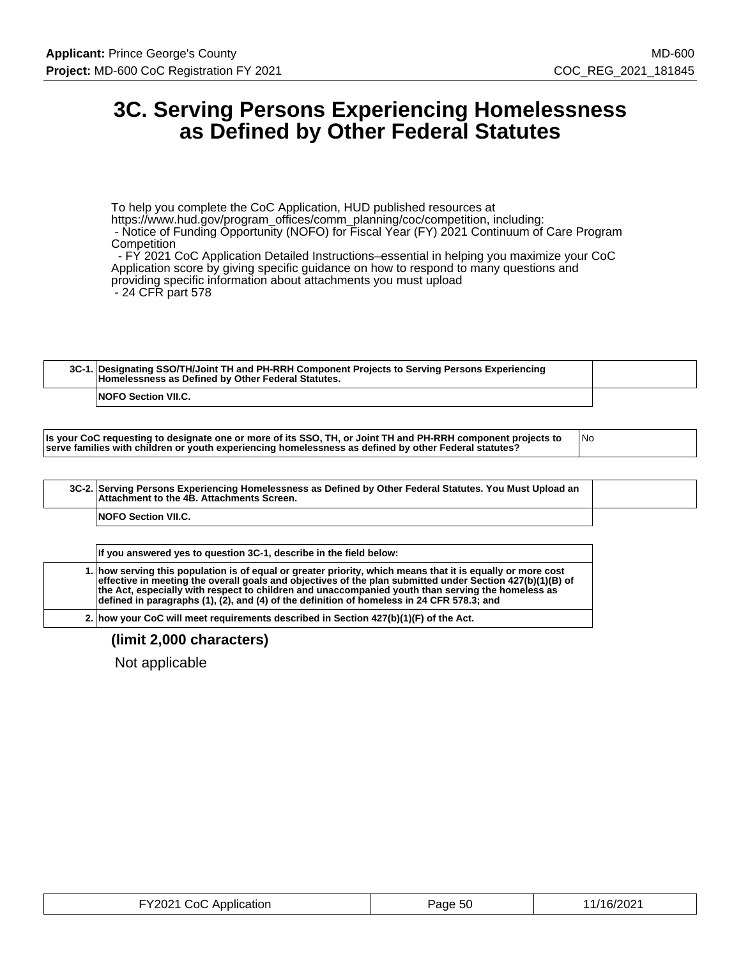# **3C. Serving Persons Experiencing Homelessness as Defined by Other Federal Statutes**

To help you complete the CoC Application, HUD published resources at https://www.hud.gov/program\_offices/comm\_planning/coc/competition, including: - Notice of Funding Opportunity (NOFO) for Fiscal Year (FY) 2021 Continuum of Care Program **Competition** 

 - FY 2021 CoC Application Detailed Instructions–essential in helping you maximize your CoC Application score by giving specific guidance on how to respond to many questions and providing specific information about attachments you must upload - 24 CFR part 578

| 3C-1. Designating SSO/TH/Joint TH and PH-RRH Component Projects to Serving Persons Experiencing<br>Homelessness as Defined by Other Federal Statutes. |  |
|-------------------------------------------------------------------------------------------------------------------------------------------------------|--|
| <b>NOFO Section VII.C.</b>                                                                                                                            |  |

| Is your CoC requesting to designate one or more of its SSO, TH, or Joint TH and PH-RRH component projects to | 1No |
|--------------------------------------------------------------------------------------------------------------|-----|
| serve families with children or youth experiencing homelessness as defined by other Federal statutes?        |     |

|  | 3C-2. Serving Persons Experiencing Homelessness as Defined by Other Federal Statutes. You Must Upload an<br>Attachment to the 4B. Attachments Screen. |  |
|--|-------------------------------------------------------------------------------------------------------------------------------------------------------|--|
|  | <b>NOFO Section VII.C.</b>                                                                                                                            |  |
|  |                                                                                                                                                       |  |

| If you answered yes to question 3C-1, describe in the field below:                                                                                                                                                                                                                                                                                                                                                          |
|-----------------------------------------------------------------------------------------------------------------------------------------------------------------------------------------------------------------------------------------------------------------------------------------------------------------------------------------------------------------------------------------------------------------------------|
| 1. how serving this population is of equal or greater priority, which means that it is equally or more cost<br>effective in meeting the overall goals and objectives of the plan submitted under Section 427(b)(1)(B) of<br>the Act, especially with respect to children and unaccompanied youth than serving the homeless as<br>defined in paragraphs (1), (2), and (4) of the definition of homeless in 24 CFR 578.3; and |
|                                                                                                                                                                                                                                                                                                                                                                                                                             |

**2. how your CoC will meet requirements described in Section 427(b)(1)(F) of the Act.**

### **(limit 2,000 characters)**

Not applicable

| FY2021 CoC Application | Page 50 | 11/16/2021 |
|------------------------|---------|------------|
|------------------------|---------|------------|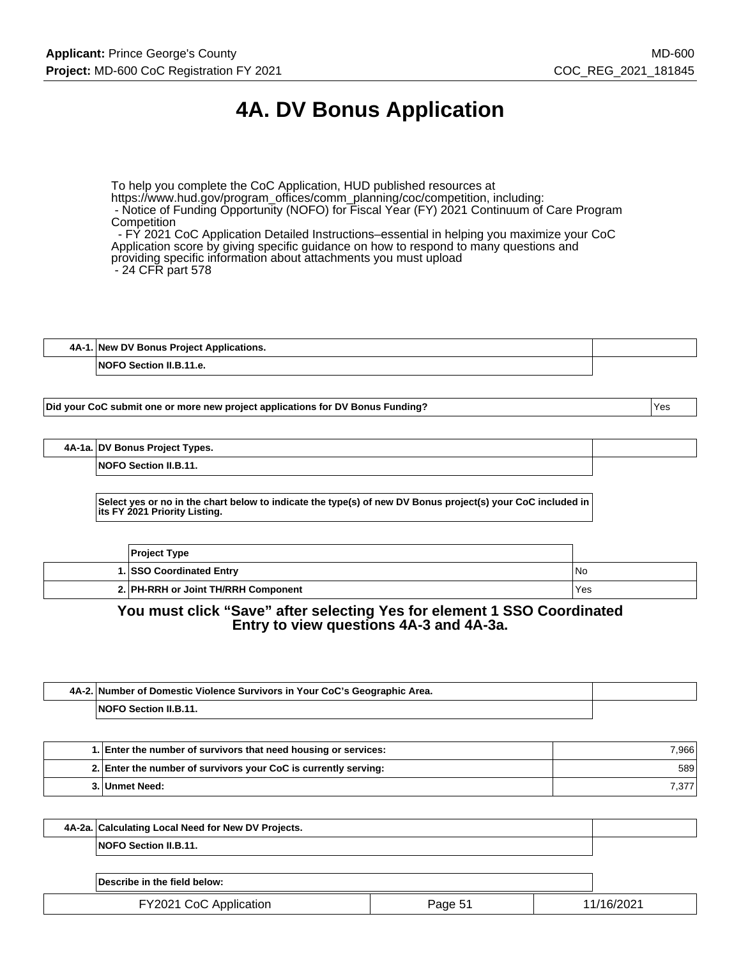# **4A. DV Bonus Application**

To help you complete the CoC Application, HUD published resources at https://www.hud.gov/program\_offices/comm\_planning/coc/competition, including: - Notice of Funding Opportunity (NOFO) for Fiscal Year (FY) 2021 Continuum of Care Program **Competition** 

 - FY 2021 CoC Application Detailed Instructions–essential in helping you maximize your CoC Application score by giving specific guidance on how to respond to many questions and providing specific information about attachments you must upload - 24 CFR part 578

| 4A-1. New DV Bonus Project Applications. |  |
|------------------------------------------|--|
| <b>NOFO Section II.B.11.e.</b>           |  |

**Did your CoC submit one or more new project applications for DV Bonus Funding?** Yes

**4A-1a. DV Bonus Project Types.**

**NOFO Section II.B.11.**

**Select yes or no in the chart below to indicate the type(s) of new DV Bonus project(s) your CoC included in its FY 2021 Priority Listing.**

| <b>Project Type</b>                 |                 |
|-------------------------------------|-----------------|
| 1. SSO Coordinated Entry            | IN <sub>o</sub> |
| 2. PH-RRH or Joint TH/RRH Component | Yes             |

### **You must click "Save" after selecting Yes for element 1 SSO Coordinated Entry to view questions 4A-3 and 4A-3a.**

| 4A-2. Number of Domestic Violence Survivors in Your CoC's Geographic Area. |  |
|----------------------------------------------------------------------------|--|
| NOFO Section II.B.11.                                                      |  |

| 1. Enter the number of survivors that need housing or services: | 7,966  |
|-----------------------------------------------------------------|--------|
| 2. Enter the number of survivors your CoC is currently serving: | 589    |
| 3. Unmet Need:                                                  | 7.377. |

| 4A-2a. Calculating Local Need for New DV Projects. |  |
|----------------------------------------------------|--|
| <b>NOFO Section II.B.11.</b>                       |  |
|                                                    |  |

| Describe in the field below:  |        |          |
|-------------------------------|--------|----------|
| <b>FY2021 CoC Application</b> | Page 5 | /16/2021 |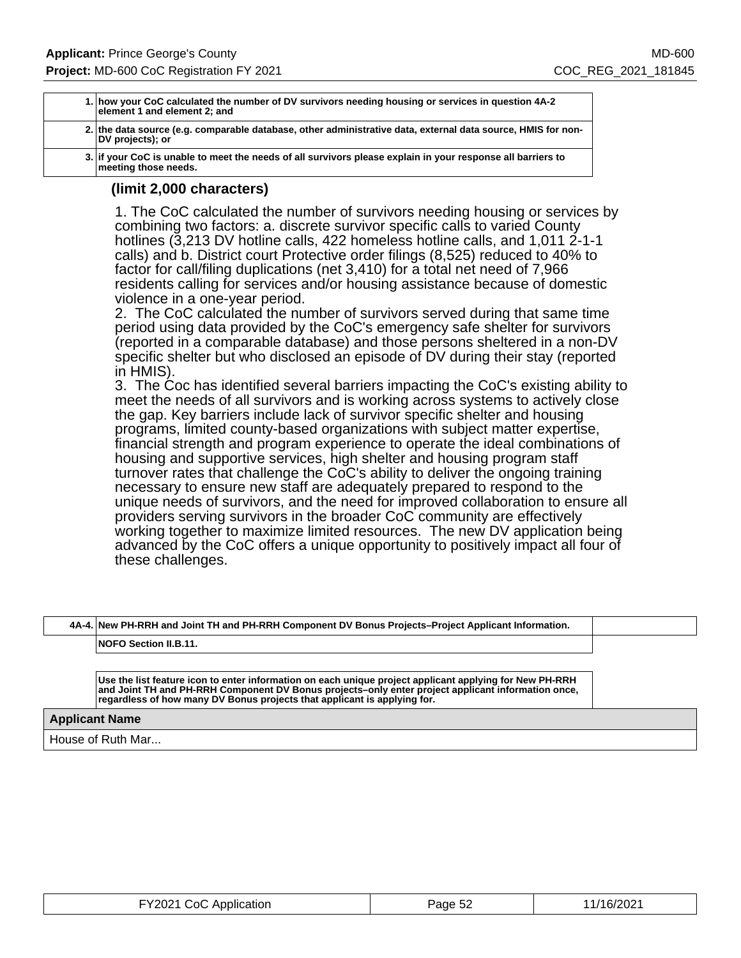| 1. how your CoC calculated the number of DV survivors needing housing or services in question 4A-2<br>element 1 and element 2; and  |
|-------------------------------------------------------------------------------------------------------------------------------------|
| 2. the data source (e.g. comparable database, other administrative data, external data source, HMIS for non-<br>DV projects); or    |
| 3. If your CoC is unable to meet the needs of all survivors please explain in your response all barriers to<br>meeting those needs. |

### **(limit 2,000 characters)**

1. The CoC calculated the number of survivors needing housing or services by combining two factors: a. discrete survivor specific calls to varied County hotlines (3,213 DV hotline calls, 422 homeless hotline calls, and 1,011 2-1-1 calls) and b. District court Protective order filings (8,525) reduced to 40% to factor for call/filing duplications (net 3,410) for a total net need of 7,966 residents calling for services and/or housing assistance because of domestic violence in a one-year period.

2. The CoC calculated the number of survivors served during that same time period using data provided by the CoC's emergency safe shelter for survivors (reported in a comparable database) and those persons sheltered in a non-DV specific shelter but who disclosed an episode of DV during their stay (reported in HMIS).

3. The Coc has identified several barriers impacting the CoC's existing ability to meet the needs of all survivors and is working across systems to actively close the gap. Key barriers include lack of survivor specific shelter and housing programs, limited county-based organizations with subject matter expertise, financial strength and program experience to operate the ideal combinations of housing and supportive services, high shelter and housing program staff turnover rates that challenge the CoC's ability to deliver the ongoing training necessary to ensure new staff are adequately prepared to respond to the unique needs of survivors, and the need for improved collaboration to ensure all providers serving survivors in the broader CoC community are effectively working together to maximize limited resources. The new DV application being advanced by the CoC offers a unique opportunity to positively impact all four of these challenges.

|                       | 4A-4. New PH-RRH and Joint TH and PH-RRH Component DV Bonus Projects–Project Applicant Information.                                                                                                                                                                                       |  |
|-----------------------|-------------------------------------------------------------------------------------------------------------------------------------------------------------------------------------------------------------------------------------------------------------------------------------------|--|
|                       |                                                                                                                                                                                                                                                                                           |  |
|                       | <b>NOFO Section II.B.11.</b>                                                                                                                                                                                                                                                              |  |
|                       |                                                                                                                                                                                                                                                                                           |  |
|                       |                                                                                                                                                                                                                                                                                           |  |
|                       | Use the list feature icon to enter information on each unique project applicant applying for New PH-RRH<br>and Joint TH and PH-RRH Component DV Bonus projects-only enter project applicant information once,<br>regardless of how many DV Bonus projects that applicant is applying for. |  |
| <b>Applicant Name</b> |                                                                                                                                                                                                                                                                                           |  |

House of Ruth Mar...

| FY2021 CoC Application | Page 52 | 11/16/2021 |
|------------------------|---------|------------|
|------------------------|---------|------------|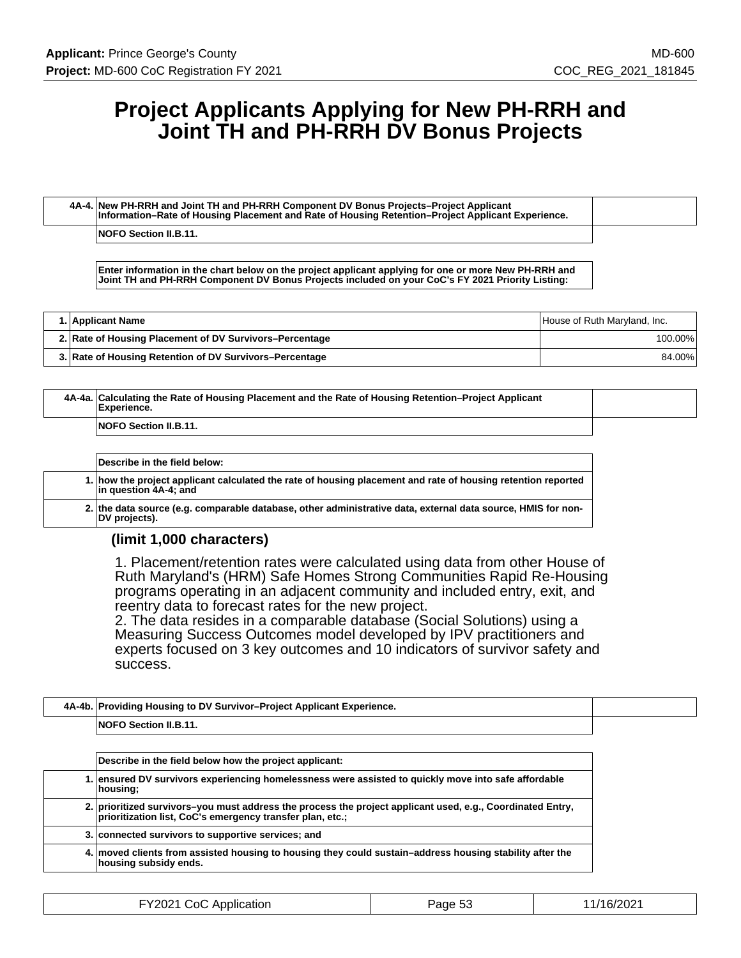# **Project Applicants Applying for New PH-RRH and Joint TH and PH-RRH DV Bonus Projects**

**4A-4. New PH-RRH and Joint TH and PH-RRH Component DV Bonus Projects–Project Applicant Information–Rate of Housing Placement and Rate of Housing Retention–Project Applicant Experience.**

**NOFO Section II.B.11.**

**Enter information in the chart below on the project applicant applying for one or more New PH-RRH and Joint TH and PH-RRH Component DV Bonus Projects included on your CoC's FY 2021 Priority Listing:**

| 1. Applicant Name                                       | House of Ruth Maryland, Inc. |
|---------------------------------------------------------|------------------------------|
| 2. Rate of Housing Placement of DV Survivors–Percentage | 100.00%                      |
| 3. Rate of Housing Retention of DV Survivors–Percentage | 84.00%                       |

| 4A-4a. Calculating the Rate of Housing Placement and the Rate of Housing Retention–Project Applicant<br>Experience. |  |
|---------------------------------------------------------------------------------------------------------------------|--|
| <b>NOFO Section II.B.11.</b>                                                                                        |  |

| Describe in the field below:                                                                                                           |
|----------------------------------------------------------------------------------------------------------------------------------------|
| 1. how the project applicant calculated the rate of housing placement and rate of housing retention reported<br>lin question 4A-4: and |
| 2. the data source (e.g. comparable database, other administrative data, external data source, HMIS for non-<br>DV proiects).          |

### **(limit 1,000 characters)**

1. Placement/retention rates were calculated using data from other House of Ruth Maryland's (HRM) Safe Homes Strong Communities Rapid Re-Housing programs operating in an adjacent community and included entry, exit, and reentry data to forecast rates for the new project.

2. The data resides in a comparable database (Social Solutions) using a Measuring Success Outcomes model developed by IPV practitioners and experts focused on 3 key outcomes and 10 indicators of survivor safety and success.

| 4A-4b. Providing Housing to DV Survivor-Project Applicant Experience. |  |
|-----------------------------------------------------------------------|--|
| <b>NOFO Section II.B.11.</b>                                          |  |

| Describe in the field below how the project applicant:                                                                                                               |
|----------------------------------------------------------------------------------------------------------------------------------------------------------------------|
| 1. ensured DV survivors experiencing homelessness were assisted to quickly move into safe affordable<br>housing:                                                     |
| 2. prioritized survivors-you must address the process the project applicant used, e.g., Coordinated Entry, prioritization list, CoC's emergency transfer plan, etc.; |
| 3. connected survivors to supportive services; and                                                                                                                   |
| 4. moved clients from assisted housing to housing they could sustain–address housing stability after the<br>housing subsidy ends.                                    |

| FY2021 CoC Application | Page 53 | 11/16/2021 |
|------------------------|---------|------------|
|------------------------|---------|------------|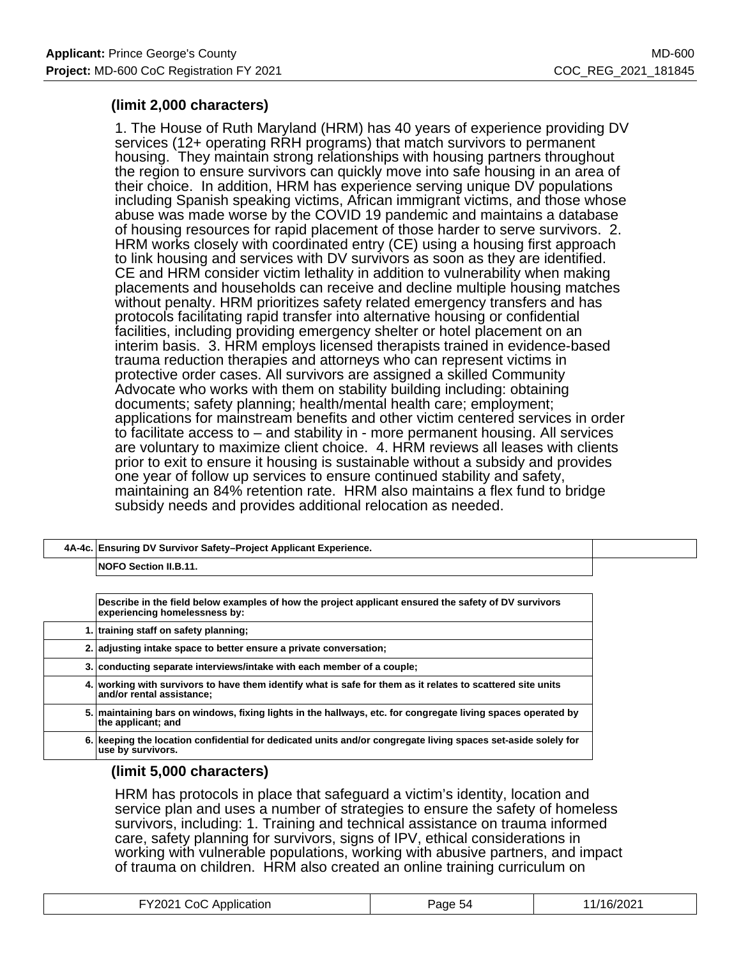## **(limit 2,000 characters)**

1. The House of Ruth Maryland (HRM) has 40 years of experience providing DV services (12+ operating RRH programs) that match survivors to permanent housing. They maintain strong relationships with housing partners throughout the region to ensure survivors can quickly move into safe housing in an area of their choice. In addition, HRM has experience serving unique DV populations including Spanish speaking victims, African immigrant victims, and those whose abuse was made worse by the COVID 19 pandemic and maintains a database of housing resources for rapid placement of those harder to serve survivors. 2. HRM works closely with coordinated entry (CE) using a housing first approach to link housing and services with DV survivors as soon as they are identified. CE and HRM consider victim lethality in addition to vulnerability when making placements and households can receive and decline multiple housing matches without penalty. HRM prioritizes safety related emergency transfers and has protocols facilitating rapid transfer into alternative housing or confidential facilities, including providing emergency shelter or hotel placement on an interim basis. 3. HRM employs licensed therapists trained in evidence-based trauma reduction therapies and attorneys who can represent victims in protective order cases. All survivors are assigned a skilled Community Advocate who works with them on stability building including: obtaining documents; safety planning; health/mental health care; employment; applications for mainstream benefits and other victim centered services in order to facilitate access to – and stability in - more permanent housing. All services are voluntary to maximize client choice. 4. HRM reviews all leases with clients prior to exit to ensure it housing is sustainable without a subsidy and provides one year of follow up services to ensure continued stability and safety, maintaining an 84% retention rate. HRM also maintains a flex fund to bridge subsidy needs and provides additional relocation as needed.

| 4A-4c. Ensuring DV Survivor Safety-Project Applicant Experience. |  |
|------------------------------------------------------------------|--|
| <b>NOFO Section II.B.11.</b>                                     |  |
|                                                                  |  |

| Describe in the field below examples of how the project applicant ensured the safety of DV survivors<br>experiencing homelessness by: |
|---------------------------------------------------------------------------------------------------------------------------------------|
| 1. training staff on safety planning;                                                                                                 |
| 2. adjusting intake space to better ensure a private conversation;                                                                    |
| 3. conducting separate interviews/intake with each member of a couple;                                                                |
| working with survivors to have them identify what is safe for them as it relates to scattered site units<br>and/or rental assistance; |
| 5. maintaining bars on windows, fixing lights in the hallways, etc. for congregate living spaces operated by<br>the applicant; and    |
| 6. keeping the location confidential for dedicated units and/or congregate living spaces set-aside solely for<br>use by survivors.    |

### **(limit 5,000 characters)**

HRM has protocols in place that safeguard a victim's identity, location and service plan and uses a number of strategies to ensure the safety of homeless survivors, including: 1. Training and technical assistance on trauma informed care, safety planning for survivors, signs of IPV, ethical considerations in working with vulnerable populations, working with abusive partners, and impact of trauma on children. HRM also created an online training curriculum on

| .V2021<br>Application<br>∴∩C<br>$1000 \times 1000$<br>. | $\lambda$<br>aae<br>ാല | 10001<br>-uz |
|---------------------------------------------------------|------------------------|--------------|
|---------------------------------------------------------|------------------------|--------------|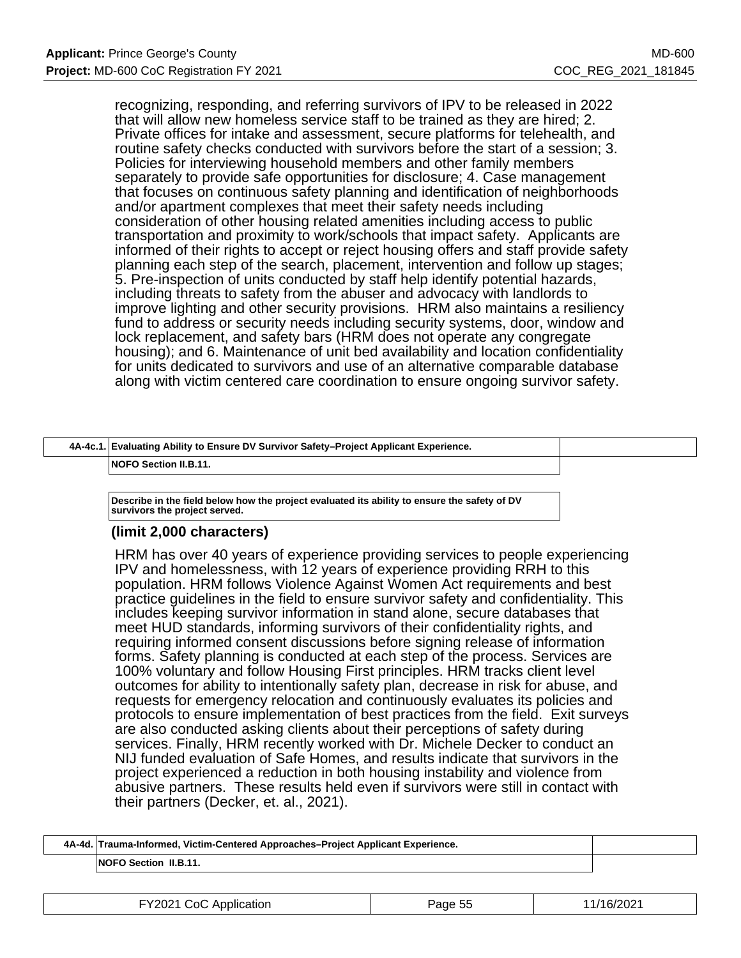recognizing, responding, and referring survivors of IPV to be released in 2022 that will allow new homeless service staff to be trained as they are hired; 2. Private offices for intake and assessment, secure platforms for telehealth, and routine safety checks conducted with survivors before the start of a session; 3. Policies for interviewing household members and other family members separately to provide safe opportunities for disclosure; 4. Case management that focuses on continuous safety planning and identification of neighborhoods and/or apartment complexes that meet their safety needs including consideration of other housing related amenities including access to public transportation and proximity to work/schools that impact safety. Applicants are informed of their rights to accept or reject housing offers and staff provide safety planning each step of the search, placement, intervention and follow up stages; 5. Pre-inspection of units conducted by staff help identify potential hazards, including threats to safety from the abuser and advocacy with landlords to improve lighting and other security provisions. HRM also maintains a resiliency fund to address or security needs including security systems, door, window and lock replacement, and safety bars (HRM does not operate any congregate housing); and 6. Maintenance of unit bed availability and location confidentiality for units dedicated to survivors and use of an alternative comparable database along with victim centered care coordination to ensure ongoing survivor safety.

# **4A-4c.1. Evaluating Ability to Ensure DV Survivor Safety–Project Applicant Experience.**

**NOFO Section II.B.11.**

**Describe in the field below how the project evaluated its ability to ensure the safety of DV survivors the project served.**

### **(limit 2,000 characters)**

HRM has over 40 years of experience providing services to people experiencing IPV and homelessness, with 12 years of experience providing RRH to this population. HRM follows Violence Against Women Act requirements and best practice guidelines in the field to ensure survivor safety and confidentiality. This includes keeping survivor information in stand alone, secure databases that meet HUD standards, informing survivors of their confidentiality rights, and requiring informed consent discussions before signing release of information forms. Safety planning is conducted at each step of the process. Services are 100% voluntary and follow Housing First principles. HRM tracks client level outcomes for ability to intentionally safety plan, decrease in risk for abuse, and requests for emergency relocation and continuously evaluates its policies and protocols to ensure implementation of best practices from the field. Exit surveys are also conducted asking clients about their perceptions of safety during services. Finally, HRM recently worked with Dr. Michele Decker to conduct an NIJ funded evaluation of Safe Homes, and results indicate that survivors in the project experienced a reduction in both housing instability and violence from abusive partners. These results held even if survivors were still in contact with their partners (Decker, et. al., 2021).

| 4A-4d. Trauma-Informed, Victim-Centered Approaches–Project Applicant Experience. |  |
|----------------------------------------------------------------------------------|--|
| <b>NOFO Section II.B.11.</b>                                                     |  |

| FY2021 CoC Application | Page 55 | 11/16/2021 |
|------------------------|---------|------------|
|------------------------|---------|------------|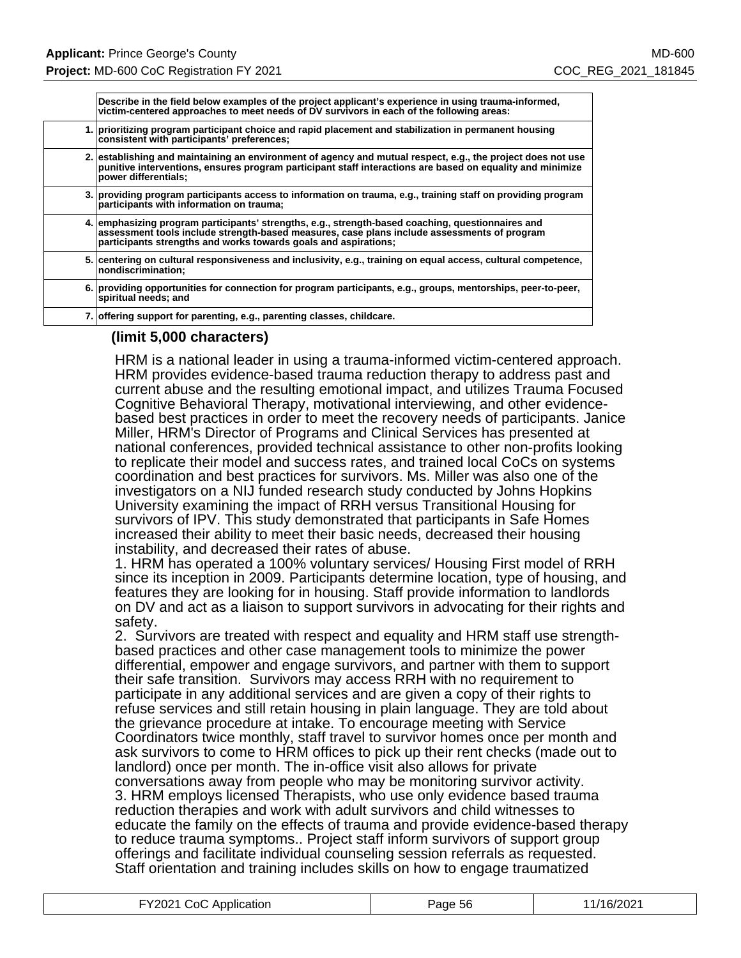| Describe in the field below examples of the project applicant's experience in using trauma-informed,<br>victim-centered approaches to meet needs of DV survivors in each of the following areas:                                                                    |
|---------------------------------------------------------------------------------------------------------------------------------------------------------------------------------------------------------------------------------------------------------------------|
| 1. prioritizing program participant choice and rapid placement and stabilization in permanent housing<br>consistent with participants' preferences;                                                                                                                 |
| 2. establishing and maintaining an environment of agency and mutual respect, e.g., the project does not use<br>punitive interventions, ensures program participant staff interactions are based on equality and minimize<br>power differentials;                    |
| 3. providing program participants access to information on trauma, e.g., training staff on providing program<br>participants with information on trauma;                                                                                                            |
| 4. emphasizing program participants' strengths, e.g., strength-based coaching, questionnaires and<br>assessment tools include strength-based measures, case plans include assessments of program<br>participants strengths and works towards goals and aspirations; |
| 5. centering on cultural responsiveness and inclusivity, e.g., training on equal access, cultural competence,<br>nondiscrimination:                                                                                                                                 |
| 6. providing opportunities for connection for program participants, e.g., groups, mentorships, peer-to-peer,<br>spiritual needs; and                                                                                                                                |
| 7. offering support for parenting, e.g., parenting classes, childcare.                                                                                                                                                                                              |
|                                                                                                                                                                                                                                                                     |

### **(limit 5,000 characters)**

HRM is a national leader in using a trauma-informed victim-centered approach. HRM provides evidence-based trauma reduction therapy to address past and current abuse and the resulting emotional impact, and utilizes Trauma Focused Cognitive Behavioral Therapy, motivational interviewing, and other evidencebased best practices in order to meet the recovery needs of participants. Janice Miller, HRM's Director of Programs and Clinical Services has presented at national conferences, provided technical assistance to other non-profits looking to replicate their model and success rates, and trained local CoCs on systems coordination and best practices for survivors. Ms. Miller was also one of the investigators on a NIJ funded research study conducted by Johns Hopkins University examining the impact of RRH versus Transitional Housing for survivors of IPV. This study demonstrated that participants in Safe Homes increased their ability to meet their basic needs, decreased their housing instability, and decreased their rates of abuse.

1. HRM has operated a 100% voluntary services/ Housing First model of RRH since its inception in 2009. Participants determine location, type of housing, and features they are looking for in housing. Staff provide information to landlords on DV and act as a liaison to support survivors in advocating for their rights and safety.

2. Survivors are treated with respect and equality and HRM staff use strengthbased practices and other case management tools to minimize the power differential, empower and engage survivors, and partner with them to support their safe transition. Survivors may access RRH with no requirement to participate in any additional services and are given a copy of their rights to refuse services and still retain housing in plain language. They are told about the grievance procedure at intake. To encourage meeting with Service Coordinators twice monthly, staff travel to survivor homes once per month and ask survivors to come to HRM offices to pick up their rent checks (made out to landlord) once per month. The in-office visit also allows for private conversations away from people who may be monitoring survivor activity. 3. HRM employs licensed Therapists, who use only evidence based trauma reduction therapies and work with adult survivors and child witnesses to educate the family on the effects of trauma and provide evidence-based therapy to reduce trauma symptoms.. Project staff inform survivors of support group offerings and facilitate individual counseling session referrals as requested. Staff orientation and training includes skills on how to engage traumatized

| FY2021 CoC Application | Page 56 | 11/16/2021 |
|------------------------|---------|------------|
|------------------------|---------|------------|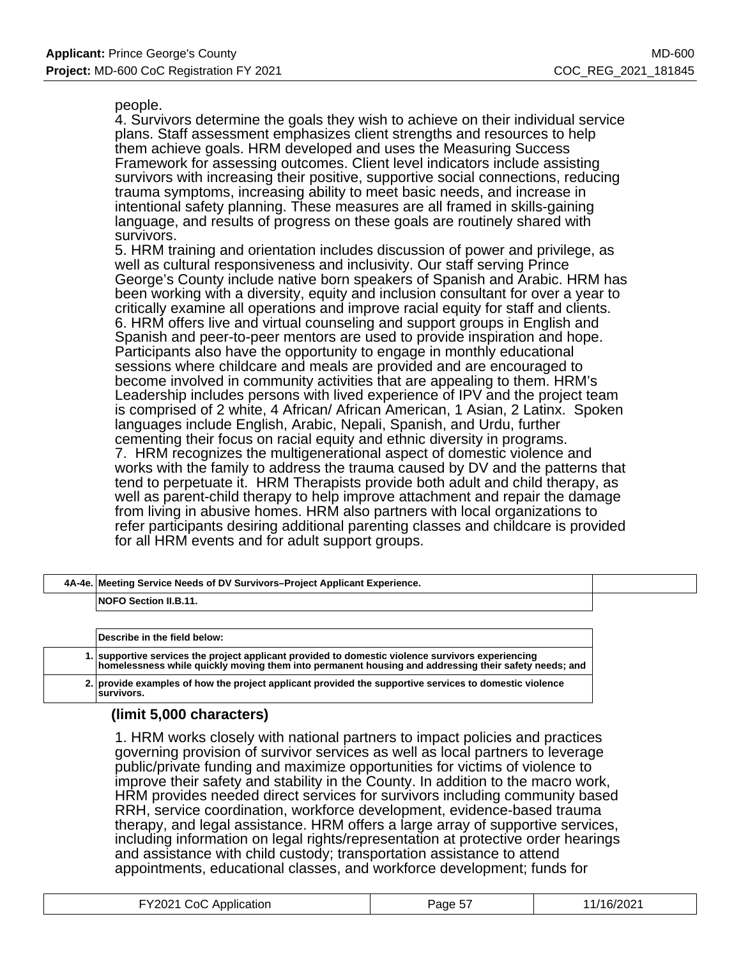people.

4. Survivors determine the goals they wish to achieve on their individual service plans. Staff assessment emphasizes client strengths and resources to help them achieve goals. HRM developed and uses the Measuring Success Framework for assessing outcomes. Client level indicators include assisting survivors with increasing their positive, supportive social connections, reducing trauma symptoms, increasing ability to meet basic needs, and increase in intentional safety planning. These measures are all framed in skills-gaining language, and results of progress on these goals are routinely shared with survivors.

5. HRM training and orientation includes discussion of power and privilege, as well as cultural responsiveness and inclusivity. Our staff serving Prince George's County include native born speakers of Spanish and Arabic. HRM has been working with a diversity, equity and inclusion consultant for over a year to critically examine all operations and improve racial equity for staff and clients. 6. HRM offers live and virtual counseling and support groups in English and Spanish and peer-to-peer mentors are used to provide inspiration and hope. Participants also have the opportunity to engage in monthly educational sessions where childcare and meals are provided and are encouraged to become involved in community activities that are appealing to them. HRM's Leadership includes persons with lived experience of IPV and the project team is comprised of 2 white, 4 African/ African American, 1 Asian, 2 Latinx. Spoken languages include English, Arabic, Nepali, Spanish, and Urdu, further cementing their focus on racial equity and ethnic diversity in programs. 7. HRM recognizes the multigenerational aspect of domestic violence and works with the family to address the trauma caused by DV and the patterns that tend to perpetuate it. HRM Therapists provide both adult and child therapy, as well as parent-child therapy to help improve attachment and repair the damage from living in abusive homes. HRM also partners with local organizations to refer participants desiring additional parenting classes and childcare is provided for all HRM events and for adult support groups.

| 4A-4e. Meeting Service Needs of DV Survivors–Project Applicant Experience.                                                                                                                                |
|-----------------------------------------------------------------------------------------------------------------------------------------------------------------------------------------------------------|
| <b>NOFO Section II.B.11.</b>                                                                                                                                                                              |
|                                                                                                                                                                                                           |
| Describe in the field below: \                                                                                                                                                                            |
| 1. supportive services the project applicant provided to domestic violence survivors experiencing<br>homelessness while quickly moving them into permanent housing and addressing their safety needs; and |

**2. provide examples of how the project applicant provided the supportive services to domestic violence**

# **survivors.**

## **(limit 5,000 characters)**

1. HRM works closely with national partners to impact policies and practices governing provision of survivor services as well as local partners to leverage public/private funding and maximize opportunities for victims of violence to improve their safety and stability in the County. In addition to the macro work, HRM provides needed direct services for survivors including community based RRH, service coordination, workforce development, evidence-based trauma therapy, and legal assistance. HRM offers a large array of supportive services, including information on legal rights/representation at protective order hearings and assistance with child custody; transportation assistance to attend appointments, educational classes, and workforce development; funds for

| FY2021 CoC Application | ___<br>Page $5l$ | 11/16/2021 |
|------------------------|------------------|------------|
|------------------------|------------------|------------|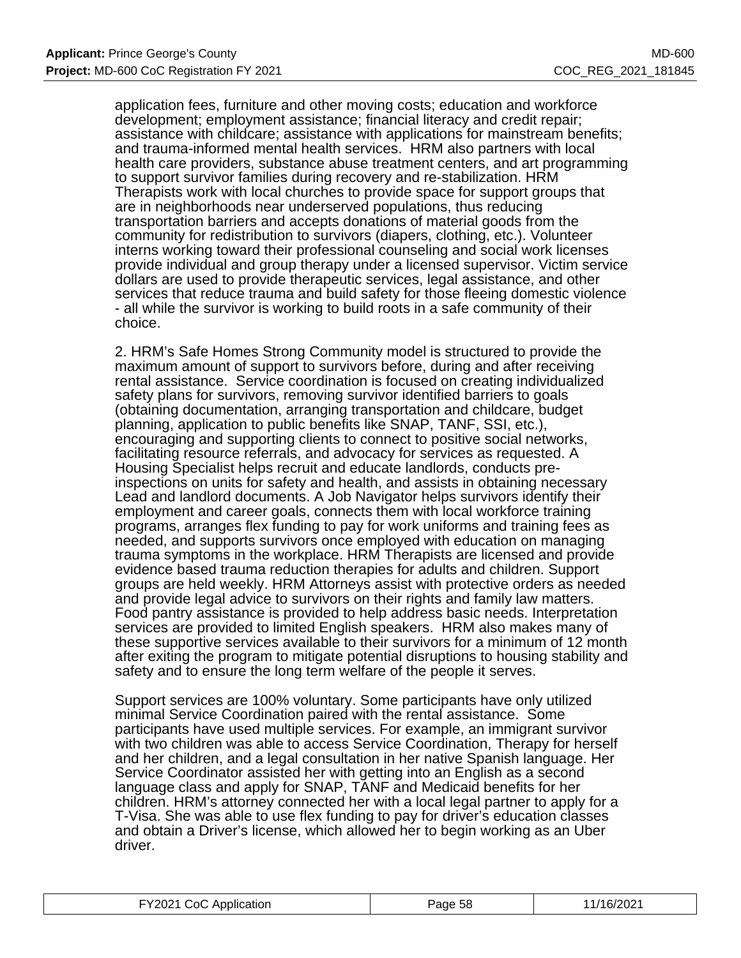application fees, furniture and other moving costs; education and workforce development; employment assistance; financial literacy and credit repair; assistance with childcare; assistance with applications for mainstream benefits; and trauma-informed mental health services. HRM also partners with local health care providers, substance abuse treatment centers, and art programming to support survivor families during recovery and re-stabilization. HRM Therapists work with local churches to provide space for support groups that are in neighborhoods near underserved populations, thus reducing transportation barriers and accepts donations of material goods from the community for redistribution to survivors (diapers, clothing, etc.). Volunteer interns working toward their professional counseling and social work licenses provide individual and group therapy under a licensed supervisor. Victim service dollars are used to provide therapeutic services, legal assistance, and other services that reduce trauma and build safety for those fleeing domestic violence - all while the survivor is working to build roots in a safe community of their choice.

2. HRM's Safe Homes Strong Community model is structured to provide the maximum amount of support to survivors before, during and after receiving rental assistance. Service coordination is focused on creating individualized safety plans for survivors, removing survivor identified barriers to goals (obtaining documentation, arranging transportation and childcare, budget planning, application to public benefits like SNAP, TANF, SSI, etc.), encouraging and supporting clients to connect to positive social networks, facilitating resource referrals, and advocacy for services as requested. A Housing Specialist helps recruit and educate landlords, conducts preinspections on units for safety and health, and assists in obtaining necessary Lead and landlord documents. A Job Navigator helps survivors identify their employment and career goals, connects them with local workforce training programs, arranges flex funding to pay for work uniforms and training fees as needed, and supports survivors once employed with education on managing trauma symptoms in the workplace. HRM Therapists are licensed and provide evidence based trauma reduction therapies for adults and children. Support groups are held weekly. HRM Attorneys assist with protective orders as needed and provide legal advice to survivors on their rights and family law matters. Food pantry assistance is provided to help address basic needs. Interpretation services are provided to limited English speakers. HRM also makes many of these supportive services available to their survivors for a minimum of 12 month after exiting the program to mitigate potential disruptions to housing stability and safety and to ensure the long term welfare of the people it serves.

Support services are 100% voluntary. Some participants have only utilized minimal Service Coordination paired with the rental assistance. Some participants have used multiple services. For example, an immigrant survivor with two children was able to access Service Coordination, Therapy for herself and her children, and a legal consultation in her native Spanish language. Her Service Coordinator assisted her with getting into an English as a second language class and apply for SNAP, TANF and Medicaid benefits for her children. HRM's attorney connected her with a local legal partner to apply for a T-Visa. She was able to use flex funding to pay for driver's education classes and obtain a Driver's license, which allowed her to begin working as an Uber driver.

| FY2021 CoC Application | Page 58 | 11/16/2021 |
|------------------------|---------|------------|
|------------------------|---------|------------|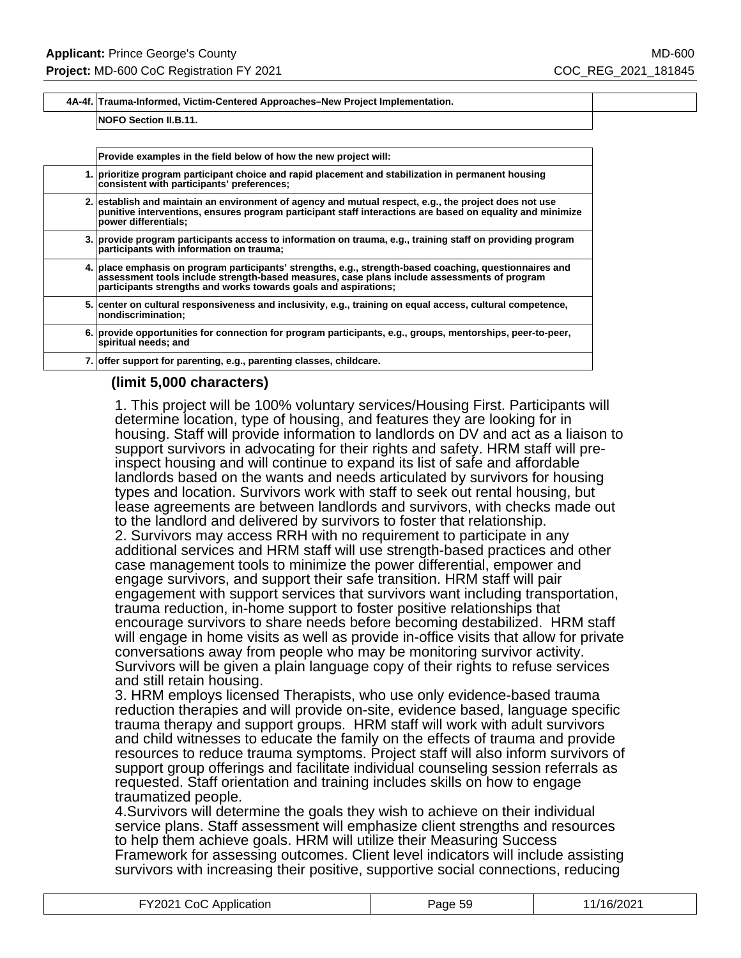#### **4A-4f. Trauma-Informed, Victim-Centered Approaches–New Project Implementation.**

#### **NOFO Section II.B.11.**

| Provide examples in the field below of how the new project will:                                                                                                                                                                                                          |
|---------------------------------------------------------------------------------------------------------------------------------------------------------------------------------------------------------------------------------------------------------------------------|
| 1. prioritize program participant choice and rapid placement and stabilization in permanent housing<br>consistent with participants' preferences;                                                                                                                         |
| 2. establish and maintain an environment of agency and mutual respect, e.g., the project does not use<br>punitive interventions, ensures program participant staff interactions are based on equality and minimize<br>power differentials;                                |
| 3. provide program participants access to information on trauma, e.g., training staff on providing program<br>participants with information on trauma;                                                                                                                    |
| 4. place emphasis on program participants' strengths, e.g., strength-based coaching, questionnaires and<br>assessment tools include strength-based measures, case plans include assessments of program<br>participants strengths and works towards goals and aspirations; |
| 5. center on cultural responsiveness and inclusivity, e.g., training on equal access, cultural competence,<br>nondiscrimination;                                                                                                                                          |
| 6. provide opportunities for connection for program participants, e.g., groups, mentorships, peer-to-peer,<br>spiritual needs; and                                                                                                                                        |
| 7. offer support for parenting, e.g., parenting classes, childcare.                                                                                                                                                                                                       |
|                                                                                                                                                                                                                                                                           |

### **(limit 5,000 characters)**

1. This project will be 100% voluntary services/Housing First. Participants will determine location, type of housing, and features they are looking for in housing. Staff will provide information to landlords on DV and act as a liaison to support survivors in advocating for their rights and safety. HRM staff will preinspect housing and will continue to expand its list of safe and affordable landlords based on the wants and needs articulated by survivors for housing types and location. Survivors work with staff to seek out rental housing, but lease agreements are between landlords and survivors, with checks made out to the landlord and delivered by survivors to foster that relationship. 2. Survivors may access RRH with no requirement to participate in any additional services and HRM staff will use strength-based practices and other case management tools to minimize the power differential, empower and engage survivors, and support their safe transition. HRM staff will pair engagement with support services that survivors want including transportation, trauma reduction, in-home support to foster positive relationships that encourage survivors to share needs before becoming destabilized. HRM staff will engage in home visits as well as provide in-office visits that allow for private conversations away from people who may be monitoring survivor activity. Survivors will be given a plain language copy of their rights to refuse services and still retain housing.

3. HRM employs licensed Therapists, who use only evidence-based trauma reduction therapies and will provide on-site, evidence based, language specific trauma therapy and support groups. HRM staff will work with adult survivors and child witnesses to educate the family on the effects of trauma and provide resources to reduce trauma symptoms. Project staff will also inform survivors of support group offerings and facilitate individual counseling session referrals as requested. Staff orientation and training includes skills on how to engage traumatized people.

4.Survivors will determine the goals they wish to achieve on their individual service plans. Staff assessment will emphasize client strengths and resources to help them achieve goals. HRM will utilize their Measuring Success Framework for assessing outcomes. Client level indicators will include assisting survivors with increasing their positive, supportive social connections, reducing

| FY2021 CoC Application | Page 59 | 11/16/2021 |
|------------------------|---------|------------|
|------------------------|---------|------------|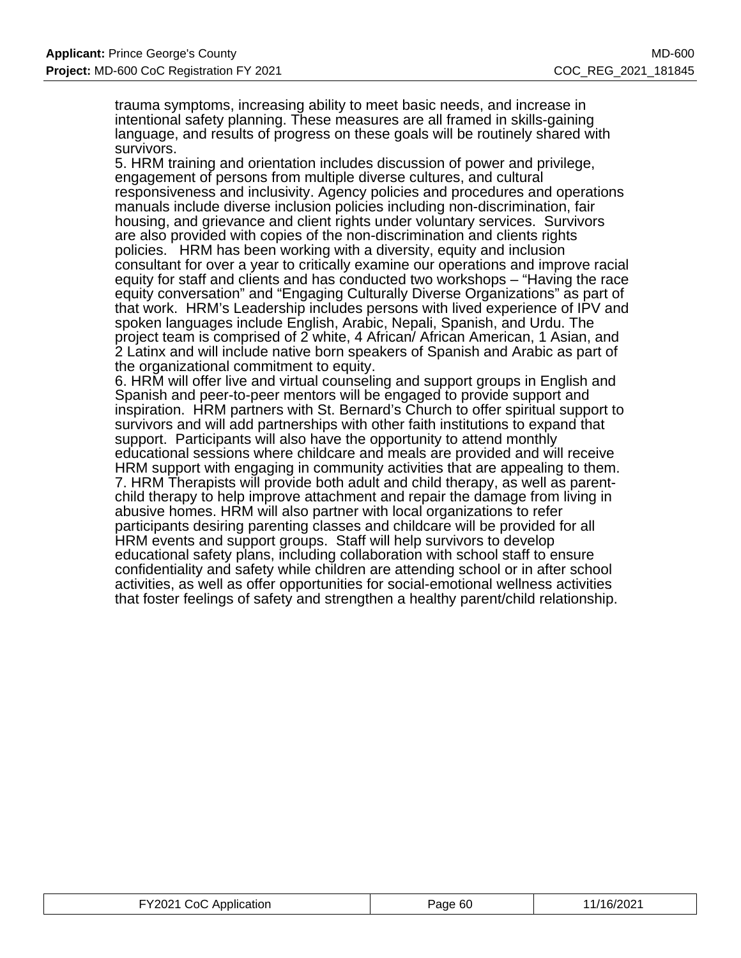trauma symptoms, increasing ability to meet basic needs, and increase in intentional safety planning. These measures are all framed in skills-gaining language, and results of progress on these goals will be routinely shared with survivors.

5. HRM training and orientation includes discussion of power and privilege, engagement of persons from multiple diverse cultures, and cultural responsiveness and inclusivity. Agency policies and procedures and operations manuals include diverse inclusion policies including non-discrimination, fair housing, and grievance and client rights under voluntary services. Survivors are also provided with copies of the non-discrimination and clients rights policies. HRM has been working with a diversity, equity and inclusion consultant for over a year to critically examine our operations and improve racial equity for staff and clients and has conducted two workshops – "Having the race equity conversation" and "Engaging Culturally Diverse Organizations" as part of that work. HRM's Leadership includes persons with lived experience of IPV and spoken languages include English, Arabic, Nepali, Spanish, and Urdu. The project team is comprised of 2 white, 4 African/ African American, 1 Asian, and 2 Latinx and will include native born speakers of Spanish and Arabic as part of the organizational commitment to equity.

6. HRM will offer live and virtual counseling and support groups in English and Spanish and peer-to-peer mentors will be engaged to provide support and inspiration. HRM partners with St. Bernard's Church to offer spiritual support to survivors and will add partnerships with other faith institutions to expand that support. Participants will also have the opportunity to attend monthly educational sessions where childcare and meals are provided and will receive HRM support with engaging in community activities that are appealing to them. 7. HRM Therapists will provide both adult and child therapy, as well as parentchild therapy to help improve attachment and repair the damage from living in abusive homes. HRM will also partner with local organizations to refer participants desiring parenting classes and childcare will be provided for all HRM events and support groups. Staff will help survivors to develop educational safety plans, including collaboration with school staff to ensure confidentiality and safety while children are attending school or in after school activities, as well as offer opportunities for social-emotional wellness activities that foster feelings of safety and strengthen a healthy parent/child relationship.

| FY2021 CoC Application | Page 60 | 11/16/2021 |
|------------------------|---------|------------|
|------------------------|---------|------------|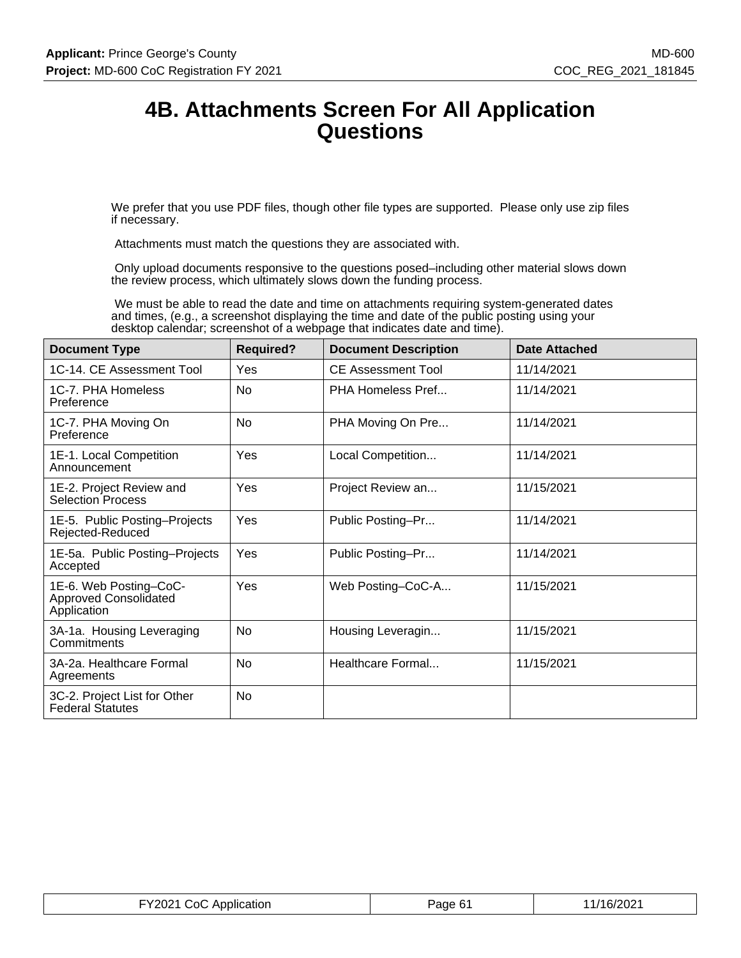# **4B. Attachments Screen For All Application Questions**

We prefer that you use PDF files, though other file types are supported. Please only use zip files if necessary.

Attachments must match the questions they are associated with.

 Only upload documents responsive to the questions posed–including other material slows down the review process, which ultimately slows down the funding process.

 We must be able to read the date and time on attachments requiring system-generated dates and times, (e.g., a screenshot displaying the time and date of the public posting using your desktop calendar; screenshot of a webpage that indicates date and time).

| <b>Document Type</b>                                                  | <b>Required?</b> | <b>Document Description</b> | <b>Date Attached</b> |
|-----------------------------------------------------------------------|------------------|-----------------------------|----------------------|
| 1C-14, CE Assessment Tool                                             | Yes              | CE Assessment Tool          | 11/14/2021           |
| 1C-7. PHA Homeless<br>Preference                                      | No               | PHA Homeless Pref           | 11/14/2021           |
| 1C-7. PHA Moving On<br>Preference                                     | No               | PHA Moving On Pre           | 11/14/2021           |
| 1E-1. Local Competition<br>Announcement                               | Yes              | Local Competition           | 11/14/2021           |
| 1E-2. Project Review and<br><b>Selection Process</b>                  | Yes              | Project Review an           | 11/15/2021           |
| 1E-5. Public Posting-Projects<br>Rejected-Reduced                     | Yes              | Public Posting-Pr           | 11/14/2021           |
| 1E-5a. Public Posting-Projects<br>Accepted                            | Yes              | Public Posting-Pr           | 11/14/2021           |
| 1E-6. Web Posting-CoC-<br><b>Approved Consolidated</b><br>Application | Yes              | Web Posting-CoC-A           | 11/15/2021           |
| 3A-1a. Housing Leveraging<br>Commitments                              | No               | Housing Leveragin           | 11/15/2021           |
| 3A-2a. Healthcare Formal<br>Agreements                                | <b>No</b>        | Healthcare Formal           | 11/15/2021           |
| 3C-2. Project List for Other<br><b>Federal Statutes</b>               | <b>No</b>        |                             |                      |

| FY2021 CoC Application | Page 61 | 11/16/2021 |
|------------------------|---------|------------|
|------------------------|---------|------------|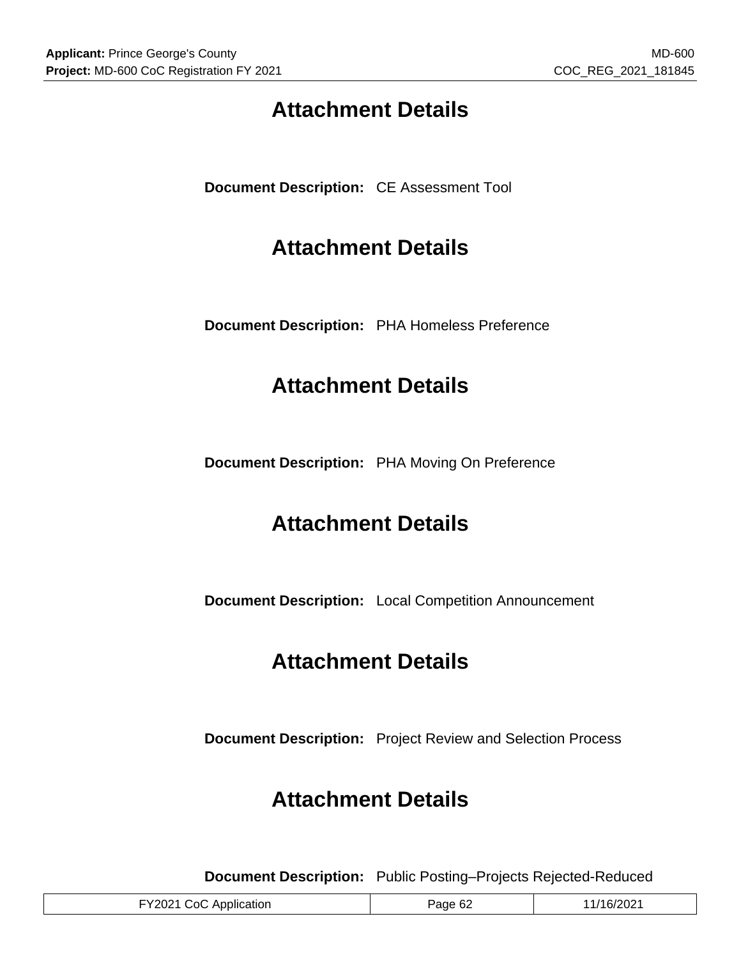# **Attachment Details**

**Document Description:** CE Assessment Tool

# **Attachment Details**

**Document Description:** PHA Homeless Preference

# **Attachment Details**

**Document Description:** PHA Moving On Preference

# **Attachment Details**

**Document Description:** Local Competition Announcement

# **Attachment Details**

**Document Description:** Project Review and Selection Process

# **Attachment Details**

**Document Description:** Public Posting–Projects Rejected-Reduced

| FY2021 CoC Application | Page 62 | /16/2021 |
|------------------------|---------|----------|
|                        |         |          |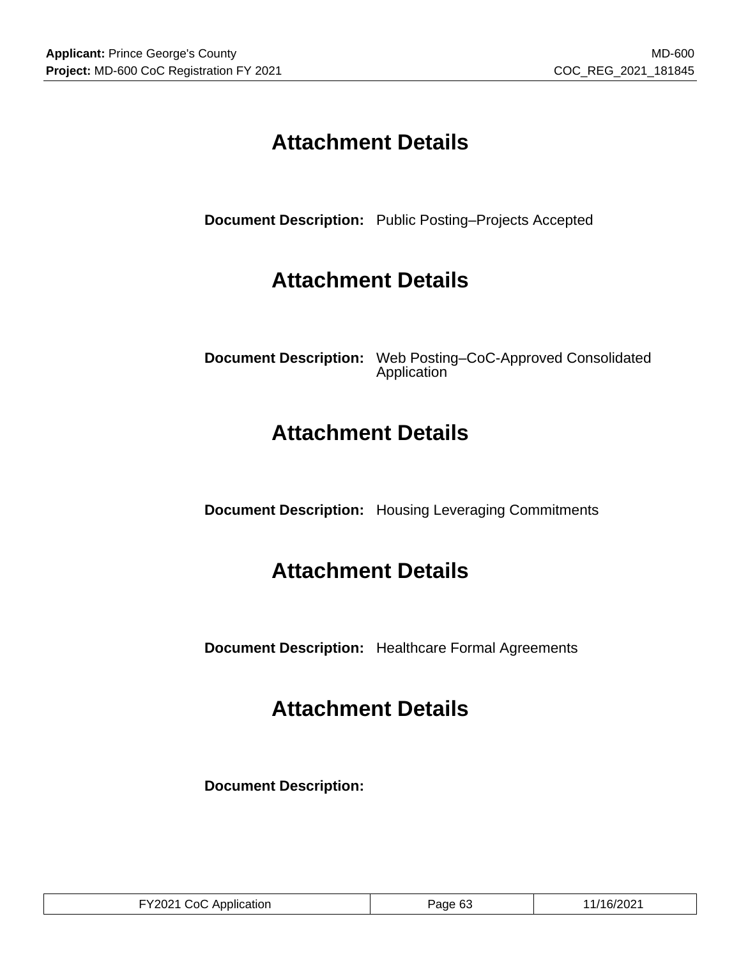# **Attachment Details**

**Document Description:** Public Posting–Projects Accepted

# **Attachment Details**

**Document Description:** Web Posting–CoC-Approved Consolidated Application

# **Attachment Details**

**Document Description:** Housing Leveraging Commitments

# **Attachment Details**

**Document Description:** Healthcare Formal Agreements

# **Attachment Details**

**Document Description:**

| FY2021 CoC Application | Page 63 | 11/16/2021 |
|------------------------|---------|------------|
|------------------------|---------|------------|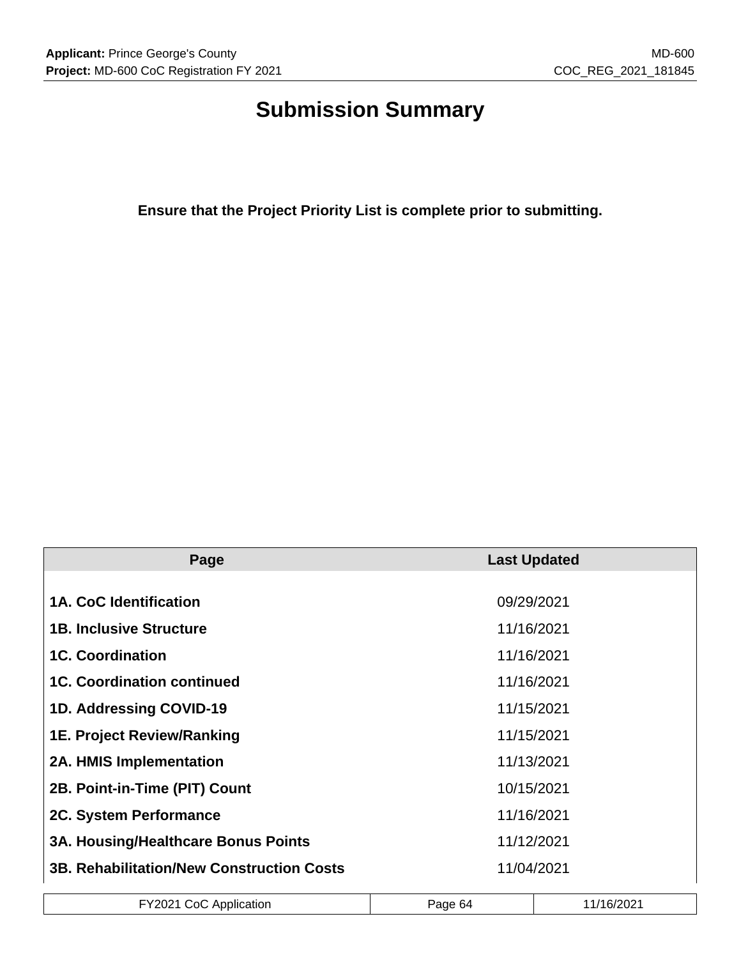# **Submission Summary**

**Ensure that the Project Priority List is complete prior to submitting.**

| Page                                             | <b>Last Updated</b> |
|--------------------------------------------------|---------------------|
|                                                  |                     |
| 1A. CoC Identification                           | 09/29/2021          |
| <b>1B. Inclusive Structure</b>                   | 11/16/2021          |
| <b>1C. Coordination</b>                          | 11/16/2021          |
| <b>1C. Coordination continued</b>                | 11/16/2021          |
| 1D. Addressing COVID-19                          | 11/15/2021          |
| <b>1E. Project Review/Ranking</b>                | 11/15/2021          |
| <b>2A. HMIS Implementation</b>                   | 11/13/2021          |
| 2B. Point-in-Time (PIT) Count                    | 10/15/2021          |
| 2C. System Performance                           | 11/16/2021          |
| 3A. Housing/Healthcare Bonus Points              | 11/12/2021          |
| <b>3B. Rehabilitation/New Construction Costs</b> | 11/04/2021          |

|  | <b>TY2021 CoC AL</b><br>Application | Page 64 | 1/16/2021 |  |
|--|-------------------------------------|---------|-----------|--|
|--|-------------------------------------|---------|-----------|--|